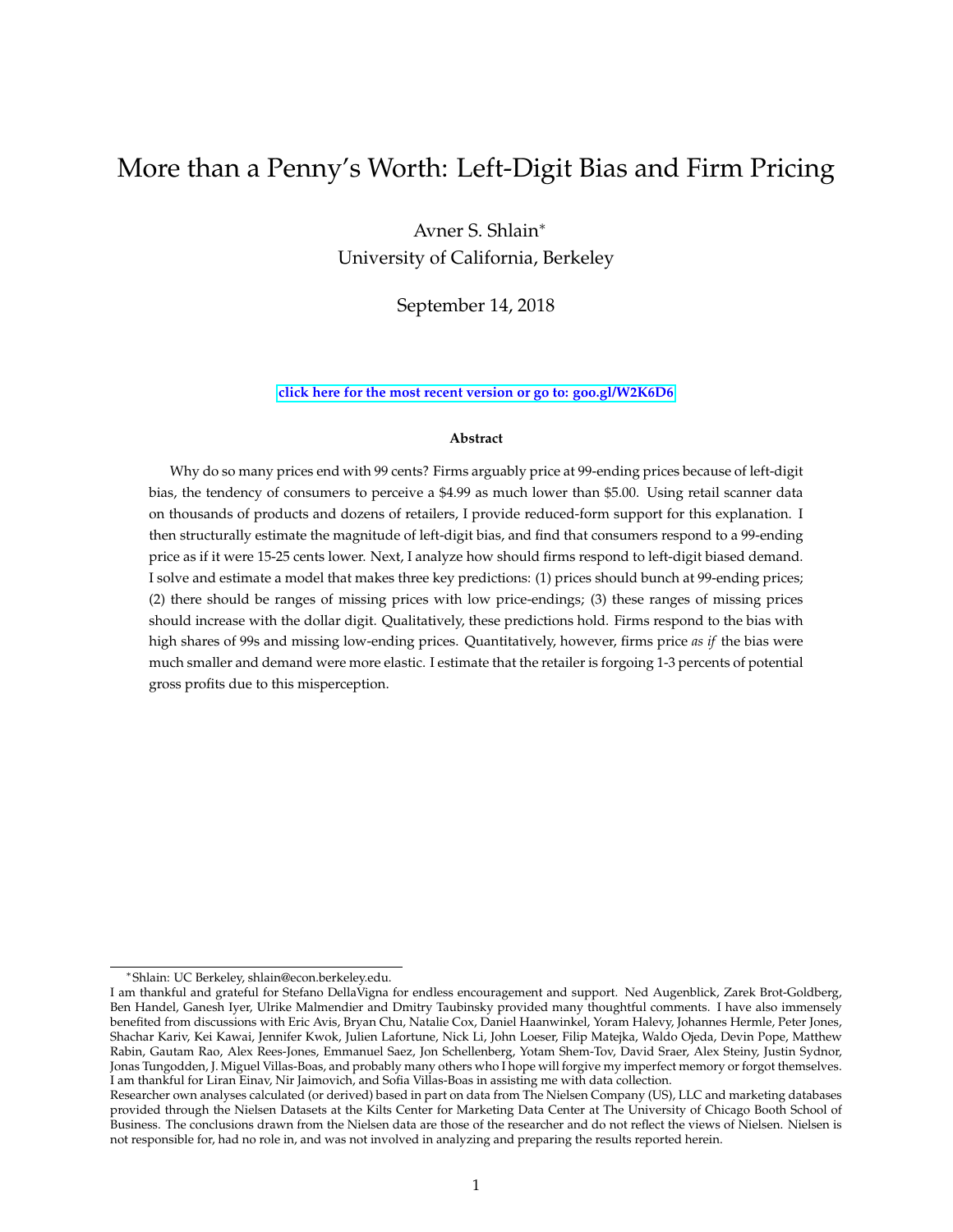# More than a Penny's Worth: Left-Digit Bias and Firm Pricing

Avner S. Shlain<sup>∗</sup> University of California, Berkeley

September 14, 2018

#### **[click here for the most recent version or go to: goo.gl/W2K6D6](https://www.dropbox.com/s/9jiy0fv160fy6cr/More%20than%20a%20Pennys%20Worth%20current%20version.pdf?dl=0)**

#### **Abstract**

Why do so many prices end with 99 cents? Firms arguably price at 99-ending prices because of left-digit bias, the tendency of consumers to perceive a \$4.99 as much lower than \$5.00. Using retail scanner data on thousands of products and dozens of retailers, I provide reduced-form support for this explanation. I then structurally estimate the magnitude of left-digit bias, and find that consumers respond to a 99-ending price as if it were 15-25 cents lower. Next, I analyze how should firms respond to left-digit biased demand. I solve and estimate a model that makes three key predictions: (1) prices should bunch at 99-ending prices; (2) there should be ranges of missing prices with low price-endings; (3) these ranges of missing prices should increase with the dollar digit. Qualitatively, these predictions hold. Firms respond to the bias with high shares of 99s and missing low-ending prices. Quantitatively, however, firms price *as if* the bias were much smaller and demand were more elastic. I estimate that the retailer is forgoing 1-3 percents of potential gross profits due to this misperception.

<sup>∗</sup>Shlain: UC Berkeley, shlain@econ.berkeley.edu.

I am thankful and grateful for Stefano DellaVigna for endless encouragement and support. Ned Augenblick, Zarek Brot-Goldberg, Ben Handel, Ganesh Iyer, Ulrike Malmendier and Dmitry Taubinsky provided many thoughtful comments. I have also immensely benefited from discussions with Eric Avis, Bryan Chu, Natalie Cox, Daniel Haanwinkel, Yoram Halevy, Johannes Hermle, Peter Jones, Shachar Kariv, Kei Kawai, Jennifer Kwok, Julien Lafortune, Nick Li, John Loeser, Filip Matejka, Waldo Ojeda, Devin Pope, Matthew Rabin, Gautam Rao, Alex Rees-Jones, Emmanuel Saez, Jon Schellenberg, Yotam Shem-Tov, David Sraer, Alex Steiny, Justin Sydnor, Jonas Tungodden, J. Miguel Villas-Boas, and probably many others who I hope will forgive my imperfect memory or forgot themselves. I am thankful for Liran Einav, Nir Jaimovich, and Sofia Villas-Boas in assisting me with data collection.

Researcher own analyses calculated (or derived) based in part on data from The Nielsen Company (US), LLC and marketing databases provided through the Nielsen Datasets at the Kilts Center for Marketing Data Center at The University of Chicago Booth School of Business. The conclusions drawn from the Nielsen data are those of the researcher and do not reflect the views of Nielsen. Nielsen is not responsible for, had no role in, and was not involved in analyzing and preparing the results reported herein.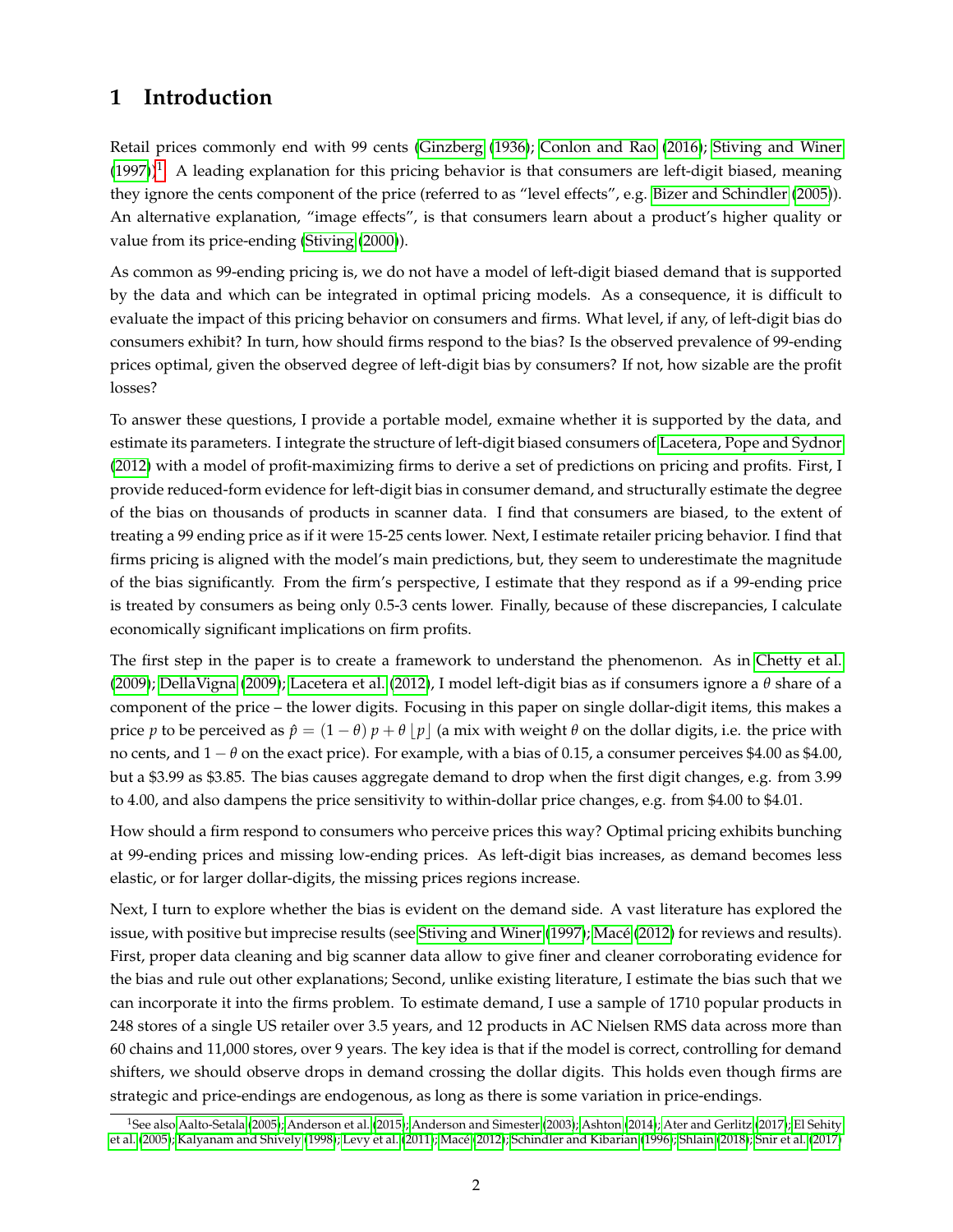## **1 Introduction**

Retail prices commonly end with 99 cents [\(Ginzberg](#page-49-0) [\(1936\)](#page-49-0); [Conlon and Rao](#page-49-1) [\(2016\)](#page-49-1); [Stiving and Winer](#page-51-0)  $(1997)$ <sup>[1](#page-1-0)</sup>. A leading explanation for this pricing behavior is that consumers are left-digit biased, meaning they ignore the cents component of the price (referred to as "level effects", e.g. [Bizer and Schindler](#page-48-0) [\(2005\)](#page-48-0)). An alternative explanation, "image effects", is that consumers learn about a product's higher quality or value from its price-ending [\(Stiving](#page-51-1) [\(2000\)](#page-51-1)).

As common as 99-ending pricing is, we do not have a model of left-digit biased demand that is supported by the data and which can be integrated in optimal pricing models. As a consequence, it is difficult to evaluate the impact of this pricing behavior on consumers and firms. What level, if any, of left-digit bias do consumers exhibit? In turn, how should firms respond to the bias? Is the observed prevalence of 99-ending prices optimal, given the observed degree of left-digit bias by consumers? If not, how sizable are the profit losses?

To answer these questions, I provide a portable model, exmaine whether it is supported by the data, and estimate its parameters. I integrate the structure of left-digit biased consumers of [Lacetera, Pope and Sydnor](#page-50-0) [\(2012\)](#page-50-0) with a model of profit-maximizing firms to derive a set of predictions on pricing and profits. First, I provide reduced-form evidence for left-digit bias in consumer demand, and structurally estimate the degree of the bias on thousands of products in scanner data. I find that consumers are biased, to the extent of treating a 99 ending price as if it were 15-25 cents lower. Next, I estimate retailer pricing behavior. I find that firms pricing is aligned with the model's main predictions, but, they seem to underestimate the magnitude of the bias significantly. From the firm's perspective, I estimate that they respond as if a 99-ending price is treated by consumers as being only 0.5-3 cents lower. Finally, because of these discrepancies, I calculate economically significant implications on firm profits.

The first step in the paper is to create a framework to understand the phenomenon. As in [Chetty et al.](#page-49-2) [\(2009\)](#page-49-2); [DellaVigna](#page-49-3) [\(2009\)](#page-49-3); [Lacetera et al.](#page-50-0) [\(2012\)](#page-50-0), I model left-digit bias as if consumers ignore a *θ* share of a component of the price – the lower digits. Focusing in this paper on single dollar-digit items, this makes a price *p* to be perceived as  $\hat{p} = (1 - \theta) p + \theta |p|$  (a mix with weight  $\theta$  on the dollar digits, i.e. the price with no cents, and 1 − *θ* on the exact price). For example, with a bias of 0.15, a consumer perceives \$4.00 as \$4.00, but a \$3.99 as \$3.85. The bias causes aggregate demand to drop when the first digit changes, e.g. from 3.99 to 4.00, and also dampens the price sensitivity to within-dollar price changes, e.g. from \$4.00 to \$4.01.

How should a firm respond to consumers who perceive prices this way? Optimal pricing exhibits bunching at 99-ending prices and missing low-ending prices. As left-digit bias increases, as demand becomes less elastic, or for larger dollar-digits, the missing prices regions increase.

Next, I turn to explore whether the bias is evident on the demand side. A vast literature has explored the issue, with positive but imprecise results (see [Stiving and Winer](#page-51-0) [\(1997\)](#page-51-0); [Macé](#page-50-1) [\(2012\)](#page-50-1) for reviews and results). First, proper data cleaning and big scanner data allow to give finer and cleaner corroborating evidence for the bias and rule out other explanations; Second, unlike existing literature, I estimate the bias such that we can incorporate it into the firms problem. To estimate demand, I use a sample of 1710 popular products in 248 stores of a single US retailer over 3.5 years, and 12 products in AC Nielsen RMS data across more than 60 chains and 11,000 stores, over 9 years. The key idea is that if the model is correct, controlling for demand shifters, we should observe drops in demand crossing the dollar digits. This holds even though firms are strategic and price-endings are endogenous, as long as there is some variation in price-endings.

<span id="page-1-0"></span><sup>&</sup>lt;sup>1</sup>See also [Aalto-Setala](#page-47-0) [\(2005\)](#page-47-0); [Anderson et al.](#page-48-1) [\(2015\)](#page-48-1); [Anderson and Simester](#page-48-2) [\(2003\)](#page-48-2); [Ashton](#page-48-3) [\(2014\)](#page-48-3); [Ater and Gerlitz](#page-48-4) [\(2017\)](#page-48-4); [El Sehity](#page-51-2) [et al.](#page-51-2) [\(2005\)](#page-51-2); [Kalyanam and Shively](#page-50-2) [\(1998\)](#page-50-2); [Levy et al.](#page-50-3) [\(2011\)](#page-50-3); [Macé](#page-50-1) [\(2012\)](#page-50-1); [Schindler and Kibarian](#page-51-3) [\(1996\)](#page-51-3); [Shlain](#page-51-4) [\(2018\)](#page-51-4); [Snir et al.](#page-51-5) [\(2017\)](#page-51-5)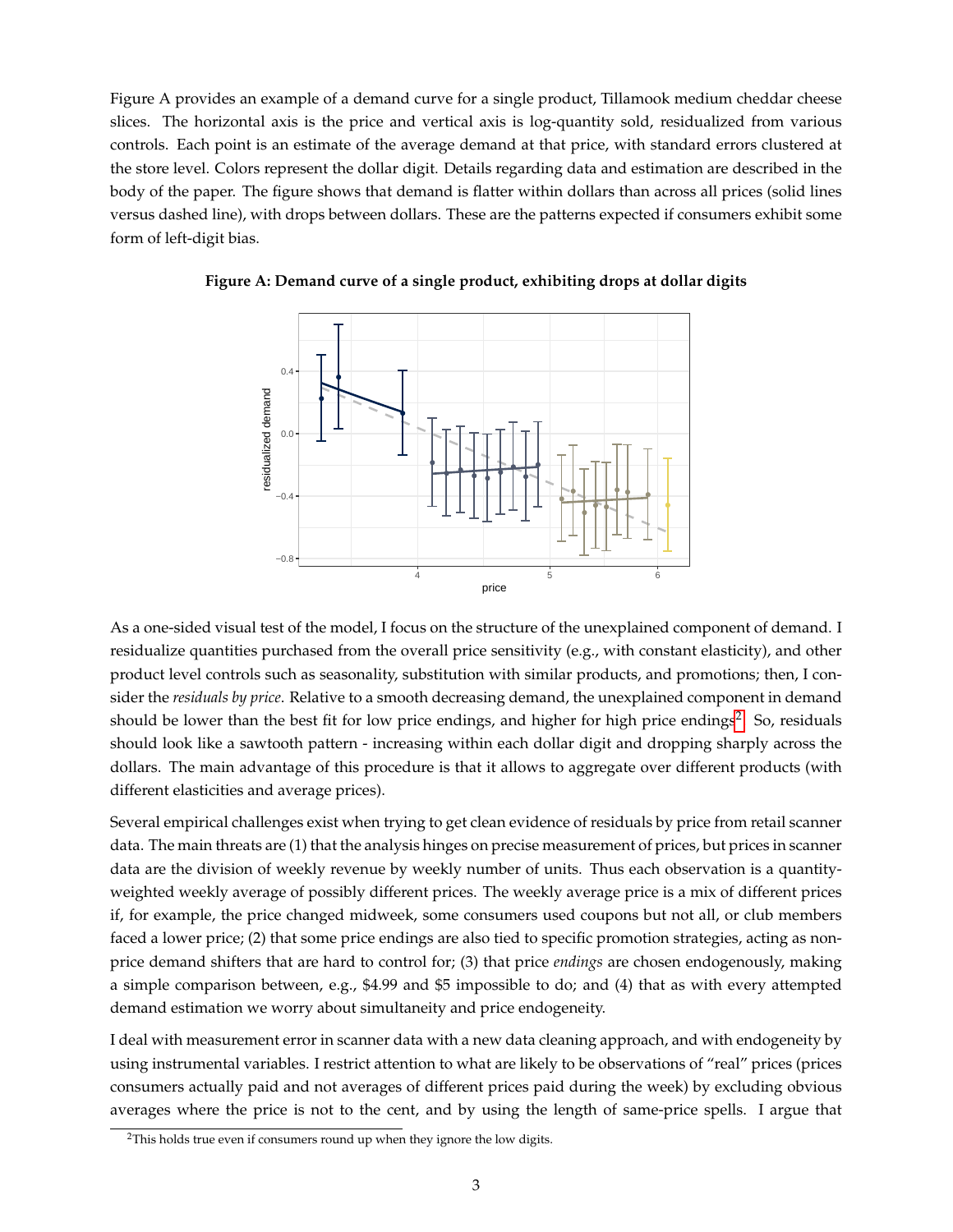Figure A provides an example of a demand curve for a single product, Tillamook medium cheddar cheese slices. The horizontal axis is the price and vertical axis is log-quantity sold, residualized from various controls. Each point is an estimate of the average demand at that price, with standard errors clustered at the store level. Colors represent the dollar digit. Details regarding data and estimation are described in the body of the paper. The figure shows that demand is flatter within dollars than across all prices (solid lines versus dashed line), with drops between dollars. These are the patterns expected if consumers exhibit some form of left-digit bias.



**Figure A: Demand curve of a single product, exhibiting drops at dollar digits**

As a one-sided visual test of the model, I focus on the structure of the unexplained component of demand. I residualize quantities purchased from the overall price sensitivity (e.g., with constant elasticity), and other product level controls such as seasonality, substitution with similar products, and promotions; then, I consider the *residuals by price*. Relative to a smooth decreasing demand, the unexplained component in demand should be lower than the best fit for low price endings, and higher for high price endings<sup>[2](#page-2-0)</sup>. So, residuals should look like a sawtooth pattern - increasing within each dollar digit and dropping sharply across the dollars. The main advantage of this procedure is that it allows to aggregate over different products (with different elasticities and average prices).

Several empirical challenges exist when trying to get clean evidence of residuals by price from retail scanner data. The main threats are (1) that the analysis hinges on precise measurement of prices, but prices in scanner data are the division of weekly revenue by weekly number of units. Thus each observation is a quantityweighted weekly average of possibly different prices. The weekly average price is a mix of different prices if, for example, the price changed midweek, some consumers used coupons but not all, or club members faced a lower price; (2) that some price endings are also tied to specific promotion strategies, acting as nonprice demand shifters that are hard to control for; (3) that price *endings* are chosen endogenously, making a simple comparison between, e.g., \$4.99 and \$5 impossible to do; and (4) that as with every attempted demand estimation we worry about simultaneity and price endogeneity.

I deal with measurement error in scanner data with a new data cleaning approach, and with endogeneity by using instrumental variables. I restrict attention to what are likely to be observations of "real" prices (prices consumers actually paid and not averages of different prices paid during the week) by excluding obvious averages where the price is not to the cent, and by using the length of same-price spells. I argue that

<span id="page-2-0"></span><sup>&</sup>lt;sup>2</sup>This holds true even if consumers round up when they ignore the low digits.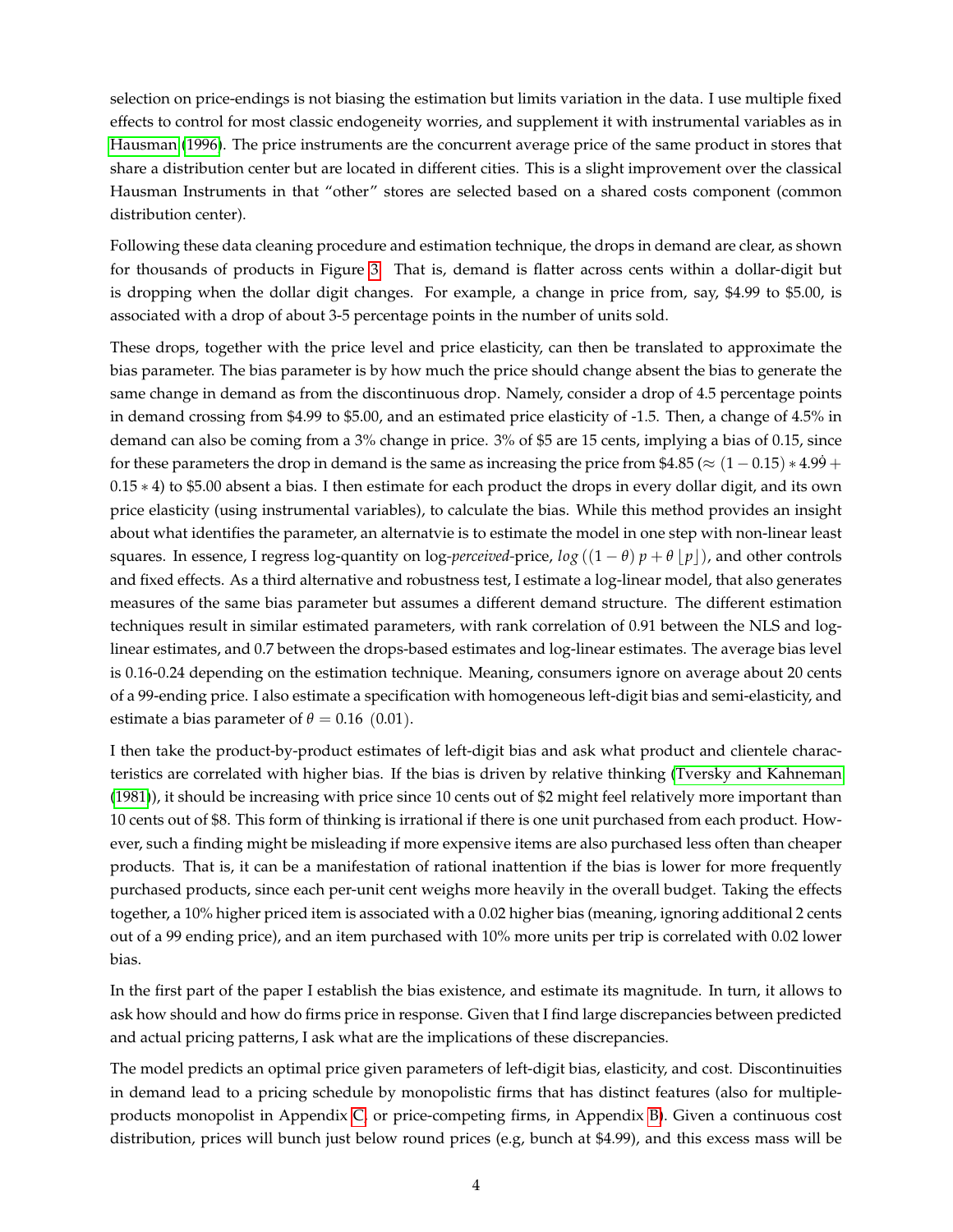selection on price-endings is not biasing the estimation but limits variation in the data. I use multiple fixed effects to control for most classic endogeneity worries, and supplement it with instrumental variables as in [Hausman](#page-50-4) [\(1996\)](#page-50-4). The price instruments are the concurrent average price of the same product in stores that share a distribution center but are located in different cities. This is a slight improvement over the classical Hausman Instruments in that "other" stores are selected based on a shared costs component (common distribution center).

Following these data cleaning procedure and estimation technique, the drops in demand are clear, as shown for thousands of products in Figure [3.](#page-29-0) That is, demand is flatter across cents within a dollar-digit but is dropping when the dollar digit changes. For example, a change in price from, say, \$4.99 to \$5.00, is associated with a drop of about 3-5 percentage points in the number of units sold.

These drops, together with the price level and price elasticity, can then be translated to approximate the bias parameter. The bias parameter is by how much the price should change absent the bias to generate the same change in demand as from the discontinuous drop. Namely, consider a drop of 4.5 percentage points in demand crossing from \$4.99 to \$5.00, and an estimated price elasticity of -1.5. Then, a change of 4.5% in demand can also be coming from a 3% change in price. 3% of \$5 are 15 cents, implying a bias of 0.15, since for these parameters the drop in demand is the same as increasing the price from \$4.85 ( $\approx (1-0.15) * 4.99 + 1.5$ 0.15 ∗ 4) to \$5.00 absent a bias. I then estimate for each product the drops in every dollar digit, and its own price elasticity (using instrumental variables), to calculate the bias. While this method provides an insight about what identifies the parameter, an alternatvie is to estimate the model in one step with non-linear least squares. In essence, I regress log-quantity on log-*perceived*-price,  $log((1 - \theta)p + \theta |p|)$ , and other controls and fixed effects. As a third alternative and robustness test, I estimate a log-linear model, that also generates measures of the same bias parameter but assumes a different demand structure. The different estimation techniques result in similar estimated parameters, with rank correlation of 0.91 between the NLS and loglinear estimates, and 0.7 between the drops-based estimates and log-linear estimates. The average bias level is 0.16-0.24 depending on the estimation technique. Meaning, consumers ignore on average about 20 cents of a 99-ending price. I also estimate a specification with homogeneous left-digit bias and semi-elasticity, and estimate a bias parameter of  $\theta = 0.16$  (0.01).

I then take the product-by-product estimates of left-digit bias and ask what product and clientele characteristics are correlated with higher bias. If the bias is driven by relative thinking [\(Tversky and Kahneman](#page-51-6) [\(1981\)](#page-51-6)), it should be increasing with price since 10 cents out of \$2 might feel relatively more important than 10 cents out of \$8. This form of thinking is irrational if there is one unit purchased from each product. However, such a finding might be misleading if more expensive items are also purchased less often than cheaper products. That is, it can be a manifestation of rational inattention if the bias is lower for more frequently purchased products, since each per-unit cent weighs more heavily in the overall budget. Taking the effects together, a 10% higher priced item is associated with a 0.02 higher bias (meaning, ignoring additional 2 cents out of a 99 ending price), and an item purchased with 10% more units per trip is correlated with 0.02 lower bias.

In the first part of the paper I establish the bias existence, and estimate its magnitude. In turn, it allows to ask how should and how do firms price in response. Given that I find large discrepancies between predicted and actual pricing patterns, I ask what are the implications of these discrepancies.

The model predicts an optimal price given parameters of left-digit bias, elasticity, and cost. Discontinuities in demand lead to a pricing schedule by monopolistic firms that has distinct features (also for multipleproducts monopolist in Appendix [C,](#page-44-0) or price-competing firms, in Appendix [B\)](#page-42-0). Given a continuous cost distribution, prices will bunch just below round prices (e.g, bunch at \$4.99), and this excess mass will be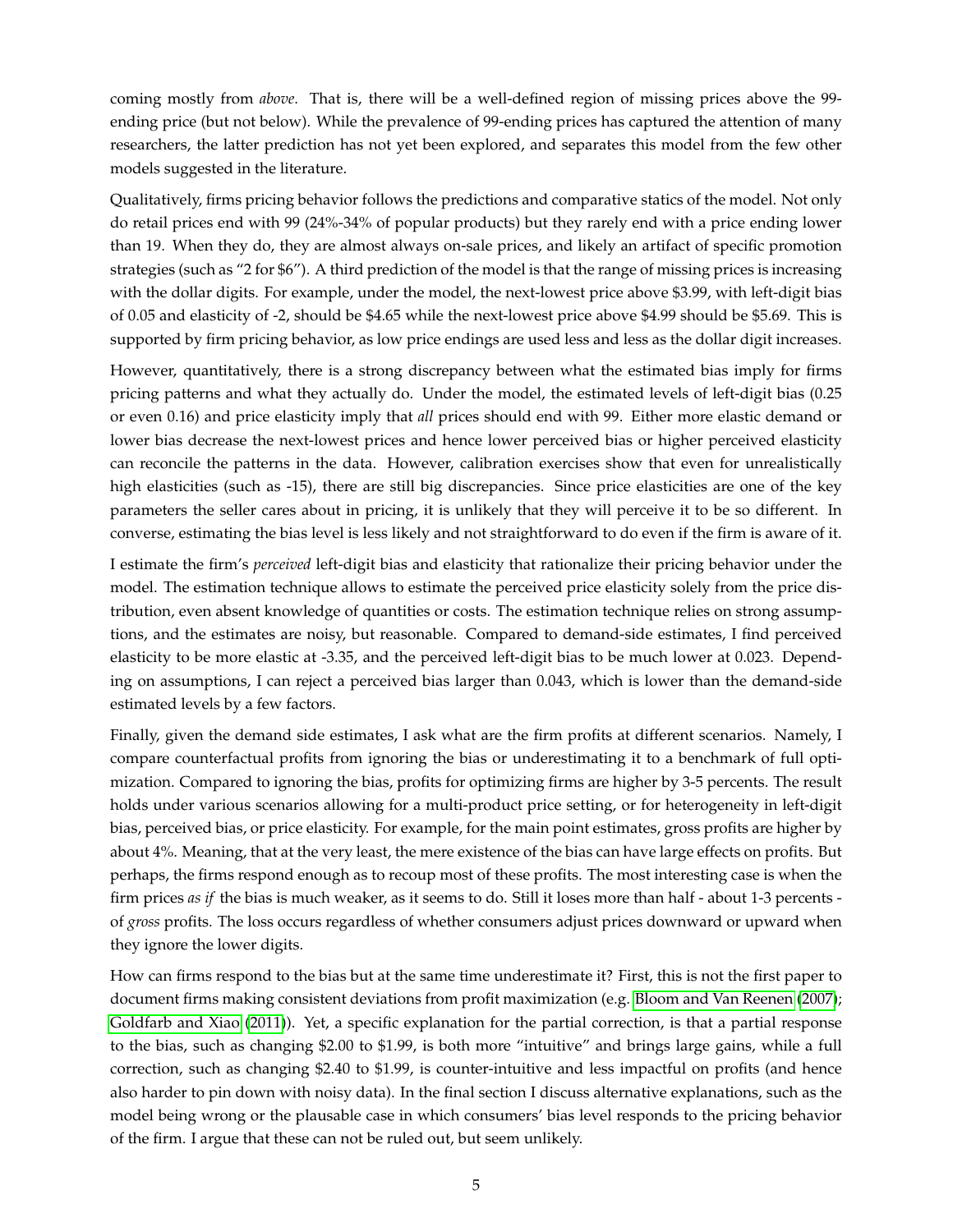coming mostly from *above*. That is, there will be a well-defined region of missing prices above the 99 ending price (but not below). While the prevalence of 99-ending prices has captured the attention of many researchers, the latter prediction has not yet been explored, and separates this model from the few other models suggested in the literature.

Qualitatively, firms pricing behavior follows the predictions and comparative statics of the model. Not only do retail prices end with 99 (24%-34% of popular products) but they rarely end with a price ending lower than 19. When they do, they are almost always on-sale prices, and likely an artifact of specific promotion strategies (such as "2 for \$6"). A third prediction of the model is that the range of missing prices is increasing with the dollar digits. For example, under the model, the next-lowest price above \$3.99, with left-digit bias of 0.05 and elasticity of -2, should be \$4.65 while the next-lowest price above \$4.99 should be \$5.69. This is supported by firm pricing behavior, as low price endings are used less and less as the dollar digit increases.

However, quantitatively, there is a strong discrepancy between what the estimated bias imply for firms pricing patterns and what they actually do. Under the model, the estimated levels of left-digit bias (0.25 or even 0.16) and price elasticity imply that *all* prices should end with 99. Either more elastic demand or lower bias decrease the next-lowest prices and hence lower perceived bias or higher perceived elasticity can reconcile the patterns in the data. However, calibration exercises show that even for unrealistically high elasticities (such as -15), there are still big discrepancies. Since price elasticities are one of the key parameters the seller cares about in pricing, it is unlikely that they will perceive it to be so different. In converse, estimating the bias level is less likely and not straightforward to do even if the firm is aware of it.

I estimate the firm's *perceived* left-digit bias and elasticity that rationalize their pricing behavior under the model. The estimation technique allows to estimate the perceived price elasticity solely from the price distribution, even absent knowledge of quantities or costs. The estimation technique relies on strong assumptions, and the estimates are noisy, but reasonable. Compared to demand-side estimates, I find perceived elasticity to be more elastic at -3.35, and the perceived left-digit bias to be much lower at 0.023. Depending on assumptions, I can reject a perceived bias larger than 0.043, which is lower than the demand-side estimated levels by a few factors.

Finally, given the demand side estimates, I ask what are the firm profits at different scenarios. Namely, I compare counterfactual profits from ignoring the bias or underestimating it to a benchmark of full optimization. Compared to ignoring the bias, profits for optimizing firms are higher by 3-5 percents. The result holds under various scenarios allowing for a multi-product price setting, or for heterogeneity in left-digit bias, perceived bias, or price elasticity. For example, for the main point estimates, gross profits are higher by about 4%. Meaning, that at the very least, the mere existence of the bias can have large effects on profits. But perhaps, the firms respond enough as to recoup most of these profits. The most interesting case is when the firm prices *as if* the bias is much weaker, as it seems to do. Still it loses more than half - about 1-3 percents of *gross* profits. The loss occurs regardless of whether consumers adjust prices downward or upward when they ignore the lower digits.

How can firms respond to the bias but at the same time underestimate it? First, this is not the first paper to document firms making consistent deviations from profit maximization (e.g. [Bloom and Van Reenen](#page-48-5) [\(2007\)](#page-48-5); [Goldfarb and Xiao](#page-49-4) [\(2011\)](#page-49-4)). Yet, a specific explanation for the partial correction, is that a partial response to the bias, such as changing \$2.00 to \$1.99, is both more "intuitive" and brings large gains, while a full correction, such as changing \$2.40 to \$1.99, is counter-intuitive and less impactful on profits (and hence also harder to pin down with noisy data). In the final section I discuss alternative explanations, such as the model being wrong or the plausable case in which consumers' bias level responds to the pricing behavior of the firm. I argue that these can not be ruled out, but seem unlikely.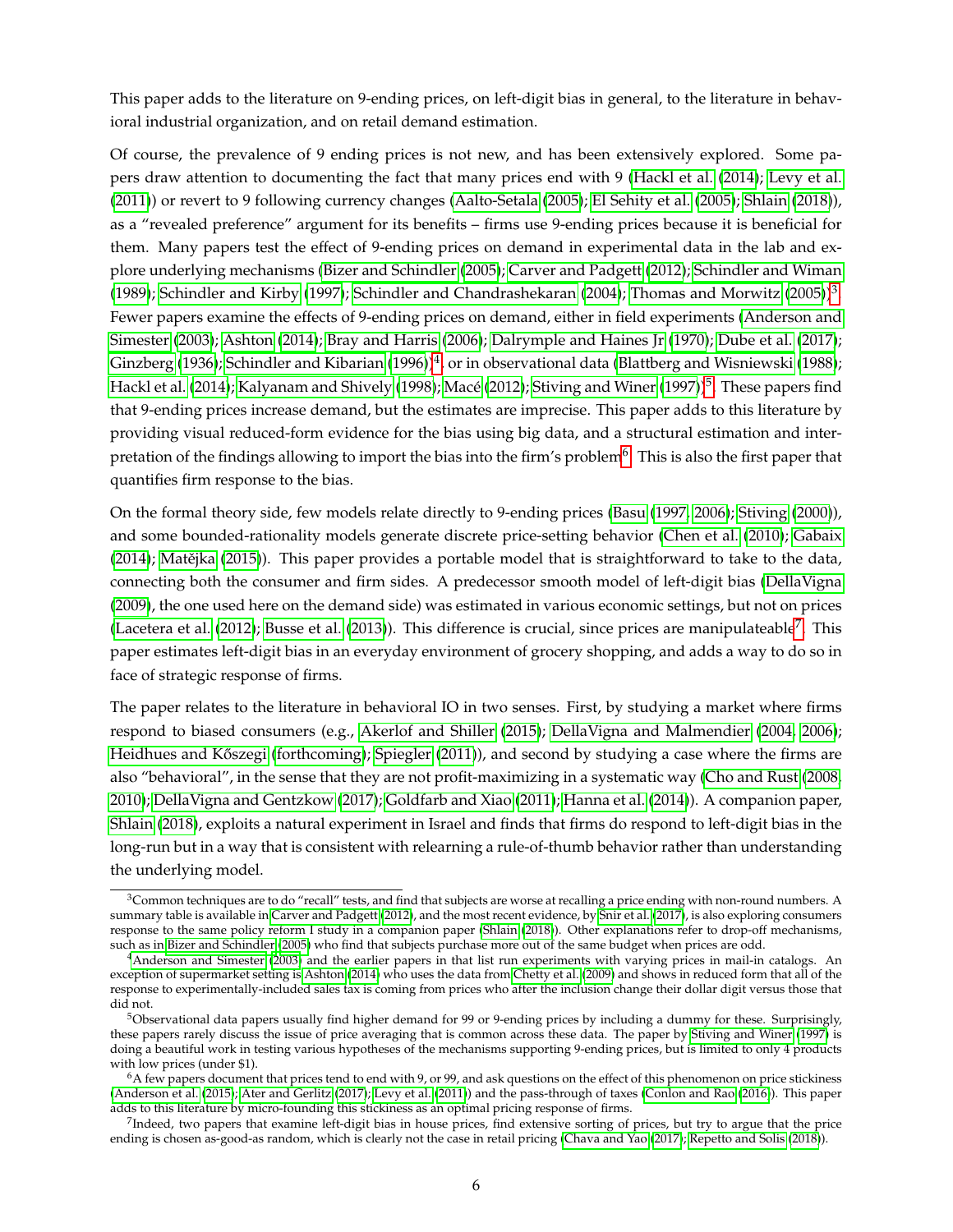This paper adds to the literature on 9-ending prices, on left-digit bias in general, to the literature in behavioral industrial organization, and on retail demand estimation.

Of course, the prevalence of 9 ending prices is not new, and has been extensively explored. Some papers draw attention to documenting the fact that many prices end with 9 [\(Hackl et al.](#page-50-5) [\(2014\)](#page-50-5); [Levy et al.](#page-50-3) [\(2011\)](#page-50-3)) or revert to 9 following currency changes [\(Aalto-Setala](#page-47-0) [\(2005\)](#page-47-0); [El Sehity et al.](#page-51-2) [\(2005\)](#page-51-2); [Shlain](#page-51-4) [\(2018\)](#page-51-4)), as a "revealed preference" argument for its benefits – firms use 9-ending prices because it is beneficial for them. Many papers test the effect of 9-ending prices on demand in experimental data in the lab and explore underlying mechanisms [\(Bizer and Schindler](#page-48-0) [\(2005\)](#page-48-0); [Carver and Padgett](#page-48-6) [\(2012\)](#page-48-6); [Schindler and Wiman](#page-51-7) [\(1989\)](#page-51-7); [Schindler and Kirby](#page-51-8) [\(1997\)](#page-51-8); [Schindler and Chandrashekaran](#page-51-9) [\(2004\)](#page-51-9); [Thomas and Morwitz](#page-51-10) [\(2005\)](#page-51-10))<sup>[3](#page-5-0)</sup>. Fewer papers examine the effects of 9-ending prices on demand, either in field experiments [\(Anderson and](#page-48-2) [Simester](#page-48-2) [\(2003\)](#page-48-2); [Ashton](#page-48-3) [\(2014\)](#page-48-3); [Bray and Harris](#page-48-7) [\(2006\)](#page-48-7); [Dalrymple and Haines Jr](#page-49-5) [\(1970\)](#page-49-5); [Dube et al.](#page-49-6) [\(2017\)](#page-49-6); [Ginzberg](#page-49-0) [\(1936\)](#page-49-0); [Schindler and Kibarian](#page-51-3) [\(1996\)](#page-51-3)) $^4$  $^4$ , or in observational data [\(Blattberg and Wisniewski](#page-48-8) [\(1988\)](#page-48-8); [Hackl et al.](#page-50-5) [\(2014\)](#page-50-5); [Kalyanam and Shively](#page-50-2) [\(1998\)](#page-50-2); [Macé](#page-50-1) [\(2012\)](#page-50-1); [Stiving and Winer](#page-51-0) [\(1997\)](#page-51-0))<sup>[5](#page-5-2)</sup>. These papers find that 9-ending prices increase demand, but the estimates are imprecise. This paper adds to this literature by providing visual reduced-form evidence for the bias using big data, and a structural estimation and inter-pretation of the findings allowing to import the bias into the firm's problem<sup>[6](#page-5-3)</sup>. This is also the first paper that quantifies firm response to the bias.

On the formal theory side, few models relate directly to 9-ending prices [\(Basu](#page-48-9) [\(1997,](#page-48-9) [2006\)](#page-48-10); [Stiving](#page-51-1) [\(2000\)](#page-51-1)), and some bounded-rationality models generate discrete price-setting behavior [\(Chen et al.](#page-49-7) [\(2010\)](#page-49-7); [Gabaix](#page-49-8)  $(2014)$ ; Matějka  $(2015)$ ). This paper provides a portable model that is straightforward to take to the data, connecting both the consumer and firm sides. A predecessor smooth model of left-digit bias [\(DellaVigna](#page-49-3) [\(2009\)](#page-49-3), the one used here on the demand side) was estimated in various economic settings, but not on prices [\(Lacetera et al.](#page-50-0) [\(2012\)](#page-50-0); [Busse et al.](#page-48-11) [\(2013\)](#page-48-11)). This difference is crucial, since prices are manipulateable<sup>[7](#page-5-4)</sup>. This paper estimates left-digit bias in an everyday environment of grocery shopping, and adds a way to do so in face of strategic response of firms.

The paper relates to the literature in behavioral IO in two senses. First, by studying a market where firms respond to biased consumers (e.g., [Akerlof and Shiller](#page-48-12) [\(2015\)](#page-48-12); [DellaVigna and Malmendier](#page-49-9) [\(2004,](#page-49-9) [2006\)](#page-49-10); Heidhues and Kőszegi [\(forthcoming\)](#page-50-7); [Spiegler](#page-51-11) [\(2011\)](#page-51-11)), and second by studying a case where the firms are also "behavioral", in the sense that they are not profit-maximizing in a systematic way [\(Cho and Rust](#page-49-11) [\(2008,](#page-49-11) [2010\)](#page-49-12); [DellaVigna and Gentzkow](#page-49-13) [\(2017\)](#page-49-13); [Goldfarb and Xiao](#page-49-4) [\(2011\)](#page-49-4); [Hanna et al.](#page-50-8) [\(2014\)](#page-50-8)). A companion paper, [Shlain](#page-51-4) [\(2018\)](#page-51-4), exploits a natural experiment in Israel and finds that firms do respond to left-digit bias in the long-run but in a way that is consistent with relearning a rule-of-thumb behavior rather than understanding the underlying model.

<span id="page-5-0"></span> $3$ Common techniques are to do "recall" tests, and find that subjects are worse at recalling a price ending with non-round numbers. A summary table is available in [Carver and Padgett](#page-48-6) [\(2012\)](#page-48-6), and the most recent evidence, by [Snir et al.](#page-51-5) [\(2017\)](#page-51-5), is also exploring consumers response to the same policy reform I study in a companion paper [\(Shlain](#page-51-4) [\(2018\)](#page-51-4)). Other explanations refer to drop-off mechanisms, such as in [Bizer and Schindler](#page-48-0) [\(2005\)](#page-48-0) who find that subjects purchase more out of the same budget when prices are odd.

<span id="page-5-1"></span><sup>4</sup>[Anderson and Simester](#page-48-2) [\(2003\)](#page-48-2) and the earlier papers in that list run experiments with varying prices in mail-in catalogs. An exception of supermarket setting is [Ashton](#page-48-3) [\(2014\)](#page-48-3) who uses the data from [Chetty et al.](#page-49-2) [\(2009\)](#page-49-2) and shows in reduced form that all of the response to experimentally-included sales tax is coming from prices who after the inclusion change their dollar digit versus those that did not.

<span id="page-5-2"></span><sup>&</sup>lt;sup>5</sup>Observational data papers usually find higher demand for 99 or 9-ending prices by including a dummy for these. Surprisingly, these papers rarely discuss the issue of price averaging that is common across these data. The paper by [Stiving and Winer](#page-51-0) [\(1997\)](#page-51-0) is doing a beautiful work in testing various hypotheses of the mechanisms supporting 9-ending prices, but is limited to only 4 products with low prices (under \$1).

<span id="page-5-3"></span> $6A$  few papers document that prices tend to end with 9, or 99, and ask questions on the effect of this phenomenon on price stickiness [\(Anderson et al.](#page-48-1) [\(2015\)](#page-48-1); [Ater and Gerlitz](#page-48-4) [\(2017\)](#page-48-4); [Levy et al.](#page-50-3) [\(2011\)](#page-50-3)) and the pass-through of taxes [\(Conlon and Rao](#page-49-1) [\(2016\)](#page-49-1)). This paper adds to this literature by micro-founding this stickiness as an optimal pricing response of firms.

<span id="page-5-4"></span><sup>&</sup>lt;sup>7</sup>Indeed, two papers that examine left-digit bias in house prices, find extensive sorting of prices, but try to argue that the price ending is chosen as-good-as random, which is clearly not the case in retail pricing [\(Chava and Yao](#page-49-14) [\(2017\)](#page-49-14); [Repetto and Solis](#page-50-9) [\(2018\)](#page-50-9)).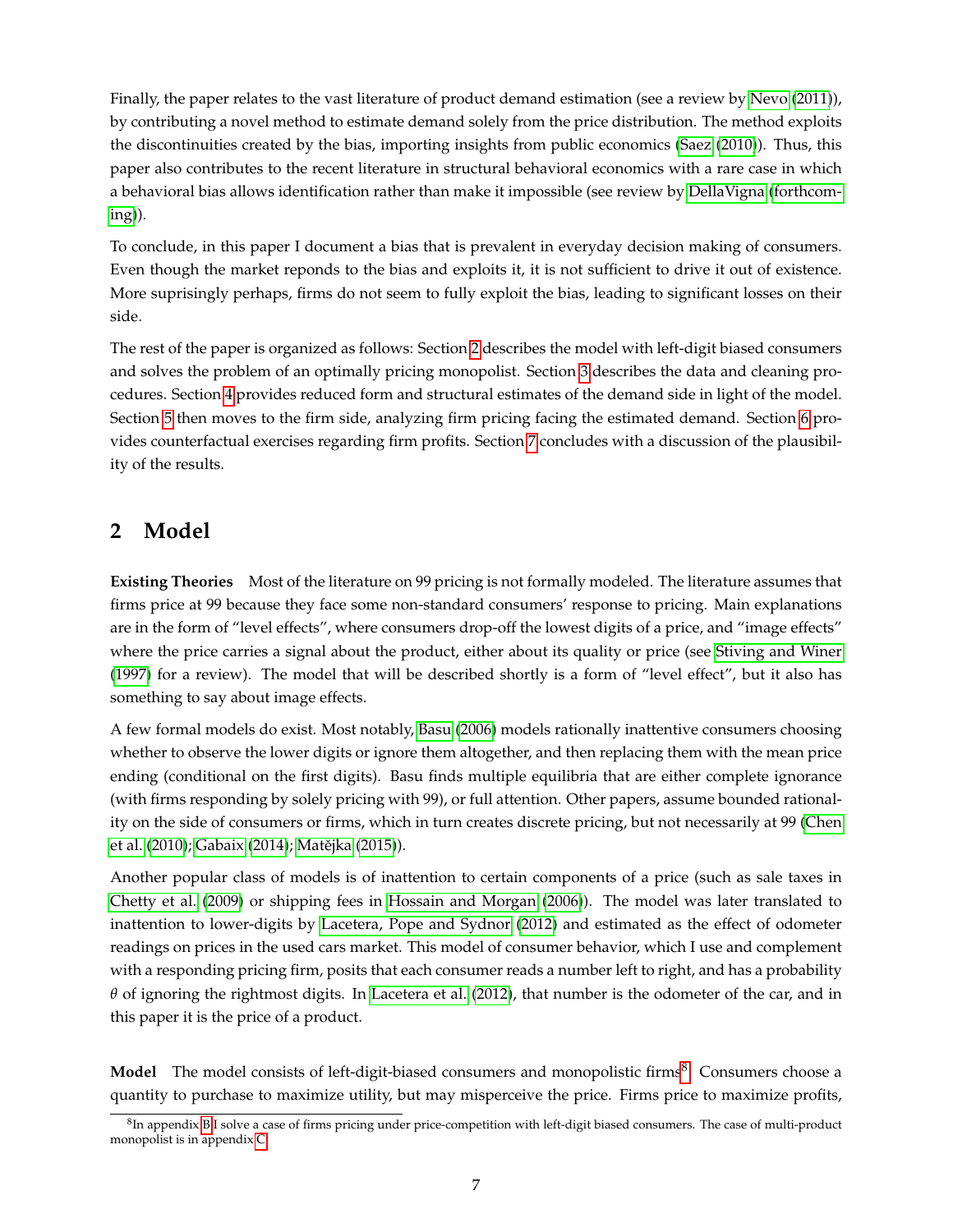Finally, the paper relates to the vast literature of product demand estimation (see a review by [Nevo](#page-50-10) [\(2011\)](#page-50-10)), by contributing a novel method to estimate demand solely from the price distribution. The method exploits the discontinuities created by the bias, importing insights from public economics [\(Saez](#page-51-12) [\(2010\)](#page-51-12)). Thus, this paper also contributes to the recent literature in structural behavioral economics with a rare case in which a behavioral bias allows identification rather than make it impossible (see review by [DellaVigna](#page-49-15) [\(forthcom](#page-49-15)[ing\)](#page-49-15)).

To conclude, in this paper I document a bias that is prevalent in everyday decision making of consumers. Even though the market reponds to the bias and exploits it, it is not sufficient to drive it out of existence. More suprisingly perhaps, firms do not seem to fully exploit the bias, leading to significant losses on their side.

The rest of the paper is organized as follows: Section [2](#page-6-0) describes the model with left-digit biased consumers and solves the problem of an optimally pricing monopolist. Section [3](#page-10-0) describes the data and cleaning procedures. Section [4](#page-13-0) provides reduced form and structural estimates of the demand side in light of the model. Section [5](#page-20-0) then moves to the firm side, analyzing firm pricing facing the estimated demand. Section [6](#page-24-0) provides counterfactual exercises regarding firm profits. Section [7](#page-25-0) concludes with a discussion of the plausibility of the results.

## <span id="page-6-0"></span>**2 Model**

**Existing Theories** Most of the literature on 99 pricing is not formally modeled. The literature assumes that firms price at 99 because they face some non-standard consumers' response to pricing. Main explanations are in the form of "level effects", where consumers drop-off the lowest digits of a price, and "image effects" where the price carries a signal about the product, either about its quality or price (see [Stiving and Winer](#page-51-0) [\(1997\)](#page-51-0) for a review). The model that will be described shortly is a form of "level effect", but it also has something to say about image effects.

A few formal models do exist. Most notably, [Basu](#page-48-10) [\(2006\)](#page-48-10) models rationally inattentive consumers choosing whether to observe the lower digits or ignore them altogether, and then replacing them with the mean price ending (conditional on the first digits). Basu finds multiple equilibria that are either complete ignorance (with firms responding by solely pricing with 99), or full attention. Other papers, assume bounded rationality on the side of consumers or firms, which in turn creates discrete pricing, but not necessarily at 99 [\(Chen](#page-49-7) [et al.](#page-49-7) [\(2010\)](#page-49-7); [Gabaix](#page-49-8) [\(2014\)](#page-49-8); Matějka [\(2015\)](#page-50-6)).

Another popular class of models is of inattention to certain components of a price (such as sale taxes in [Chetty et al.](#page-49-2) [\(2009\)](#page-49-2) or shipping fees in [Hossain and Morgan](#page-50-11) [\(2006\)](#page-50-11)). The model was later translated to inattention to lower-digits by [Lacetera, Pope and Sydnor](#page-50-0) [\(2012\)](#page-50-0) and estimated as the effect of odometer readings on prices in the used cars market. This model of consumer behavior, which I use and complement with a responding pricing firm, posits that each consumer reads a number left to right, and has a probability *θ* of ignoring the rightmost digits. In [Lacetera et al.](#page-50-0) [\(2012\)](#page-50-0), that number is the odometer of the car, and in this paper it is the price of a product.

**Model** The model consists of left-digit-biased consumers and monopolistic firms<sup>[8](#page-6-1)</sup>. Consumers choose a quantity to purchase to maximize utility, but may misperceive the price. Firms price to maximize profits,

<span id="page-6-1"></span> ${}^{8}$ In appendix [B](#page-42-0) I solve a case of firms pricing under price-competition with left-digit biased consumers. The case of multi-product monopolist is in appendix [C.](#page-44-0)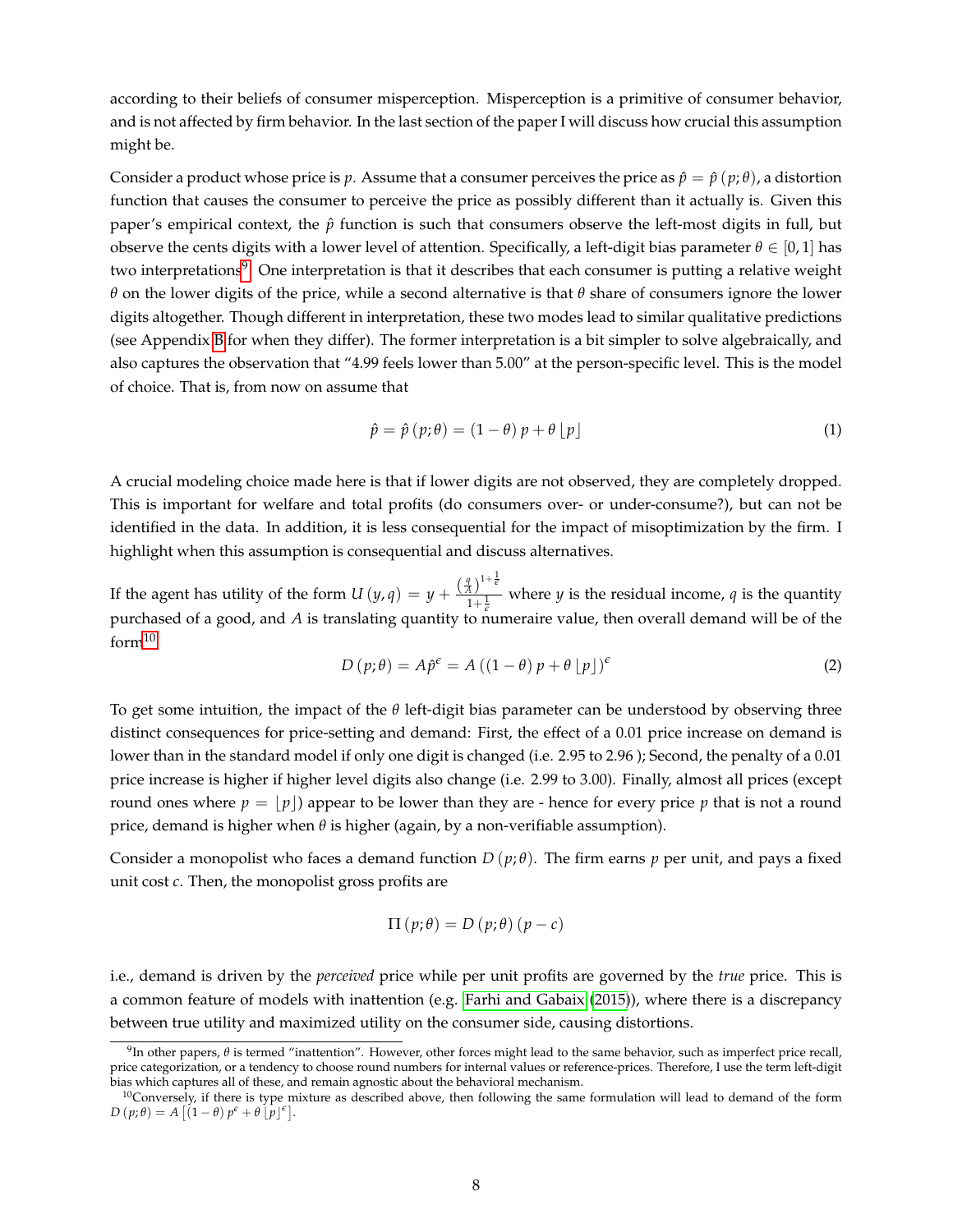according to their beliefs of consumer misperception. Misperception is a primitive of consumer behavior, and is not affected by firm behavior. In the last section of the paper I will discuss how crucial this assumption might be.

Consider a product whose price is *p*. Assume that a consumer perceives the price as  $\hat{p} = \hat{p} (p; \theta)$ , a distortion function that causes the consumer to perceive the price as possibly different than it actually is. Given this paper's empirical context, the  $\hat{p}$  function is such that consumers observe the left-most digits in full, but observe the cents digits with a lower level of attention. Specifically, a left-digit bias parameter *θ* ∈ [0, 1] has two interpretations<sup>[9](#page-7-0)</sup>. One interpretation is that it describes that each consumer is putting a relative weight *θ* on the lower digits of the price, while a second alternative is that *θ* share of consumers ignore the lower digits altogether. Though different in interpretation, these two modes lead to similar qualitative predictions (see Appendix [B](#page-42-0) for when they differ). The former interpretation is a bit simpler to solve algebraically, and also captures the observation that "4.99 feels lower than 5.00" at the person-specific level. This is the model of choice. That is, from now on assume that

$$
\hat{p} = \hat{p}(p; \theta) = (1 - \theta)p + \theta \lfloor p \rfloor \tag{1}
$$

A crucial modeling choice made here is that if lower digits are not observed, they are completely dropped. This is important for welfare and total profits (do consumers over- or under-consume?), but can not be identified in the data. In addition, it is less consequential for the impact of misoptimization by the firm. I highlight when this assumption is consequential and discuss alternatives.

If the agent has utility of the form  $U(y,q) = y + \frac{\binom{q}{A}^{1+\frac{1}{e}}}{1+1}$  $\frac{4}{1+\frac{1}{\epsilon}}$  where *y* is the residual income, *q* is the quantity purchased of a good, and *A* is translating quantity to numeraire value, then overall demand will be of the  $form<sup>10</sup>$  $form<sup>10</sup>$  $form<sup>10</sup>$ 

$$
D(p; \theta) = A\hat{p}^{\epsilon} = A((1 - \theta)p + \theta p^{\epsilon})^{\epsilon}
$$
\n(2)

To get some intuition, the impact of the *θ* left-digit bias parameter can be understood by observing three distinct consequences for price-setting and demand: First, the effect of a 0.01 price increase on demand is lower than in the standard model if only one digit is changed (i.e. 2.95 to 2.96 ); Second, the penalty of a 0.01 price increase is higher if higher level digits also change (i.e. 2.99 to 3.00). Finally, almost all prices (except round ones where  $p = |p|$  appear to be lower than they are - hence for every price p that is not a round price, demand is higher when *θ* is higher (again, by a non-verifiable assumption).

Consider a monopolist who faces a demand function  $D(p;\theta)$ . The firm earns p per unit, and pays a fixed unit cost *c*. Then, the monopolist gross profits are

$$
\Pi(p; \theta) = D(p; \theta) (p - c)
$$

i.e., demand is driven by the *perceived* price while per unit profits are governed by the *true* price. This is a common feature of models with inattention (e.g. [Farhi and Gabaix](#page-49-16) [\(2015\)](#page-49-16)), where there is a discrepancy between true utility and maximized utility on the consumer side, causing distortions.

<span id="page-7-0"></span><sup>&</sup>lt;sup>9</sup>In other papers,  $θ$  is termed "inattention". However, other forces might lead to the same behavior, such as imperfect price recall, price categorization, or a tendency to choose round numbers for internal values or reference-prices. Therefore, I use the term left-digit bias which captures all of these, and remain agnostic about the behavioral mechanism.

<span id="page-7-1"></span> $10$ Conversely, if there is type mixture as described above, then following the same formulation will lead to demand of the form  $D(p;\theta) = A[(1-\theta)p^{\epsilon} + \theta[p^{\epsilon}].$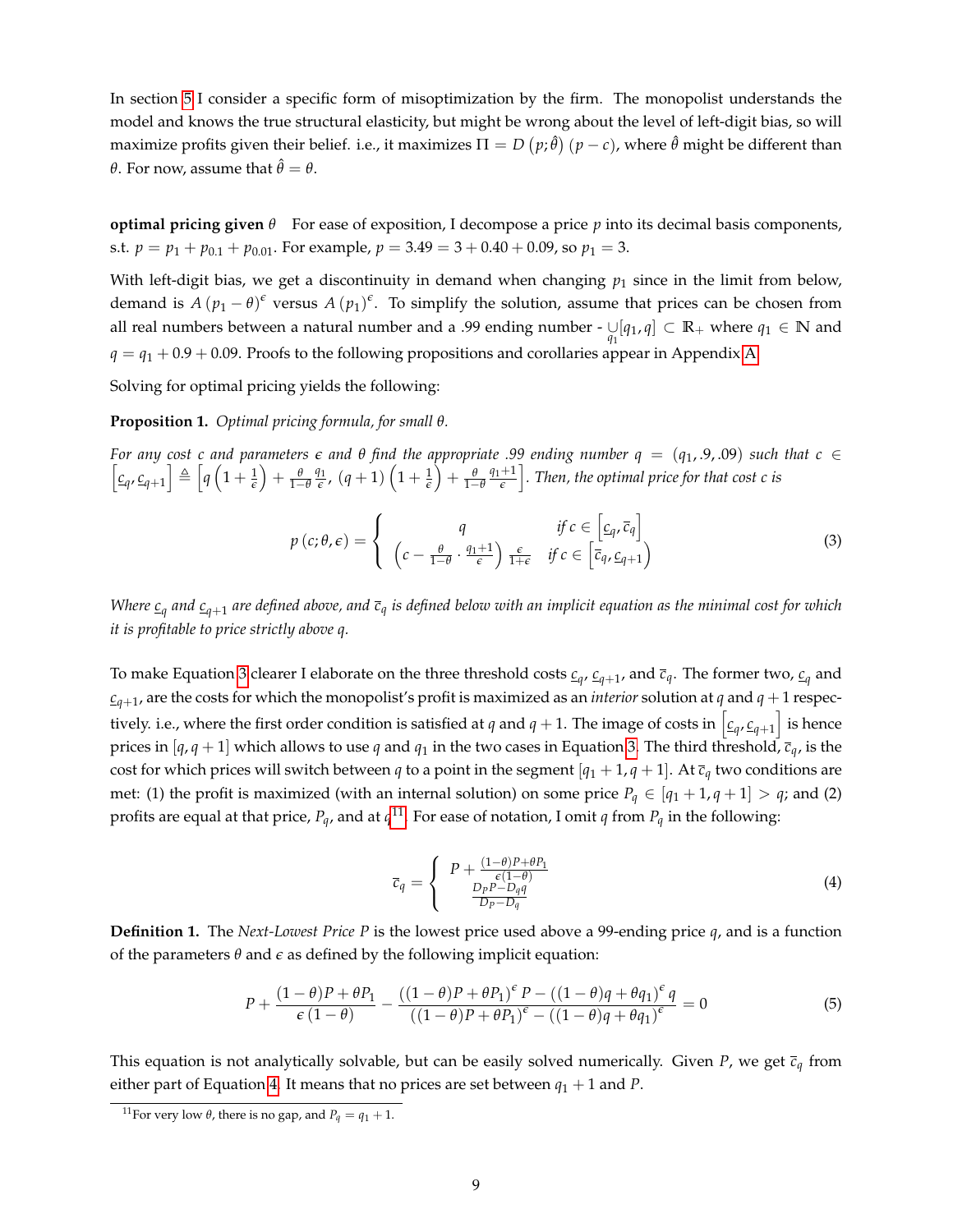In section [5](#page-20-0) I consider a specific form of misoptimization by the firm. The monopolist understands the model and knows the true structural elasticity, but might be wrong about the level of left-digit bias, so will maximize profits given their belief. i.e., it maximizes  $\Pi=D\left(p;\hat{\theta}\right)(p-c)$ , where  $\hat{\theta}$  might be different than *θ*. For now, assume that  $\hat{\theta} = \theta$ .

**optimal pricing given**  $\theta$  For ease of exposition, I decompose a price  $p$  into its decimal basis components, s.t.  $p = p_1 + p_{0.1} + p_{0.01}$ . For example,  $p = 3.49 = 3 + 0.40 + 0.09$ , so  $p_1 = 3$ .

With left-digit bias, we get a discontinuity in demand when changing  $p_1$  since in the limit from below, demand is  $A(p_1 - \theta)^{\epsilon}$  versus  $A(p_1)^{\epsilon}$ . To simplify the solution, assume that prices can be chosen from all real numbers between a natural number and a .99 ending number -  $\bigcup_{q_1} [q_1, q] \subset \mathbb{R}_+$  where  $q_1 \in \mathbb{N}$  and  $q = q_1 + 0.9 + 0.09$ . Proofs to the following propositions and corollaries appear in Appendix [A.](#page-38-0)

Solving for optimal pricing yields the following:

<span id="page-8-4"></span>**Proposition 1.** *Optimal pricing formula, for small θ.*

*For any cost c and parameters*  $\epsilon$  *and*  $\theta$  *find the appropriate .99 ending number*  $q = (q_1, 9, 09)$  *such that*  $c \in$  $\left[ \underline{c}_q, \underline{c}_{q+1} \right] \triangleq \left[ q \left( 1 + \frac{1}{\epsilon} \right) + \frac{\theta}{1-\theta} \frac{q_1}{\epsilon} \right]$  $\frac{d1}{\epsilon}$ ,  $(q+1)\left(1+\frac{1}{\epsilon}\right)+\frac{\theta}{1-\theta}$ *q*1+1  $\left\lfloor\frac{+1}{\epsilon}\right\rfloor$ . Then, the optimal price for that cost **c** is

<span id="page-8-0"></span>
$$
p(c; \theta, \epsilon) = \begin{cases} q & \text{if } c \in \left[c_q, \overline{c}_q\right] \\ \left(c - \frac{\theta}{1 - \theta} \cdot \frac{q_1 + 1}{\epsilon}\right) \frac{\epsilon}{1 + \epsilon} & \text{if } c \in \left[\overline{c}_q, \underline{c}_{q+1}\right) \end{cases}
$$
(3)

*Where c<sup>q</sup> and cq*+<sup>1</sup> *are defined above, and c<sup>q</sup> is defined below with an implicit equation as the minimal cost for which it is profitable to price strictly above q.*

To make Equation [3](#page-8-0) clearer I elaborate on the three threshold costs  $c_{q}$ ,  $c_{q+1}$ , and  $\bar c_q$ . The former two,  $c_q$  and  $c_{q+1}$ , are the costs for which the monopolist's profit is maximized as an *interior* solution at *q* and *q* + 1 respectively. i.e., where the first order condition is satisfied at  $q$  and  $q+1$ . The image of costs in  $\left[\frac{c}{4},\frac{c}{q+1}\right]$  is hence prices in [ $q$ ,  $q$  + 1] which allows to use  $q$  and  $q_1$  in the two cases in Equation [3.](#page-8-0) The third threshold,  $\bar{c}_q$ , is the cost for which prices will switch between *q* to a point in the segment  $[q_1 + 1, q + 1]$ . At  $\bar{c}_q$  two conditions are met: (1) the profit is maximized (with an internal solution) on some price  $P_q \in [q_1 + 1, q + 1] > q$ ; and (2) profits are equal at that price,  $P_q$ , and at  $q^{11}$  $q^{11}$  $q^{11}$ . For ease of notation, I omit  $q$  from  $P_q$  in the following:

<span id="page-8-2"></span>
$$
\overline{c}_q = \begin{cases} P + \frac{(1-\theta)P + \theta P_1}{\epsilon(1-\theta)} \\ \frac{D_P P - D_q q}{D_P - D_q} \end{cases}
$$
\n(4)

**Definition 1.** The *Next-Lowest Price P* is the lowest price used above a 99-ending price *q*, and is a function of the parameters *θ* and *e* as defined by the following implicit equation:

<span id="page-8-3"></span>
$$
P + \frac{(1-\theta)P + \theta P_1}{\epsilon(1-\theta)} - \frac{((1-\theta)P + \theta P_1)^{\epsilon}P - ((1-\theta)q + \theta q_1)^{\epsilon}q}{((1-\theta)P + \theta P_1)^{\epsilon} - ((1-\theta)q + \theta q_1)^{\epsilon}} = 0
$$
\n(5)

This equation is not analytically solvable, but can be easily solved numerically. Given *P*, we get  $\bar{c}_q$  from either part of Equation [4.](#page-8-2) It means that no prices are set between  $q_1 + 1$  and *P*.

<span id="page-8-1"></span><sup>&</sup>lt;sup>11</sup>For very low  $\theta$ , there is no gap, and  $P_q = q_1 + 1$ .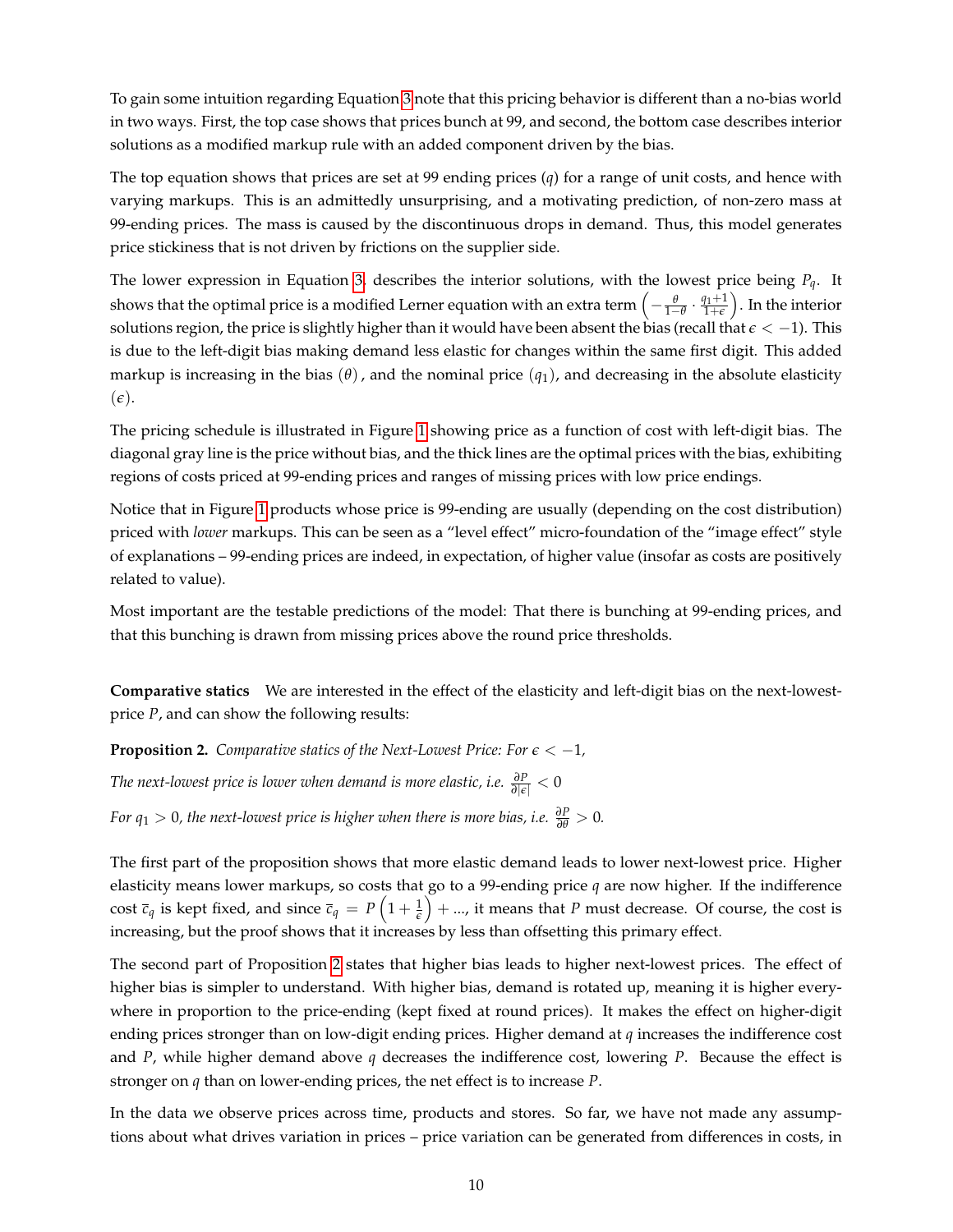To gain some intuition regarding Equation [3](#page-8-0) note that this pricing behavior is different than a no-bias world in two ways. First, the top case shows that prices bunch at 99, and second, the bottom case describes interior solutions as a modified markup rule with an added component driven by the bias.

The top equation shows that prices are set at 99 ending prices (*q*) for a range of unit costs, and hence with varying markups. This is an admittedly unsurprising, and a motivating prediction, of non-zero mass at 99-ending prices. The mass is caused by the discontinuous drops in demand. Thus, this model generates price stickiness that is not driven by frictions on the supplier side.

The lower expression in Equation [3,](#page-8-0) describes the interior solutions, with the lowest price being *Pq*. It shows that the optimal price is a modified Lerner equation with an extra term  $\left(-\frac{\theta}{1-\theta}\cdot\frac{q_1+1}{1+\epsilon}\right)$  $\frac{d^{1}+1}{d+\epsilon}\Big).$  In the interior solutions region, the price is slightly higher than it would have been absent the bias (recall that  $\epsilon < -1$ ). This is due to the left-digit bias making demand less elastic for changes within the same first digit. This added markup is increasing in the bias  $(\theta)$ , and the nominal price  $(q_1)$ , and decreasing in the absolute elasticity  $(\epsilon)$ .

The pricing schedule is illustrated in Figure [1](#page-27-0) showing price as a function of cost with left-digit bias. The diagonal gray line is the price without bias, and the thick lines are the optimal prices with the bias, exhibiting regions of costs priced at 99-ending prices and ranges of missing prices with low price endings.

Notice that in Figure [1](#page-27-0) products whose price is 99-ending are usually (depending on the cost distribution) priced with *lower* markups. This can be seen as a "level effect" micro-foundation of the "image effect" style of explanations – 99-ending prices are indeed, in expectation, of higher value (insofar as costs are positively related to value).

Most important are the testable predictions of the model: That there is bunching at 99-ending prices, and that this bunching is drawn from missing prices above the round price thresholds.

**Comparative statics** We are interested in the effect of the elasticity and left-digit bias on the next-lowestprice *P*, and can show the following results:

<span id="page-9-0"></span>**Proposition 2.** Comparative statics of the Next-Lowest Price: For  $\epsilon < -1$ ,

*The next-lowest price is lower when demand is more elastic, i.e. <sup>∂</sup><sup>P</sup> <sup>∂</sup>*|*e*<sup>|</sup> < <sup>0</sup>

*For*  $q_1 > 0$ *, the next-lowest price is higher when there is more bias, i.e.*  $\frac{\partial P}{\partial \theta} > 0$ .

The first part of the proposition shows that more elastic demand leads to lower next-lowest price. Higher elasticity means lower markups, so costs that go to a 99-ending price  $q$  are now higher. If the indifference cost  $\bar{c}_q$  is kept fixed, and since  $\bar{c}_q = P\left(1+\frac{1}{\epsilon}\right) + ...$ , it means that P must decrease. Of course, the cost is increasing, but the proof shows that it increases by less than offsetting this primary effect.

The second part of Proposition [2](#page-9-0) states that higher bias leads to higher next-lowest prices. The effect of higher bias is simpler to understand. With higher bias, demand is rotated up, meaning it is higher everywhere in proportion to the price-ending (kept fixed at round prices). It makes the effect on higher-digit ending prices stronger than on low-digit ending prices. Higher demand at *q* increases the indifference cost and *P*, while higher demand above *q* decreases the indifference cost, lowering *P*. Because the effect is stronger on *q* than on lower-ending prices, the net effect is to increase *P*.

In the data we observe prices across time, products and stores. So far, we have not made any assumptions about what drives variation in prices – price variation can be generated from differences in costs, in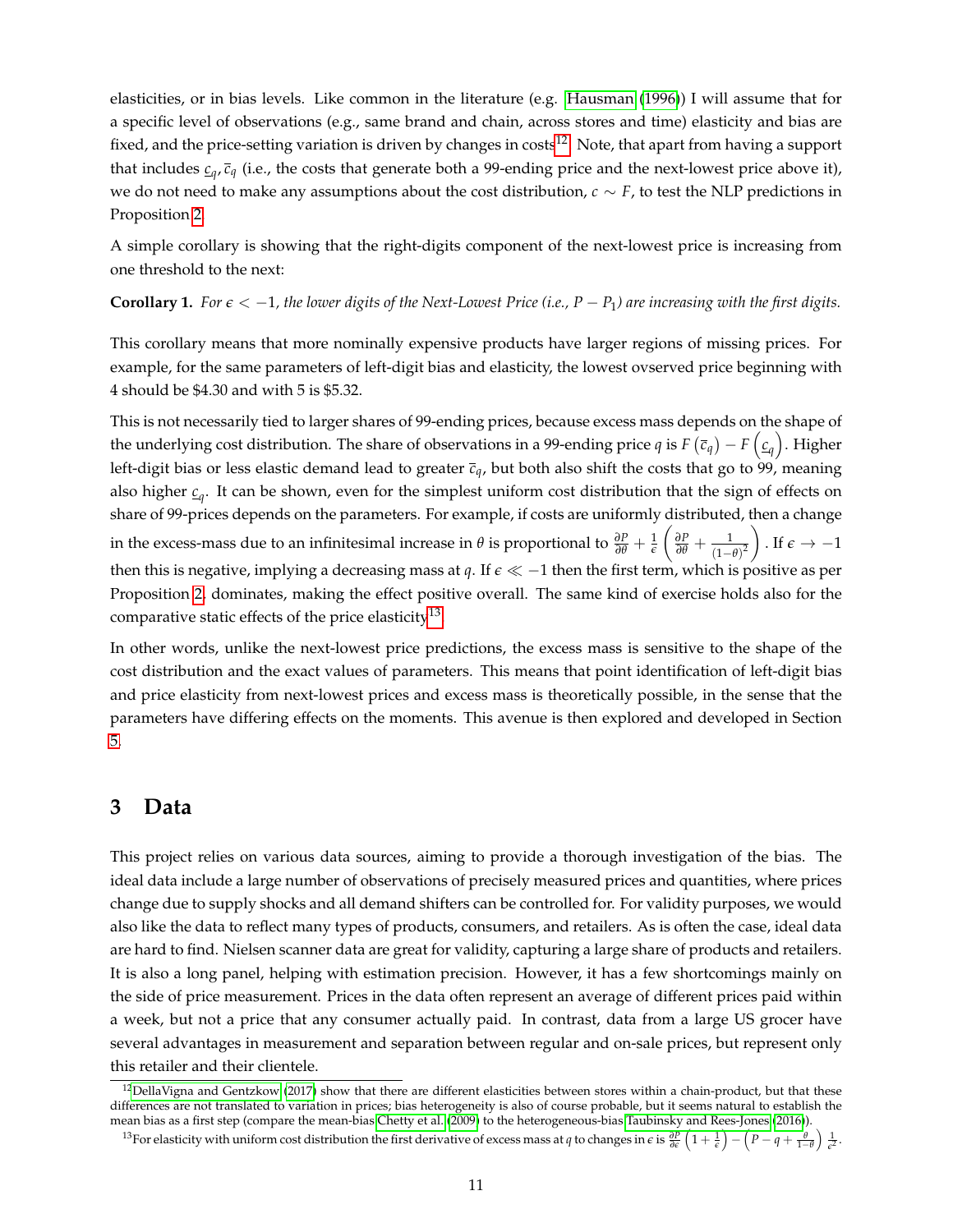elasticities, or in bias levels. Like common in the literature (e.g. [Hausman](#page-50-4) [\(1996\)](#page-50-4)) I will assume that for a specific level of observations (e.g., same brand and chain, across stores and time) elasticity and bias are fixed, and the price-setting variation is driven by changes in costs<sup>[12](#page-10-1)</sup>. Note, that apart from having a support that includes *c<sup>q</sup>* , *c<sup>q</sup>* (i.e., the costs that generate both a 99-ending price and the next-lowest price above it), we do not need to make any assumptions about the cost distribution, *c* ∼ *F*, to test the NLP predictions in Proposition [2.](#page-9-0)

A simple corollary is showing that the right-digits component of the next-lowest price is increasing from one threshold to the next:

<span id="page-10-3"></span>**Corollary 1.** For  $\epsilon < -1$ , the lower digits of the Next-Lowest Price (i.e.,  $P - P_1$ ) are increasing with the first digits.

This corollary means that more nominally expensive products have larger regions of missing prices. For example, for the same parameters of left-digit bias and elasticity, the lowest ovserved price beginning with 4 should be \$4.30 and with 5 is \$5.32.

This is not necessarily tied to larger shares of 99-ending prices, because excess mass depends on the shape of the underlying cost distribution. The share of observations in a 99-ending price  $q$  is  $F\left(\bar{c}_q\right)-F\left(\underline{c}_q\right)$ . Higher left-digit bias or less elastic demand lead to greater *cq*, but both also shift the costs that go to 99, meaning also higher *c<sup>q</sup>* . It can be shown, even for the simplest uniform cost distribution that the sign of effects on share of 99-prices depends on the parameters. For example, if costs are uniformly distributed, then a change in the excess-mass due to an infinitesimal increase in  $\theta$  is proportional to  $\frac{\partial P}{\partial \theta} + \frac{1}{\epsilon}$  $\left(\frac{\partial P}{\partial \theta} + \frac{1}{(1-\theta)^2}\right)$ ). If  $\epsilon \to -1$ then this is negative, implying a decreasing mass at *q*. If  $\epsilon \ll -1$  then the first term, which is positive as per Proposition [2,](#page-9-0) dominates, making the effect positive overall. The same kind of exercise holds also for the comparative static effects of the price elasticity<sup>[13](#page-10-2)</sup>.

In other words, unlike the next-lowest price predictions, the excess mass is sensitive to the shape of the cost distribution and the exact values of parameters. This means that point identification of left-digit bias and price elasticity from next-lowest prices and excess mass is theoretically possible, in the sense that the parameters have differing effects on the moments. This avenue is then explored and developed in Section [5.](#page-20-0)

## <span id="page-10-0"></span>**3 Data**

This project relies on various data sources, aiming to provide a thorough investigation of the bias. The ideal data include a large number of observations of precisely measured prices and quantities, where prices change due to supply shocks and all demand shifters can be controlled for. For validity purposes, we would also like the data to reflect many types of products, consumers, and retailers. As is often the case, ideal data are hard to find. Nielsen scanner data are great for validity, capturing a large share of products and retailers. It is also a long panel, helping with estimation precision. However, it has a few shortcomings mainly on the side of price measurement. Prices in the data often represent an average of different prices paid within a week, but not a price that any consumer actually paid. In contrast, data from a large US grocer have several advantages in measurement and separation between regular and on-sale prices, but represent only this retailer and their clientele.

<span id="page-10-1"></span> $12$ [DellaVigna and Gentzkow](#page-49-13) [\(2017\)](#page-49-13) show that there are different elasticities between stores within a chain-product, but that these differences are not translated to variation in prices; bias heterogeneity is also of course probable, but it seems natural to establish the mean bias as a first step (compare the mean-bias [Chetty et al.](#page-49-2) [\(2009\)](#page-49-2) to the heterogeneous-bias [Taubinsky and Rees-Jones](#page-51-13) [\(2016\)](#page-51-13)).

<span id="page-10-2"></span><sup>&</sup>lt;sup>13</sup>For elasticity with uniform cost distribution the first derivative of excess mass at q to changes in  $\epsilon$  is  $\frac{\partial P}{\partial \epsilon}\left(1+\frac{1}{\epsilon}\right)-\left(P-q+\frac{\theta}{1-\theta}\right)\frac{1}{\epsilon^2}$ .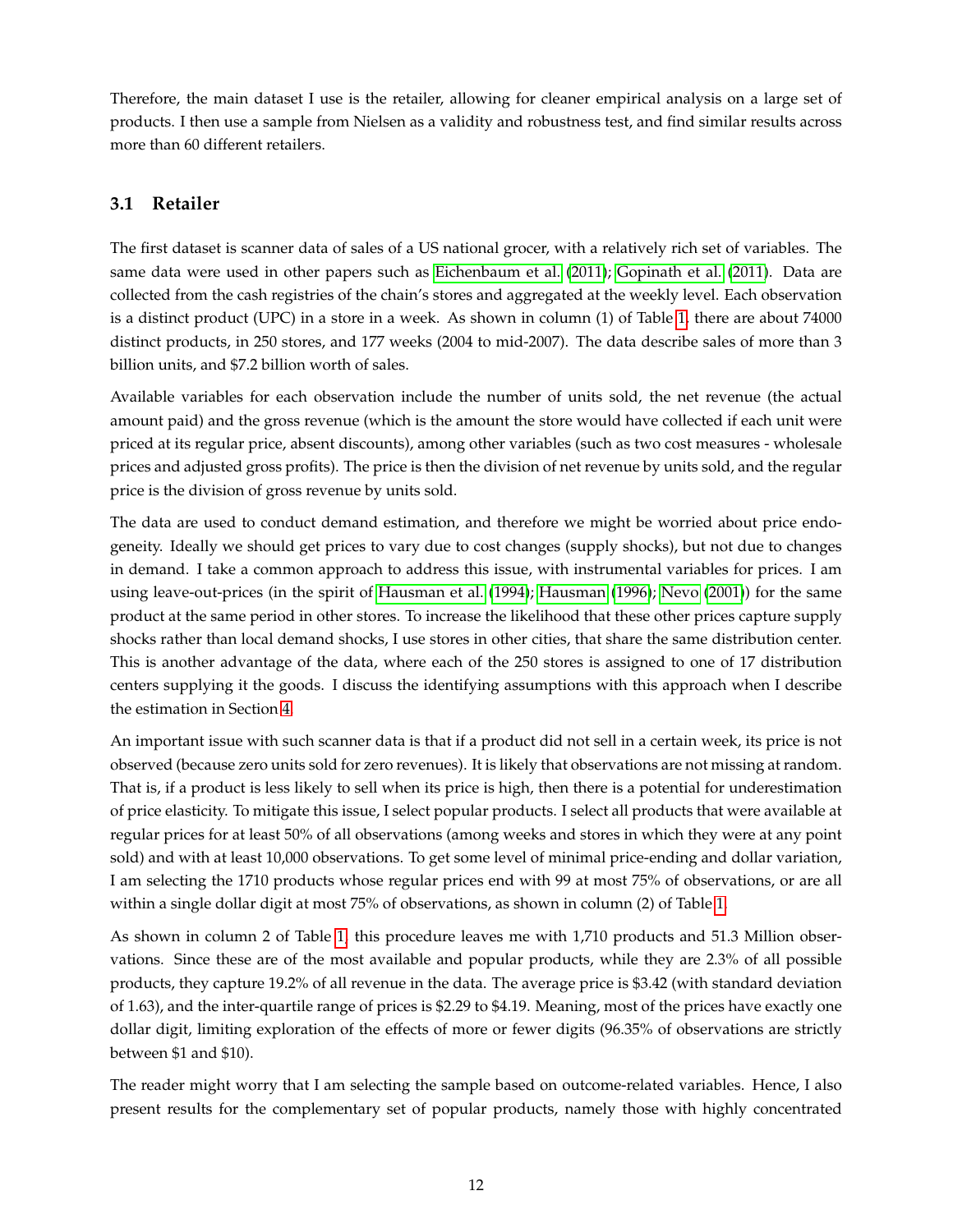Therefore, the main dataset I use is the retailer, allowing for cleaner empirical analysis on a large set of products. I then use a sample from Nielsen as a validity and robustness test, and find similar results across more than 60 different retailers.

## **3.1 Retailer**

The first dataset is scanner data of sales of a US national grocer, with a relatively rich set of variables. The same data were used in other papers such as [Eichenbaum et al.](#page-49-17) [\(2011\)](#page-49-17); [Gopinath et al.](#page-50-12) [\(2011\)](#page-50-12). Data are collected from the cash registries of the chain's stores and aggregated at the weekly level. Each observation is a distinct product (UPC) in a store in a week. As shown in column (1) of Table [1,](#page-34-0) there are about 74000 distinct products, in 250 stores, and 177 weeks (2004 to mid-2007). The data describe sales of more than 3 billion units, and \$7.2 billion worth of sales.

Available variables for each observation include the number of units sold, the net revenue (the actual amount paid) and the gross revenue (which is the amount the store would have collected if each unit were priced at its regular price, absent discounts), among other variables (such as two cost measures - wholesale prices and adjusted gross profits). The price is then the division of net revenue by units sold, and the regular price is the division of gross revenue by units sold.

The data are used to conduct demand estimation, and therefore we might be worried about price endogeneity. Ideally we should get prices to vary due to cost changes (supply shocks), but not due to changes in demand. I take a common approach to address this issue, with instrumental variables for prices. I am using leave-out-prices (in the spirit of [Hausman et al.](#page-50-13) [\(1994\)](#page-50-13); [Hausman](#page-50-4) [\(1996\)](#page-50-4); [Nevo](#page-50-14) [\(2001\)](#page-50-14)) for the same product at the same period in other stores. To increase the likelihood that these other prices capture supply shocks rather than local demand shocks, I use stores in other cities, that share the same distribution center. This is another advantage of the data, where each of the 250 stores is assigned to one of 17 distribution centers supplying it the goods. I discuss the identifying assumptions with this approach when I describe the estimation in Section [4.](#page-13-0)

An important issue with such scanner data is that if a product did not sell in a certain week, its price is not observed (because zero units sold for zero revenues). It is likely that observations are not missing at random. That is, if a product is less likely to sell when its price is high, then there is a potential for underestimation of price elasticity. To mitigate this issue, I select popular products. I select all products that were available at regular prices for at least 50% of all observations (among weeks and stores in which they were at any point sold) and with at least 10,000 observations. To get some level of minimal price-ending and dollar variation, I am selecting the 1710 products whose regular prices end with 99 at most 75% of observations, or are all within a single dollar digit at most 75% of observations, as shown in column (2) of Table [1.](#page-34-0)

As shown in column 2 of Table [1,](#page-34-0) this procedure leaves me with 1,710 products and 51.3 Million observations. Since these are of the most available and popular products, while they are 2.3% of all possible products, they capture 19.2% of all revenue in the data. The average price is \$3.42 (with standard deviation of 1.63), and the inter-quartile range of prices is \$2.29 to \$4.19. Meaning, most of the prices have exactly one dollar digit, limiting exploration of the effects of more or fewer digits (96.35% of observations are strictly between \$1 and \$10).

The reader might worry that I am selecting the sample based on outcome-related variables. Hence, I also present results for the complementary set of popular products, namely those with highly concentrated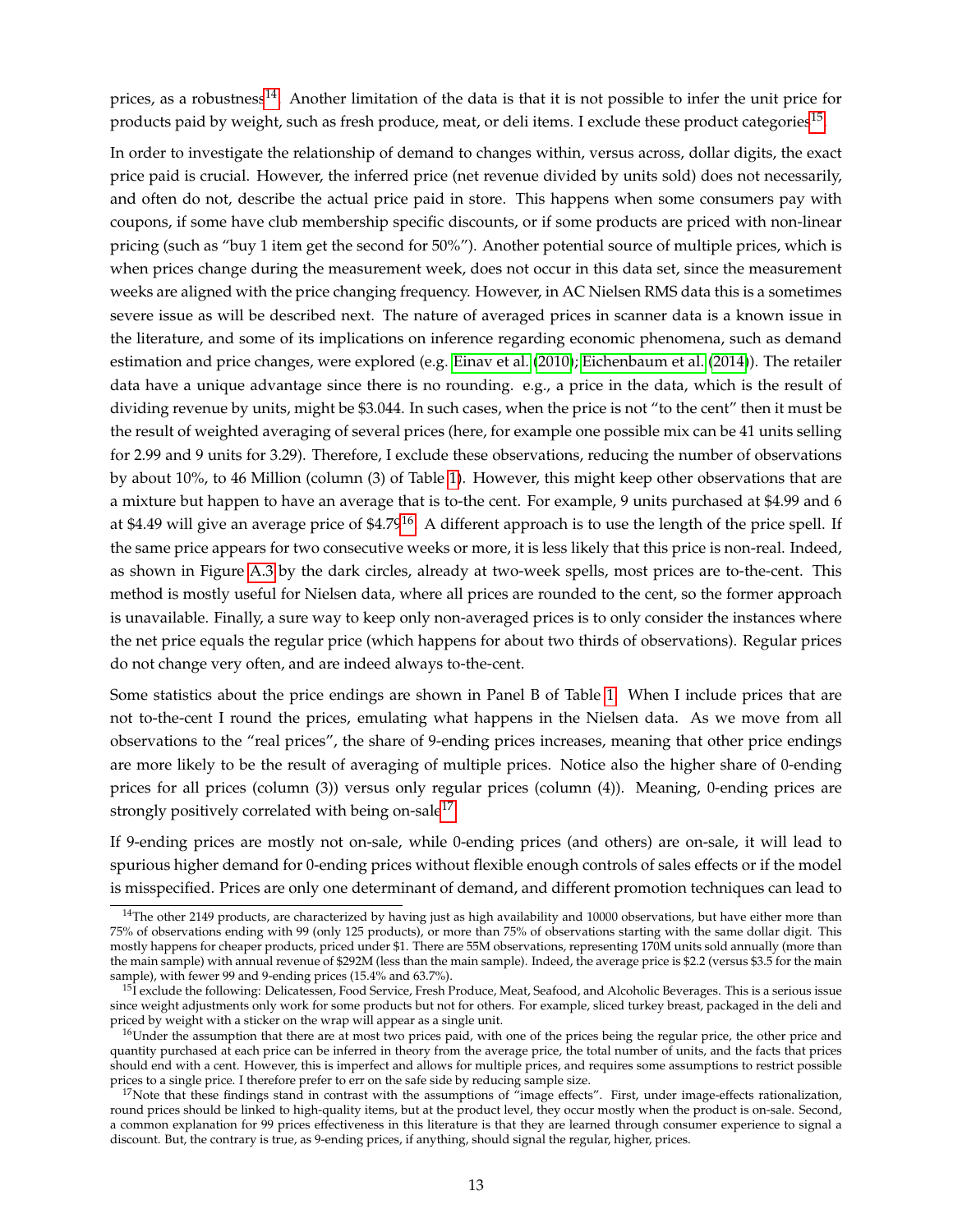prices, as a robustness<sup>[14](#page-12-0)</sup>. Another limitation of the data is that it is not possible to infer the unit price for products paid by weight, such as fresh produce, meat, or deli items. I exclude these product categories $^{15}$  $^{15}$  $^{15}$ .

In order to investigate the relationship of demand to changes within, versus across, dollar digits, the exact price paid is crucial. However, the inferred price (net revenue divided by units sold) does not necessarily, and often do not, describe the actual price paid in store. This happens when some consumers pay with coupons, if some have club membership specific discounts, or if some products are priced with non-linear pricing (such as "buy 1 item get the second for 50%"). Another potential source of multiple prices, which is when prices change during the measurement week, does not occur in this data set, since the measurement weeks are aligned with the price changing frequency. However, in AC Nielsen RMS data this is a sometimes severe issue as will be described next. The nature of averaged prices in scanner data is a known issue in the literature, and some of its implications on inference regarding economic phenomena, such as demand estimation and price changes, were explored (e.g. [Einav et al.](#page-49-18) [\(2010\)](#page-49-18); [Eichenbaum et al.](#page-49-19) [\(2014\)](#page-49-19)). The retailer data have a unique advantage since there is no rounding. e.g., a price in the data, which is the result of dividing revenue by units, might be \$3.044. In such cases, when the price is not "to the cent" then it must be the result of weighted averaging of several prices (here, for example one possible mix can be 41 units selling for 2.99 and 9 units for 3.29). Therefore, I exclude these observations, reducing the number of observations by about 10%, to 46 Million (column (3) of Table [1\)](#page-34-0). However, this might keep other observations that are a mixture but happen to have an average that is to-the cent. For example, 9 units purchased at \$4.99 and 6 at \$4.49 will give an average price of  $$4.79<sup>16</sup>$  $$4.79<sup>16</sup>$  $$4.79<sup>16</sup>$ . A different approach is to use the length of the price spell. If the same price appears for two consecutive weeks or more, it is less likely that this price is non-real. Indeed, as shown in Figure [A.3](#page-54-0) by the dark circles, already at two-week spells, most prices are to-the-cent. This method is mostly useful for Nielsen data, where all prices are rounded to the cent, so the former approach is unavailable. Finally, a sure way to keep only non-averaged prices is to only consider the instances where the net price equals the regular price (which happens for about two thirds of observations). Regular prices do not change very often, and are indeed always to-the-cent.

Some statistics about the price endings are shown in Panel B of Table [1.](#page-34-0) When I include prices that are not to-the-cent I round the prices, emulating what happens in the Nielsen data. As we move from all observations to the "real prices", the share of 9-ending prices increases, meaning that other price endings are more likely to be the result of averaging of multiple prices. Notice also the higher share of 0-ending prices for all prices (column (3)) versus only regular prices (column (4)). Meaning, 0-ending prices are strongly positively correlated with being on-sale $^{17}$  $^{17}$  $^{17}$ .

If 9-ending prices are mostly not on-sale, while 0-ending prices (and others) are on-sale, it will lead to spurious higher demand for 0-ending prices without flexible enough controls of sales effects or if the model is misspecified. Prices are only one determinant of demand, and different promotion techniques can lead to

<span id="page-12-0"></span> $14$ The other 2149 products, are characterized by having just as high availability and 10000 observations, but have either more than 75% of observations ending with 99 (only 125 products), or more than 75% of observations starting with the same dollar digit. This mostly happens for cheaper products, priced under \$1. There are 55M observations, representing 170M units sold annually (more than the main sample) with annual revenue of \$292M (less than the main sample). Indeed, the average price is \$2.2 (versus \$3.5 for the main sample), with fewer 99 and 9-ending prices (15.4% and 63.7%).

<span id="page-12-1"></span> $15$ I exclude the following: Delicatessen, Food Service, Fresh Produce, Meat, Seafood, and Alcoholic Beverages. This is a serious issue since weight adjustments only work for some products but not for others. For example, sliced turkey breast, packaged in the deli and priced by weight with a sticker on the wrap will appear as a single unit.

<span id="page-12-2"></span><sup>&</sup>lt;sup>16</sup>Under the assumption that there are at most two prices paid, with one of the prices being the regular price, the other price and quantity purchased at each price can be inferred in theory from the average price, the total number of units, and the facts that prices should end with a cent. However, this is imperfect and allows for multiple prices, and requires some assumptions to restrict possible prices to a single price. I therefore prefer to err on the safe side by reducing sample size.

<span id="page-12-3"></span> $17$ Note that these findings stand in contrast with the assumptions of "image effects". First, under image-effects rationalization, round prices should be linked to high-quality items, but at the product level, they occur mostly when the product is on-sale. Second, a common explanation for 99 prices effectiveness in this literature is that they are learned through consumer experience to signal a discount. But, the contrary is true, as 9-ending prices, if anything, should signal the regular, higher, prices.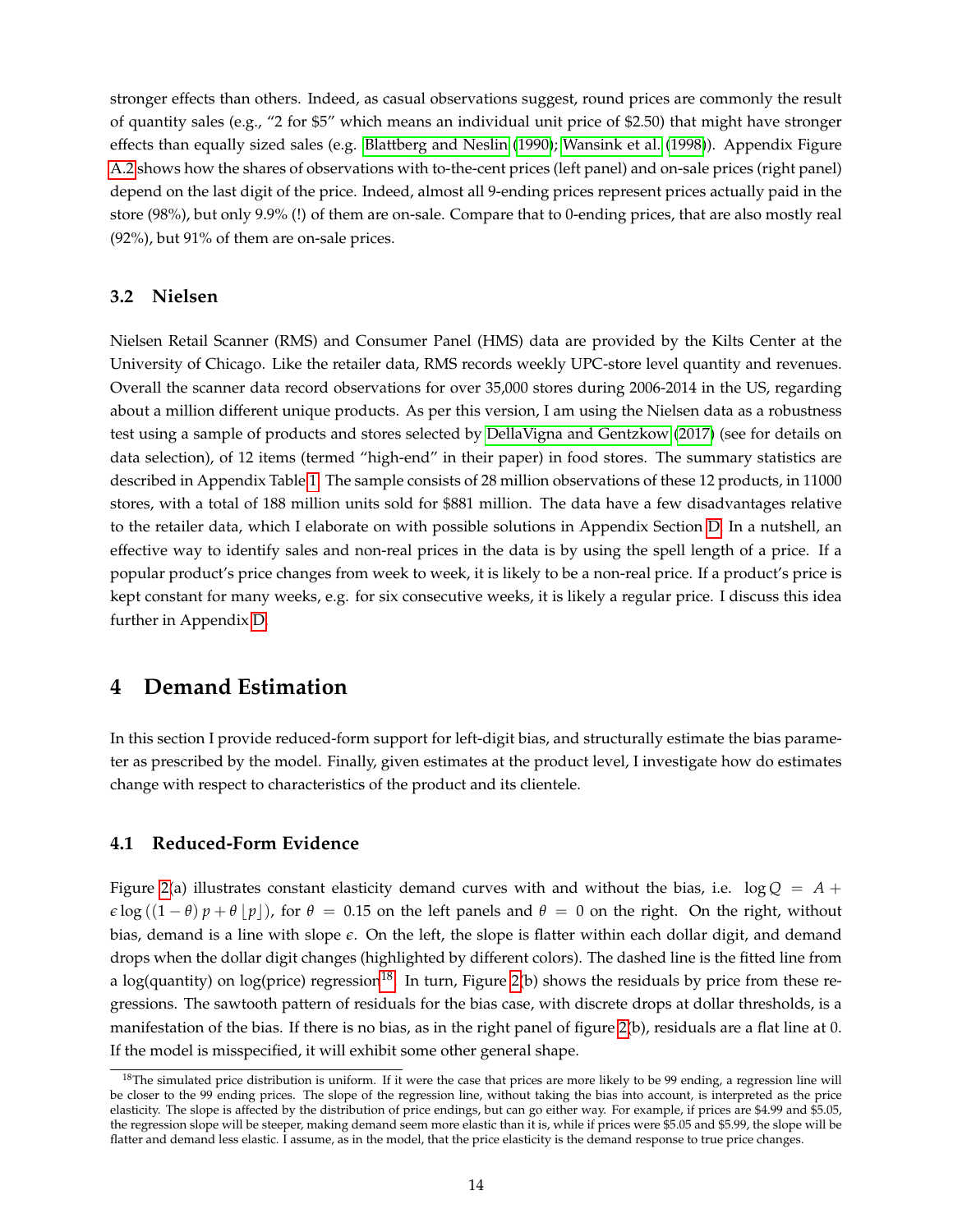stronger effects than others. Indeed, as casual observations suggest, round prices are commonly the result of quantity sales (e.g., "2 for \$5" which means an individual unit price of \$2.50) that might have stronger effects than equally sized sales (e.g. [Blattberg and Neslin](#page-48-13) [\(1990\)](#page-48-13); [Wansink et al.](#page-51-14) [\(1998\)](#page-51-14)). Appendix Figure [A.2](#page-53-0) shows how the shares of observations with to-the-cent prices (left panel) and on-sale prices (right panel) depend on the last digit of the price. Indeed, almost all 9-ending prices represent prices actually paid in the store (98%), but only 9.9% (!) of them are on-sale. Compare that to 0-ending prices, that are also mostly real (92%), but 91% of them are on-sale prices.

### **3.2 Nielsen**

Nielsen Retail Scanner (RMS) and Consumer Panel (HMS) data are provided by the Kilts Center at the University of Chicago. Like the retailer data, RMS records weekly UPC-store level quantity and revenues. Overall the scanner data record observations for over 35,000 stores during 2006-2014 in the US, regarding about a million different unique products. As per this version, I am using the Nielsen data as a robustness test using a sample of products and stores selected by [DellaVigna and Gentzkow](#page-49-13) [\(2017\)](#page-49-13) (see for details on data selection), of 12 items (termed "high-end" in their paper) in food stores. The summary statistics are described in Appendix Table [1.](#page-34-0) The sample consists of 28 million observations of these 12 products, in 11000 stores, with a total of 188 million units sold for \$881 million. The data have a few disadvantages relative to the retailer data, which I elaborate on with possible solutions in Appendix Section [D.](#page-45-0) In a nutshell, an effective way to identify sales and non-real prices in the data is by using the spell length of a price. If a popular product's price changes from week to week, it is likely to be a non-real price. If a product's price is kept constant for many weeks, e.g. for six consecutive weeks, it is likely a regular price. I discuss this idea further in Appendix [D.](#page-45-0)

## <span id="page-13-0"></span>**4 Demand Estimation**

In this section I provide reduced-form support for left-digit bias, and structurally estimate the bias parameter as prescribed by the model. Finally, given estimates at the product level, I investigate how do estimates change with respect to characteristics of the product and its clientele.

### <span id="page-13-2"></span>**4.1 Reduced-Form Evidence**

Figure [2\(](#page-28-0)a) illustrates constant elasticity demand curves with and without the bias, i.e.  $log Q = A +$  $\epsilon$  log  $((1 - \theta) p + \theta | p|)$ , for  $\theta = 0.15$  on the left panels and  $\theta = 0$  on the right. On the right, without bias, demand is a line with slope *e*. On the left, the slope is flatter within each dollar digit, and demand drops when the dollar digit changes (highlighted by different colors). The dashed line is the fitted line from a log(quantity) on log(price) regression<sup>[18](#page-13-1)</sup>. In turn, Figure [2\(](#page-28-0)b) shows the residuals by price from these regressions. The sawtooth pattern of residuals for the bias case, with discrete drops at dollar thresholds, is a manifestation of the bias. If there is no bias, as in the right panel of figure [2\(](#page-28-0)b), residuals are a flat line at 0. If the model is misspecified, it will exhibit some other general shape.

<span id="page-13-1"></span> $18$ The simulated price distribution is uniform. If it were the case that prices are more likely to be 99 ending, a regression line will be closer to the 99 ending prices. The slope of the regression line, without taking the bias into account, is interpreted as the price elasticity. The slope is affected by the distribution of price endings, but can go either way. For example, if prices are \$4.99 and \$5.05, the regression slope will be steeper, making demand seem more elastic than it is, while if prices were \$5.05 and \$5.99, the slope will be flatter and demand less elastic. I assume, as in the model, that the price elasticity is the demand response to true price changes.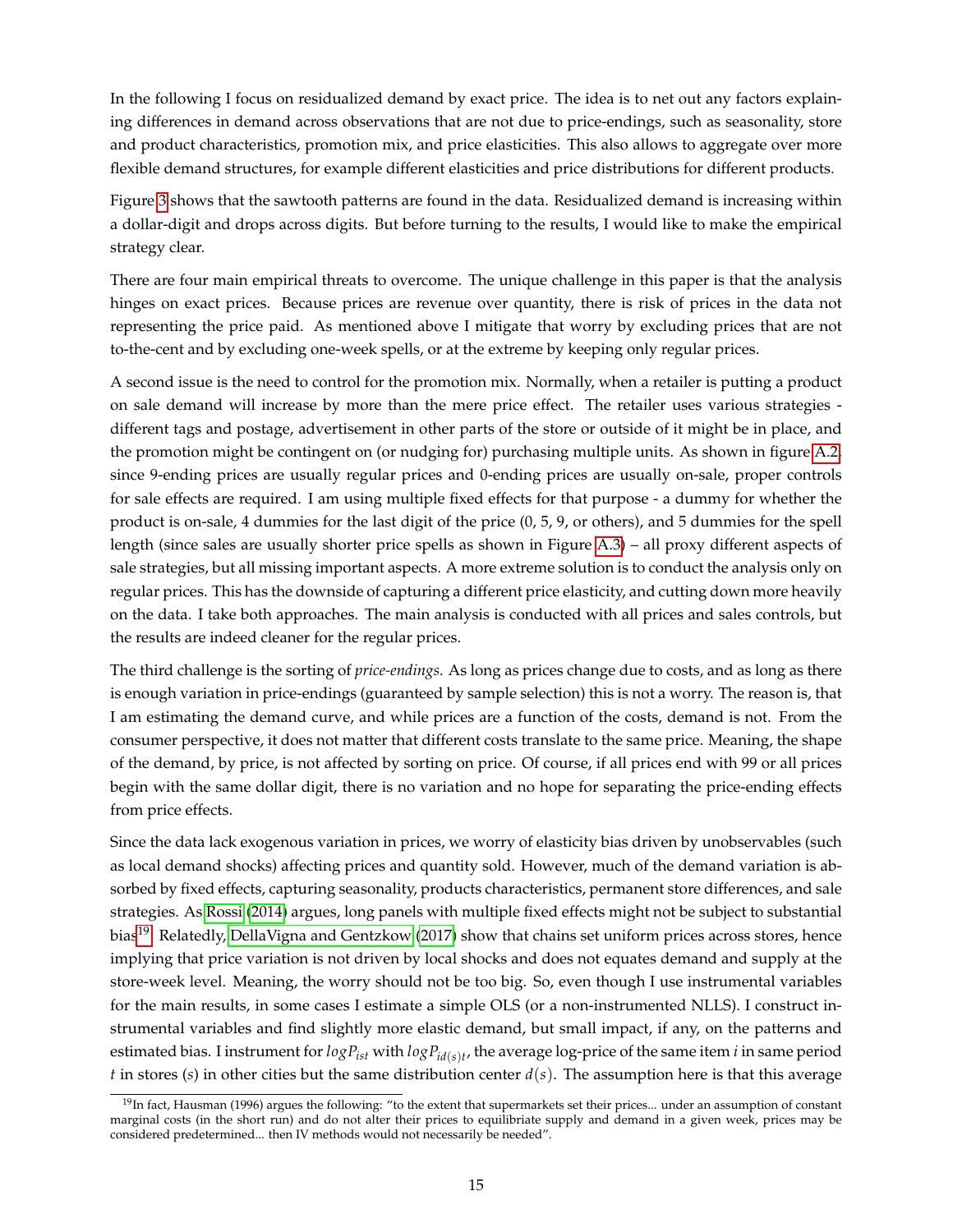In the following I focus on residualized demand by exact price. The idea is to net out any factors explaining differences in demand across observations that are not due to price-endings, such as seasonality, store and product characteristics, promotion mix, and price elasticities. This also allows to aggregate over more flexible demand structures, for example different elasticities and price distributions for different products.

Figure [3](#page-29-0) shows that the sawtooth patterns are found in the data. Residualized demand is increasing within a dollar-digit and drops across digits. But before turning to the results, I would like to make the empirical strategy clear.

There are four main empirical threats to overcome. The unique challenge in this paper is that the analysis hinges on exact prices. Because prices are revenue over quantity, there is risk of prices in the data not representing the price paid. As mentioned above I mitigate that worry by excluding prices that are not to-the-cent and by excluding one-week spells, or at the extreme by keeping only regular prices.

A second issue is the need to control for the promotion mix. Normally, when a retailer is putting a product on sale demand will increase by more than the mere price effect. The retailer uses various strategies different tags and postage, advertisement in other parts of the store or outside of it might be in place, and the promotion might be contingent on (or nudging for) purchasing multiple units. As shown in figure [A.2,](#page-53-0) since 9-ending prices are usually regular prices and 0-ending prices are usually on-sale, proper controls for sale effects are required. I am using multiple fixed effects for that purpose - a dummy for whether the product is on-sale, 4 dummies for the last digit of the price (0, 5, 9, or others), and 5 dummies for the spell length (since sales are usually shorter price spells as shown in Figure [A.3\)](#page-54-0) – all proxy different aspects of sale strategies, but all missing important aspects. A more extreme solution is to conduct the analysis only on regular prices. This has the downside of capturing a different price elasticity, and cutting down more heavily on the data. I take both approaches. The main analysis is conducted with all prices and sales controls, but the results are indeed cleaner for the regular prices.

The third challenge is the sorting of *price-endings*. As long as prices change due to costs, and as long as there is enough variation in price-endings (guaranteed by sample selection) this is not a worry. The reason is, that I am estimating the demand curve, and while prices are a function of the costs, demand is not. From the consumer perspective, it does not matter that different costs translate to the same price. Meaning, the shape of the demand, by price, is not affected by sorting on price. Of course, if all prices end with 99 or all prices begin with the same dollar digit, there is no variation and no hope for separating the price-ending effects from price effects.

Since the data lack exogenous variation in prices, we worry of elasticity bias driven by unobservables (such as local demand shocks) affecting prices and quantity sold. However, much of the demand variation is absorbed by fixed effects, capturing seasonality, products characteristics, permanent store differences, and sale strategies. As [Rossi](#page-51-15) [\(2014\)](#page-51-15) argues, long panels with multiple fixed effects might not be subject to substantial bias<sup>[19](#page-14-0)</sup>. Relatedly, [DellaVigna and Gentzkow](#page-49-13) [\(2017\)](#page-49-13) show that chains set uniform prices across stores, hence implying that price variation is not driven by local shocks and does not equates demand and supply at the store-week level. Meaning, the worry should not be too big. So, even though I use instrumental variables for the main results, in some cases I estimate a simple OLS (or a non-instrumented NLLS). I construct instrumental variables and find slightly more elastic demand, but small impact, if any, on the patterns and estimated bias. I instrument for *logPist* with *logPid*(*s*)*<sup>t</sup>* , the average log-price of the same item *i* in same period *t* in stores (*s*) in other cities but the same distribution center *d*(*s*). The assumption here is that this average

<span id="page-14-0"></span> $19$ In fact, Hausman (1996) argues the following: "to the extent that supermarkets set their prices... under an assumption of constant marginal costs (in the short run) and do not alter their prices to equilibriate supply and demand in a given week, prices may be considered predetermined... then IV methods would not necessarily be needed".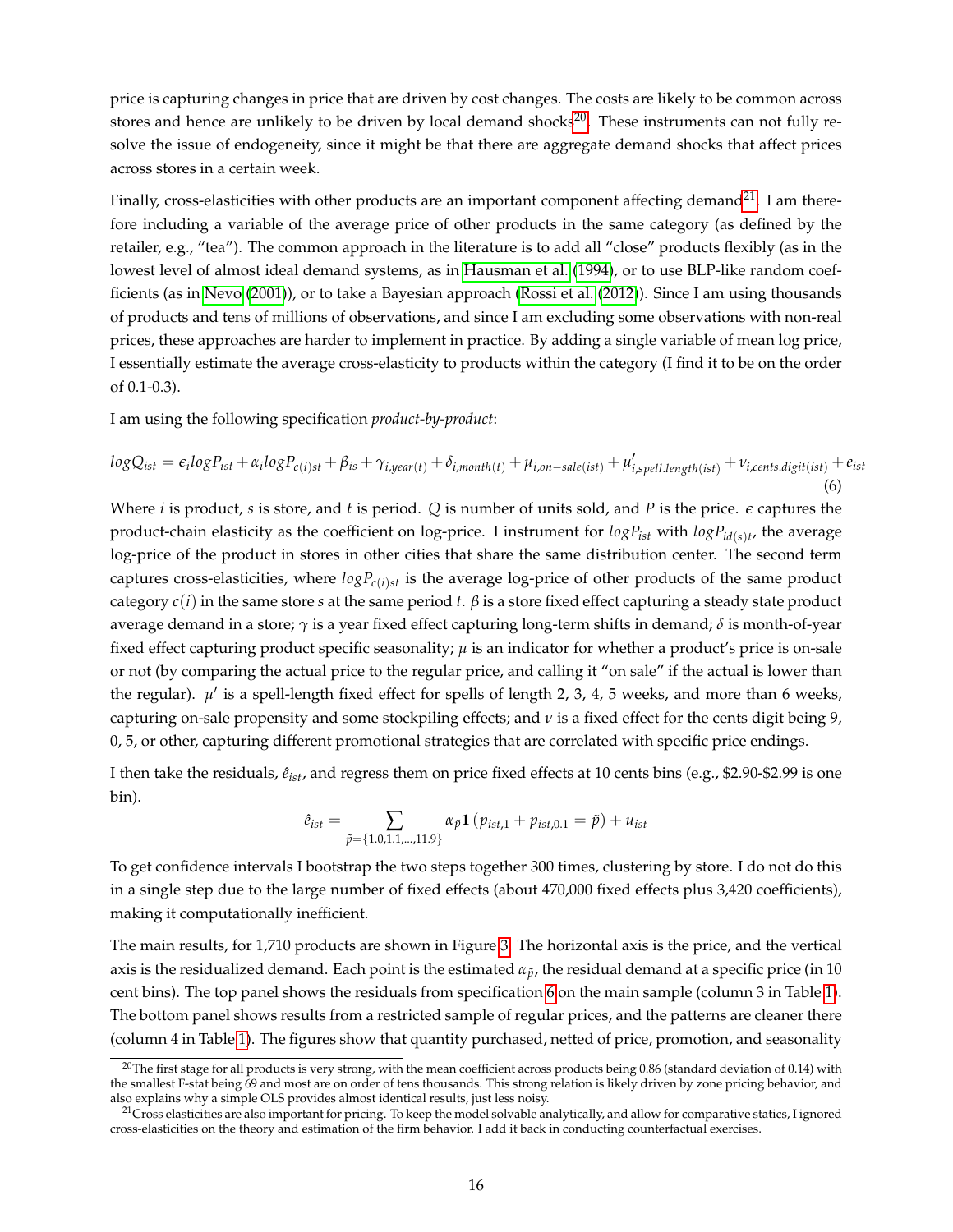price is capturing changes in price that are driven by cost changes. The costs are likely to be common across stores and hence are unlikely to be driven by local demand shocks $^{20}$  $^{20}$  $^{20}$ . These instruments can not fully resolve the issue of endogeneity, since it might be that there are aggregate demand shocks that affect prices across stores in a certain week.

Finally, cross-elasticities with other products are an important component affecting demand<sup>[21](#page-15-1)</sup>. I am therefore including a variable of the average price of other products in the same category (as defined by the retailer, e.g., "tea"). The common approach in the literature is to add all "close" products flexibly (as in the lowest level of almost ideal demand systems, as in [Hausman et al.](#page-50-13) [\(1994\)](#page-50-13), or to use BLP-like random coefficients (as in [Nevo](#page-50-14) [\(2001\)](#page-50-14)), or to take a Bayesian approach [\(Rossi et al.](#page-51-16) [\(2012\)](#page-51-16)). Since I am using thousands of products and tens of millions of observations, and since I am excluding some observations with non-real prices, these approaches are harder to implement in practice. By adding a single variable of mean log price, I essentially estimate the average cross-elasticity to products within the category (I find it to be on the order of 0.1-0.3).

I am using the following specification *product-by-product*:

<span id="page-15-2"></span>
$$
logQ_{ist} = \epsilon_i logP_{ist} + \alpha_i logP_{c(i)st} + \beta_{is} + \gamma_{i, year(t)} + \delta_{i, month(t)} + \mu_{i, on-sale(ist)} + \mu'_{i, spell.length(ist)} + \nu_{i, cents. digit(ist)} + \epsilon_{ist}
$$
\n(6)

Where *i* is product, *s* is store, and *t* is period. *Q* is number of units sold, and *P* is the price. *e* captures the product-chain elasticity as the coefficient on log-price. I instrument for  $logP_{ist}$  with  $logP_{id(s)t}$ , the average log-price of the product in stores in other cities that share the same distribution center. The second term captures cross-elasticities, where  $logP_{c(i)st}$  is the average  $log$ -price of other products of the same product category  $c(i)$  in the same store *s* at the same period *t*.  $\beta$  is a store fixed effect capturing a steady state product average demand in a store; *γ* is a year fixed effect capturing long-term shifts in demand; *δ* is month-of-year fixed effect capturing product specific seasonality; *µ* is an indicator for whether a product's price is on-sale or not (by comparing the actual price to the regular price, and calling it "on sale" if the actual is lower than the regular).  $\mu'$  is a spell-length fixed effect for spells of length 2, 3, 4, 5 weeks, and more than 6 weeks, capturing on-sale propensity and some stockpiling effects; and *ν* is a fixed effect for the cents digit being 9, 0, 5, or other, capturing different promotional strategies that are correlated with specific price endings.

I then take the residuals,  $\hat{e}_{ist}$ , and regress them on price fixed effects at 10 cents bins (e.g., \$2.90-\$2.99 is one bin).

$$
\hat{e}_{ist} = \sum_{\tilde{p} = \{1.0, 1.1, \dots, 11.9\}} \alpha_{\tilde{p}} \mathbf{1} \left( p_{ist,1} + p_{ist,0.1} = \tilde{p} \right) + u_{ist}
$$

To get confidence intervals I bootstrap the two steps together 300 times, clustering by store. I do not do this in a single step due to the large number of fixed effects (about 470,000 fixed effects plus 3,420 coefficients), making it computationally inefficient.

The main results, for 1,710 products are shown in Figure [3.](#page-29-0) The horizontal axis is the price, and the vertical axis is the residualized demand. Each point is the estimated  $\alpha_{\bar{p}}$ , the residual demand at a specific price (in 10 cent bins). The top panel shows the residuals from specification [6](#page-15-2) on the main sample (column 3 in Table [1\)](#page-34-0). The bottom panel shows results from a restricted sample of regular prices, and the patterns are cleaner there (column 4 in Table [1\)](#page-34-0). The figures show that quantity purchased, netted of price, promotion, and seasonality

<span id="page-15-0"></span> $20$ The first stage for all products is very strong, with the mean coefficient across products being 0.86 (standard deviation of 0.14) with the smallest F-stat being 69 and most are on order of tens thousands. This strong relation is likely driven by zone pricing behavior, and also explains why a simple OLS provides almost identical results, just less noisy.

<span id="page-15-1"></span> $21$ Cross elasticities are also important for pricing. To keep the model solvable analytically, and allow for comparative statics, I ignored cross-elasticities on the theory and estimation of the firm behavior. I add it back in conducting counterfactual exercises.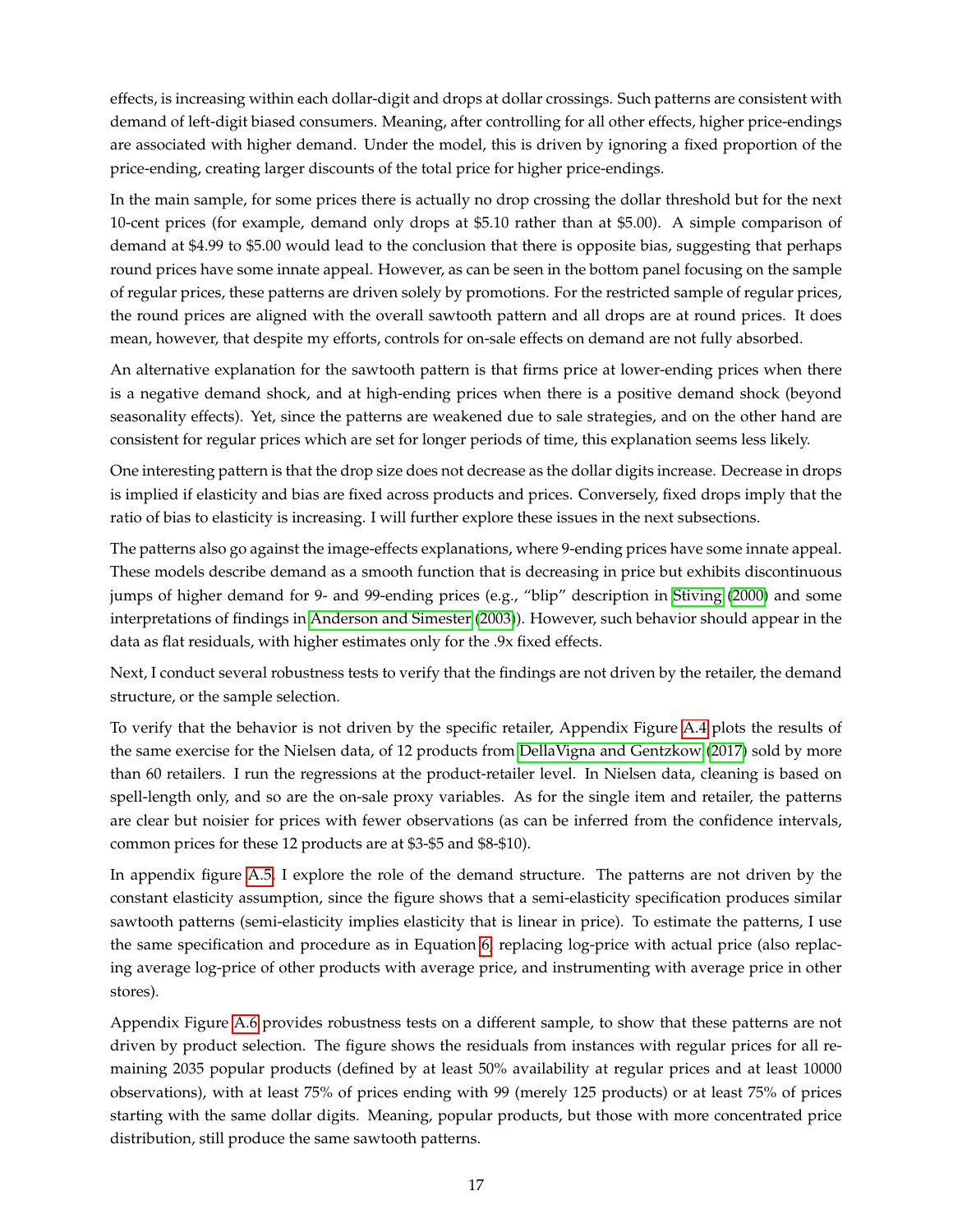effects, is increasing within each dollar-digit and drops at dollar crossings. Such patterns are consistent with demand of left-digit biased consumers. Meaning, after controlling for all other effects, higher price-endings are associated with higher demand. Under the model, this is driven by ignoring a fixed proportion of the price-ending, creating larger discounts of the total price for higher price-endings.

In the main sample, for some prices there is actually no drop crossing the dollar threshold but for the next 10-cent prices (for example, demand only drops at \$5.10 rather than at \$5.00). A simple comparison of demand at \$4.99 to \$5.00 would lead to the conclusion that there is opposite bias, suggesting that perhaps round prices have some innate appeal. However, as can be seen in the bottom panel focusing on the sample of regular prices, these patterns are driven solely by promotions. For the restricted sample of regular prices, the round prices are aligned with the overall sawtooth pattern and all drops are at round prices. It does mean, however, that despite my efforts, controls for on-sale effects on demand are not fully absorbed.

An alternative explanation for the sawtooth pattern is that firms price at lower-ending prices when there is a negative demand shock, and at high-ending prices when there is a positive demand shock (beyond seasonality effects). Yet, since the patterns are weakened due to sale strategies, and on the other hand are consistent for regular prices which are set for longer periods of time, this explanation seems less likely.

One interesting pattern is that the drop size does not decrease as the dollar digits increase. Decrease in drops is implied if elasticity and bias are fixed across products and prices. Conversely, fixed drops imply that the ratio of bias to elasticity is increasing. I will further explore these issues in the next subsections.

The patterns also go against the image-effects explanations, where 9-ending prices have some innate appeal. These models describe demand as a smooth function that is decreasing in price but exhibits discontinuous jumps of higher demand for 9- and 99-ending prices (e.g., "blip" description in [Stiving](#page-51-1) [\(2000\)](#page-51-1) and some interpretations of findings in [Anderson and Simester](#page-48-2) [\(2003\)](#page-48-2)). However, such behavior should appear in the data as flat residuals, with higher estimates only for the .9x fixed effects.

Next, I conduct several robustness tests to verify that the findings are not driven by the retailer, the demand structure, or the sample selection.

To verify that the behavior is not driven by the specific retailer, Appendix Figure [A.4](#page-55-0) plots the results of the same exercise for the Nielsen data, of 12 products from [DellaVigna and Gentzkow](#page-49-13) [\(2017\)](#page-49-13) sold by more than 60 retailers. I run the regressions at the product-retailer level. In Nielsen data, cleaning is based on spell-length only, and so are the on-sale proxy variables. As for the single item and retailer, the patterns are clear but noisier for prices with fewer observations (as can be inferred from the confidence intervals, common prices for these 12 products are at \$3-\$5 and \$8-\$10).

In appendix figure [A.5,](#page-56-0) I explore the role of the demand structure. The patterns are not driven by the constant elasticity assumption, since the figure shows that a semi-elasticity specification produces similar sawtooth patterns (semi-elasticity implies elasticity that is linear in price). To estimate the patterns, I use the same specification and procedure as in Equation [6,](#page-15-2) replacing log-price with actual price (also replacing average log-price of other products with average price, and instrumenting with average price in other stores).

Appendix Figure [A.6](#page-57-0) provides robustness tests on a different sample, to show that these patterns are not driven by product selection. The figure shows the residuals from instances with regular prices for all remaining 2035 popular products (defined by at least 50% availability at regular prices and at least 10000 observations), with at least 75% of prices ending with 99 (merely 125 products) or at least 75% of prices starting with the same dollar digits. Meaning, popular products, but those with more concentrated price distribution, still produce the same sawtooth patterns.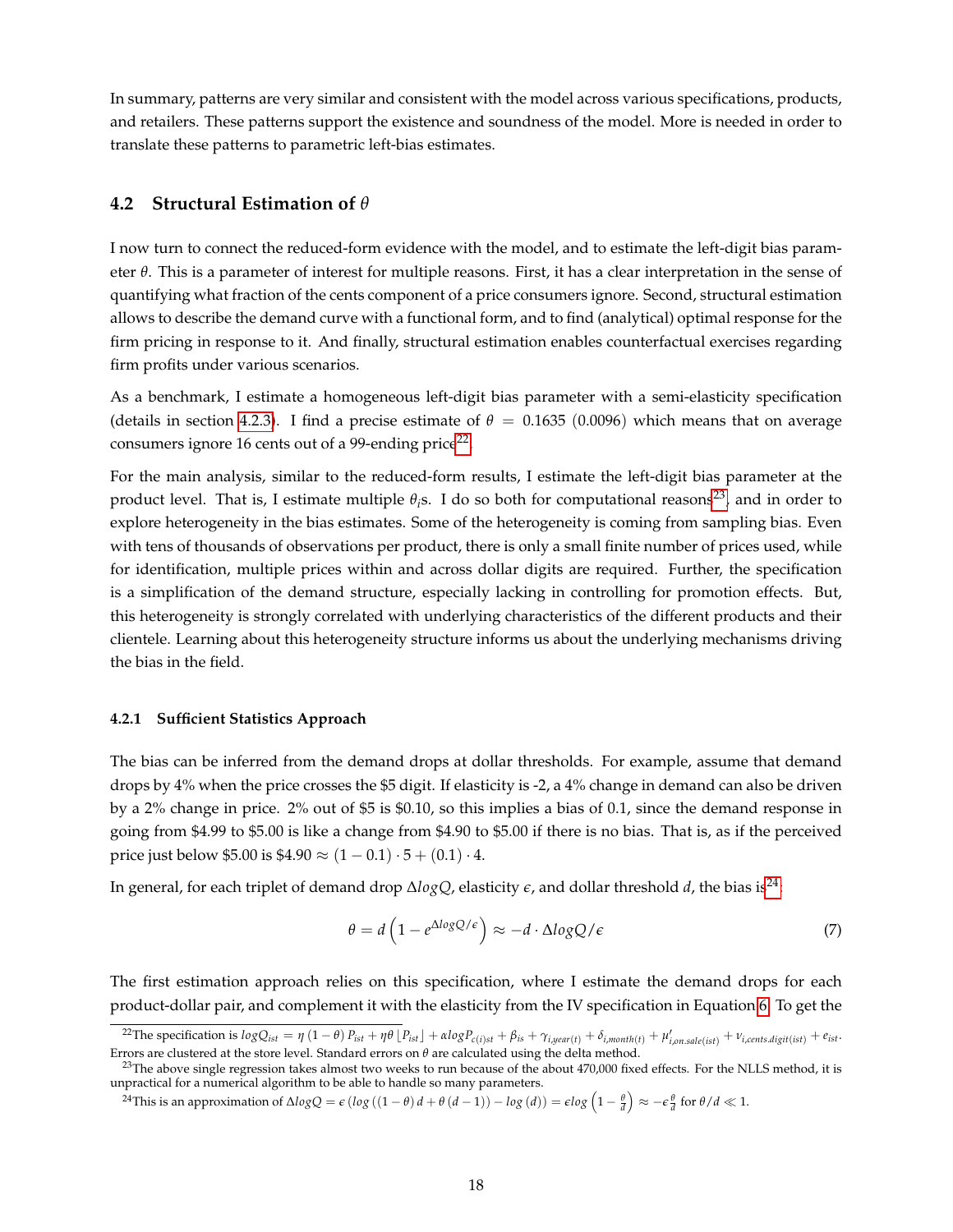In summary, patterns are very similar and consistent with the model across various specifications, products, and retailers. These patterns support the existence and soundness of the model. More is needed in order to translate these patterns to parametric left-bias estimates.

### **4.2 Structural Estimation of** *θ*

I now turn to connect the reduced-form evidence with the model, and to estimate the left-digit bias parameter *θ*. This is a parameter of interest for multiple reasons. First, it has a clear interpretation in the sense of quantifying what fraction of the cents component of a price consumers ignore. Second, structural estimation allows to describe the demand curve with a functional form, and to find (analytical) optimal response for the firm pricing in response to it. And finally, structural estimation enables counterfactual exercises regarding firm profits under various scenarios.

As a benchmark, I estimate a homogeneous left-digit bias parameter with a semi-elasticity specification (details in section [4.2.3\)](#page-19-0). I find a precise estimate of  $\theta = 0.1635$  (0.0096) which means that on average consumers ignore 16 cents out of a 99-ending price<sup>[22](#page-17-0)</sup>.

For the main analysis, similar to the reduced-form results, I estimate the left-digit bias parameter at the product level. That is, I estimate multiple  $θ<sub>i</sub>$ s. I do so both for computational reasons<sup>[23](#page-17-1)</sup>, and in order to explore heterogeneity in the bias estimates. Some of the heterogeneity is coming from sampling bias. Even with tens of thousands of observations per product, there is only a small finite number of prices used, while for identification, multiple prices within and across dollar digits are required. Further, the specification is a simplification of the demand structure, especially lacking in controlling for promotion effects. But, this heterogeneity is strongly correlated with underlying characteristics of the different products and their clientele. Learning about this heterogeneity structure informs us about the underlying mechanisms driving the bias in the field.

### **4.2.1 Sufficient Statistics Approach**

The bias can be inferred from the demand drops at dollar thresholds. For example, assume that demand drops by 4% when the price crosses the \$5 digit. If elasticity is -2, a 4% change in demand can also be driven by a 2% change in price. 2% out of \$5 is \$0.10, so this implies a bias of 0.1, since the demand response in going from \$4.99 to \$5.00 is like a change from \$4.90 to \$5.00 if there is no bias. That is, as if the perceived price just below \$5.00 is  $$4.90 \approx (1 - 0.1) \cdot 5 + (0.1) \cdot 4$ .

In general, for each triplet of demand drop ∆*logQ*, elasticity *e*, and dollar threshold *d*, the bias is[24](#page-17-2):

<span id="page-17-3"></span>
$$
\theta = d \left( 1 - e^{\Delta log Q/\epsilon} \right) \approx -d \cdot \Delta log Q/\epsilon \tag{7}
$$

The first estimation approach relies on this specification, where I estimate the demand drops for each product-dollar pair, and complement it with the elasticity from the IV specification in Equation [6.](#page-15-2) To get the

<span id="page-17-0"></span><sup>&</sup>lt;sup>22</sup>The specification is  $logQ_{ist} = \eta (1 - \theta) P_{ist} + \eta \theta [P_{ist}] + \alpha logP_{c(i)st} + \beta_{is} + \gamma_{i,year(t)} + \delta_{i,month(t)} + \mu'_{i,on, sale (ist)} + \nu_{i,cents, digit (ist)} + e_{ist}$ Errors are clustered at the store level. Standard errors on *θ* are calculated using the delta method.

<span id="page-17-1"></span> $^{23}$ The above single regression takes almost two weeks to run because of the about  $470,000$  fixed effects. For the NLLS method, it is unpractical for a numerical algorithm to be able to handle so many parameters.

<span id="page-17-2"></span><sup>&</sup>lt;sup>24</sup>This is an approximation of  $\Delta logQ = \epsilon (log ((1-\theta) d + \theta (d-1)) - log (d)) = \epsilon log \left(1 - \frac{\theta}{d}\right) \approx - \epsilon \frac{\theta}{d}$  for  $\theta/d \ll 1$ .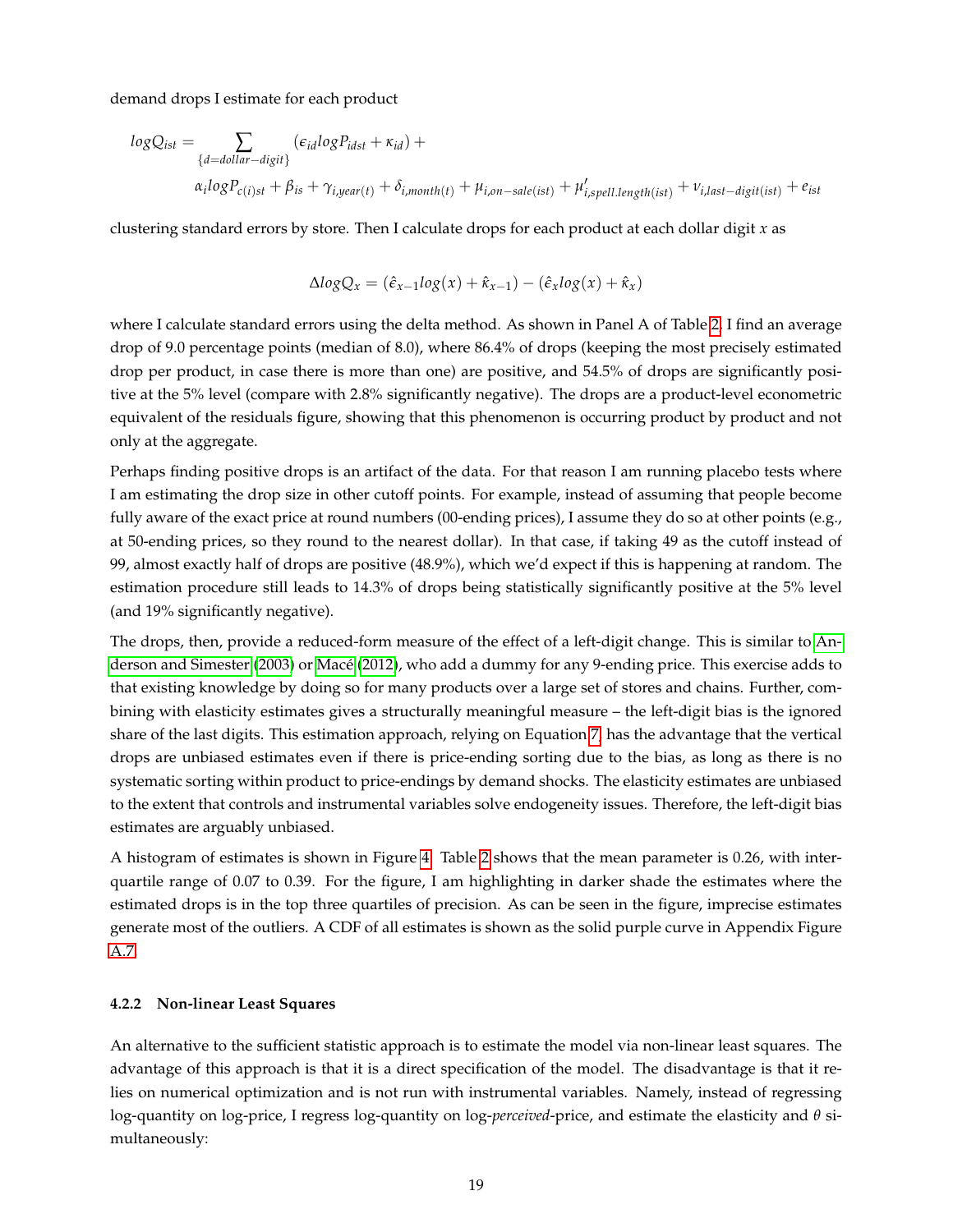demand drops I estimate for each product

$$
logQ_{ist} = \sum_{\{d = dollar-disjit\}} (\epsilon_{id} logP_{idst} + \kappa_{id}) +
$$
  

$$
\alpha_i logP_{c(i)st} + \beta_{is} + \gamma_{i, year(t)} + \delta_{i, month(t)} + \mu_{i, on-sale(ist)} + \mu'_{i, spell.length(ist)} + \nu_{i, last-disjit(ist)} + \epsilon_{ist}
$$

clustering standard errors by store. Then I calculate drops for each product at each dollar digit *x* as

$$
\Delta logQ_x = (\hat{\epsilon}_{x-1} log(x) + \hat{\kappa}_{x-1}) - (\hat{\epsilon}_x log(x) + \hat{\kappa}_x)
$$

where I calculate standard errors using the delta method. As shown in Panel A of Table [2,](#page-35-0) I find an average drop of 9.0 percentage points (median of 8.0), where 86.4% of drops (keeping the most precisely estimated drop per product, in case there is more than one) are positive, and 54.5% of drops are significantly positive at the 5% level (compare with 2.8% significantly negative). The drops are a product-level econometric equivalent of the residuals figure, showing that this phenomenon is occurring product by product and not only at the aggregate.

Perhaps finding positive drops is an artifact of the data. For that reason I am running placebo tests where I am estimating the drop size in other cutoff points. For example, instead of assuming that people become fully aware of the exact price at round numbers (00-ending prices), I assume they do so at other points (e.g., at 50-ending prices, so they round to the nearest dollar). In that case, if taking 49 as the cutoff instead of 99, almost exactly half of drops are positive (48.9%), which we'd expect if this is happening at random. The estimation procedure still leads to 14.3% of drops being statistically significantly positive at the 5% level (and 19% significantly negative).

The drops, then, provide a reduced-form measure of the effect of a left-digit change. This is similar to [An](#page-48-2)[derson and Simester](#page-48-2) [\(2003\)](#page-48-2) or [Macé](#page-50-1) [\(2012\)](#page-50-1), who add a dummy for any 9-ending price. This exercise adds to that existing knowledge by doing so for many products over a large set of stores and chains. Further, combining with elasticity estimates gives a structurally meaningful measure – the left-digit bias is the ignored share of the last digits. This estimation approach, relying on Equation [7,](#page-17-3) has the advantage that the vertical drops are unbiased estimates even if there is price-ending sorting due to the bias, as long as there is no systematic sorting within product to price-endings by demand shocks. The elasticity estimates are unbiased to the extent that controls and instrumental variables solve endogeneity issues. Therefore, the left-digit bias estimates are arguably unbiased.

A histogram of estimates is shown in Figure [4.](#page-30-0) Table [2](#page-35-0) shows that the mean parameter is 0.26, with interquartile range of 0.07 to 0.39. For the figure, I am highlighting in darker shade the estimates where the estimated drops is in the top three quartiles of precision. As can be seen in the figure, imprecise estimates generate most of the outliers. A CDF of all estimates is shown as the solid purple curve in Appendix Figure [A.7.](#page-58-0)

#### **4.2.2 Non-linear Least Squares**

An alternative to the sufficient statistic approach is to estimate the model via non-linear least squares. The advantage of this approach is that it is a direct specification of the model. The disadvantage is that it relies on numerical optimization and is not run with instrumental variables. Namely, instead of regressing log-quantity on log-price, I regress log-quantity on log-*perceived*-price, and estimate the elasticity and *θ* simultaneously: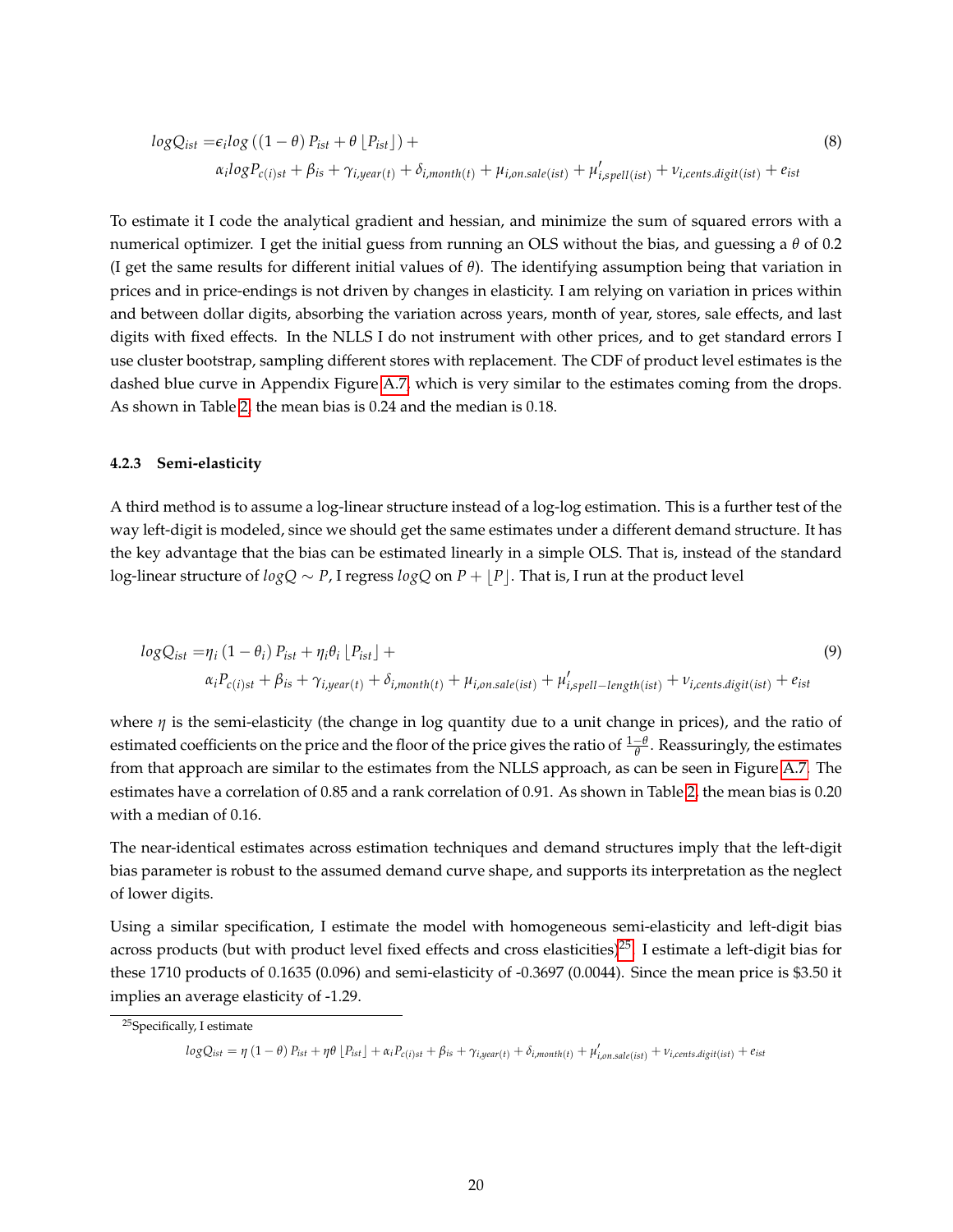<span id="page-19-2"></span>
$$
logQ_{ist} = \epsilon_i log ((1 - \theta) P_{ist} + \theta [P_{ist}]) +
$$
  
\n
$$
\alpha_i logP_{c(i)st} + \beta_{is} + \gamma_{i, year(t)} + \delta_{i, month(t)} + \mu_{i, on, sale (ist)} + \mu'_{i, spell (ist)} + \nu_{i, cents, digit (ist)} + e_{ist}
$$
\n(8)

To estimate it I code the analytical gradient and hessian, and minimize the sum of squared errors with a numerical optimizer. I get the initial guess from running an OLS without the bias, and guessing a *θ* of 0.2 (I get the same results for different initial values of *θ*). The identifying assumption being that variation in prices and in price-endings is not driven by changes in elasticity. I am relying on variation in prices within and between dollar digits, absorbing the variation across years, month of year, stores, sale effects, and last digits with fixed effects. In the NLLS I do not instrument with other prices, and to get standard errors I use cluster bootstrap, sampling different stores with replacement. The CDF of product level estimates is the dashed blue curve in Appendix Figure [A.7,](#page-58-0) which is very similar to the estimates coming from the drops. As shown in Table [2,](#page-35-0) the mean bias is 0.24 and the median is 0.18.

#### <span id="page-19-0"></span>**4.2.3 Semi-elasticity**

A third method is to assume a log-linear structure instead of a log-log estimation. This is a further test of the way left-digit is modeled, since we should get the same estimates under a different demand structure. It has the key advantage that the bias can be estimated linearly in a simple OLS. That is, instead of the standard *log*-linear structure of *logQ* ∼ *P*, I regress *logQ* on *P* + |*P*|. That is, I run at the product level

<span id="page-19-3"></span>
$$
logQ_{ist} = \eta_i (1 - \theta_i) P_{ist} + \eta_i \theta_i \left[ P_{ist} \right] +
$$
  
\n
$$
\alpha_i P_{c(i)st} + \beta_{is} + \gamma_{i, year(t)} + \delta_{i, month(t)} + \mu_{i, on, sale (ist)} + \mu'_{i, spell-length (ist)} + \nu_{i, cents, digit (ist)} + e_{ist}
$$
\n(9)

where  $\eta$  is the semi-elasticity (the change in log quantity due to a unit change in prices), and the ratio of estimated coefficients on the price and the floor of the price gives the ratio of <sup>1</sup>−*<sup>θ</sup> θ* . Reassuringly, the estimates from that approach are similar to the estimates from the NLLS approach, as can be seen in Figure [A.7.](#page-58-0) The estimates have a correlation of 0.85 and a rank correlation of 0.91. As shown in Table [2,](#page-35-0) the mean bias is 0.20 with a median of 0.16.

The near-identical estimates across estimation techniques and demand structures imply that the left-digit bias parameter is robust to the assumed demand curve shape, and supports its interpretation as the neglect of lower digits.

Using a similar specification, I estimate the model with homogeneous semi-elasticity and left-digit bias across products (but with product level fixed effects and cross elasticities)<sup>[25](#page-19-1)</sup>. I estimate a left-digit bias for these 1710 products of 0.1635 (0.096) and semi-elasticity of -0.3697 (0.0044). Since the mean price is \$3.50 it implies an average elasticity of -1.29.

 $logQ_{ist} = \eta (1 - \theta) P_{ist} + \eta \theta \left[ P_{ist} \right] + \alpha_i P_{c(i)st} + \beta_{is} + \gamma_{i,year(t)} + \delta_{i,month(t)} + \mu'_{i,onsale(ist)} + \nu_{i,cents, digit(ist)} + e_{ist}$ 

<span id="page-19-1"></span><sup>25</sup>Specifically, I estimate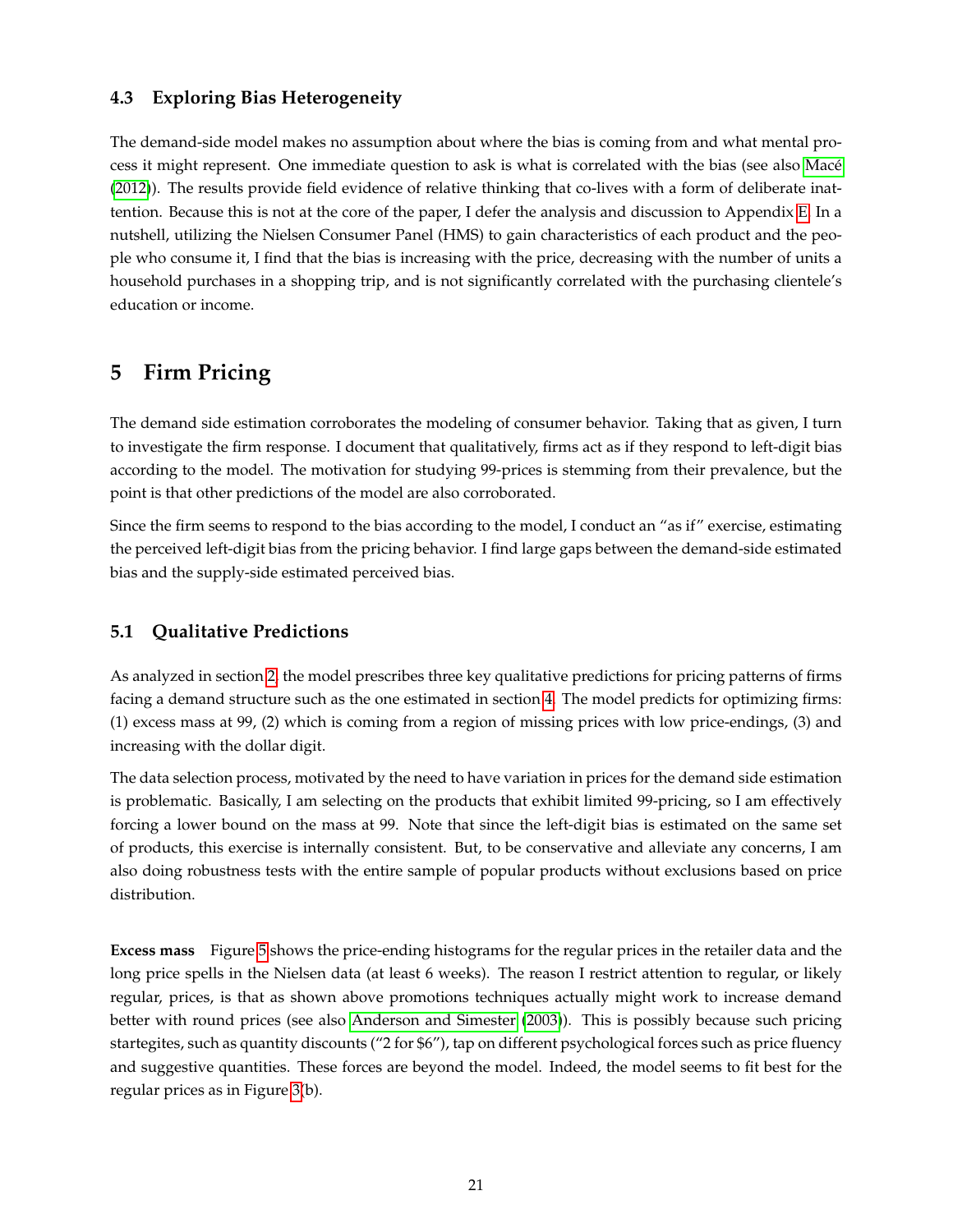### **4.3 Exploring Bias Heterogeneity**

The demand-side model makes no assumption about where the bias is coming from and what mental process it might represent. One immediate question to ask is what is correlated with the bias (see also [Macé](#page-50-1) [\(2012\)](#page-50-1)). The results provide field evidence of relative thinking that co-lives with a form of deliberate inattention. Because this is not at the core of the paper, I defer the analysis and discussion to Appendix [E.](#page-46-0) In a nutshell, utilizing the Nielsen Consumer Panel (HMS) to gain characteristics of each product and the people who consume it, I find that the bias is increasing with the price, decreasing with the number of units a household purchases in a shopping trip, and is not significantly correlated with the purchasing clientele's education or income.

## <span id="page-20-0"></span>**5 Firm Pricing**

The demand side estimation corroborates the modeling of consumer behavior. Taking that as given, I turn to investigate the firm response. I document that qualitatively, firms act as if they respond to left-digit bias according to the model. The motivation for studying 99-prices is stemming from their prevalence, but the point is that other predictions of the model are also corroborated.

Since the firm seems to respond to the bias according to the model, I conduct an "as if" exercise, estimating the perceived left-digit bias from the pricing behavior. I find large gaps between the demand-side estimated bias and the supply-side estimated perceived bias.

### **5.1 Qualitative Predictions**

As analyzed in section [2,](#page-6-0) the model prescribes three key qualitative predictions for pricing patterns of firms facing a demand structure such as the one estimated in section [4.](#page-13-0) The model predicts for optimizing firms: (1) excess mass at 99, (2) which is coming from a region of missing prices with low price-endings, (3) and increasing with the dollar digit.

The data selection process, motivated by the need to have variation in prices for the demand side estimation is problematic. Basically, I am selecting on the products that exhibit limited 99-pricing, so I am effectively forcing a lower bound on the mass at 99. Note that since the left-digit bias is estimated on the same set of products, this exercise is internally consistent. But, to be conservative and alleviate any concerns, I am also doing robustness tests with the entire sample of popular products without exclusions based on price distribution.

**Excess mass** Figure [5](#page-31-0) shows the price-ending histograms for the regular prices in the retailer data and the long price spells in the Nielsen data (at least 6 weeks). The reason I restrict attention to regular, or likely regular, prices, is that as shown above promotions techniques actually might work to increase demand better with round prices (see also [Anderson and Simester](#page-48-2) [\(2003\)](#page-48-2)). This is possibly because such pricing startegites, such as quantity discounts ("2 for \$6"), tap on different psychological forces such as price fluency and suggestive quantities. These forces are beyond the model. Indeed, the model seems to fit best for the regular prices as in Figure [3\(](#page-29-0)b).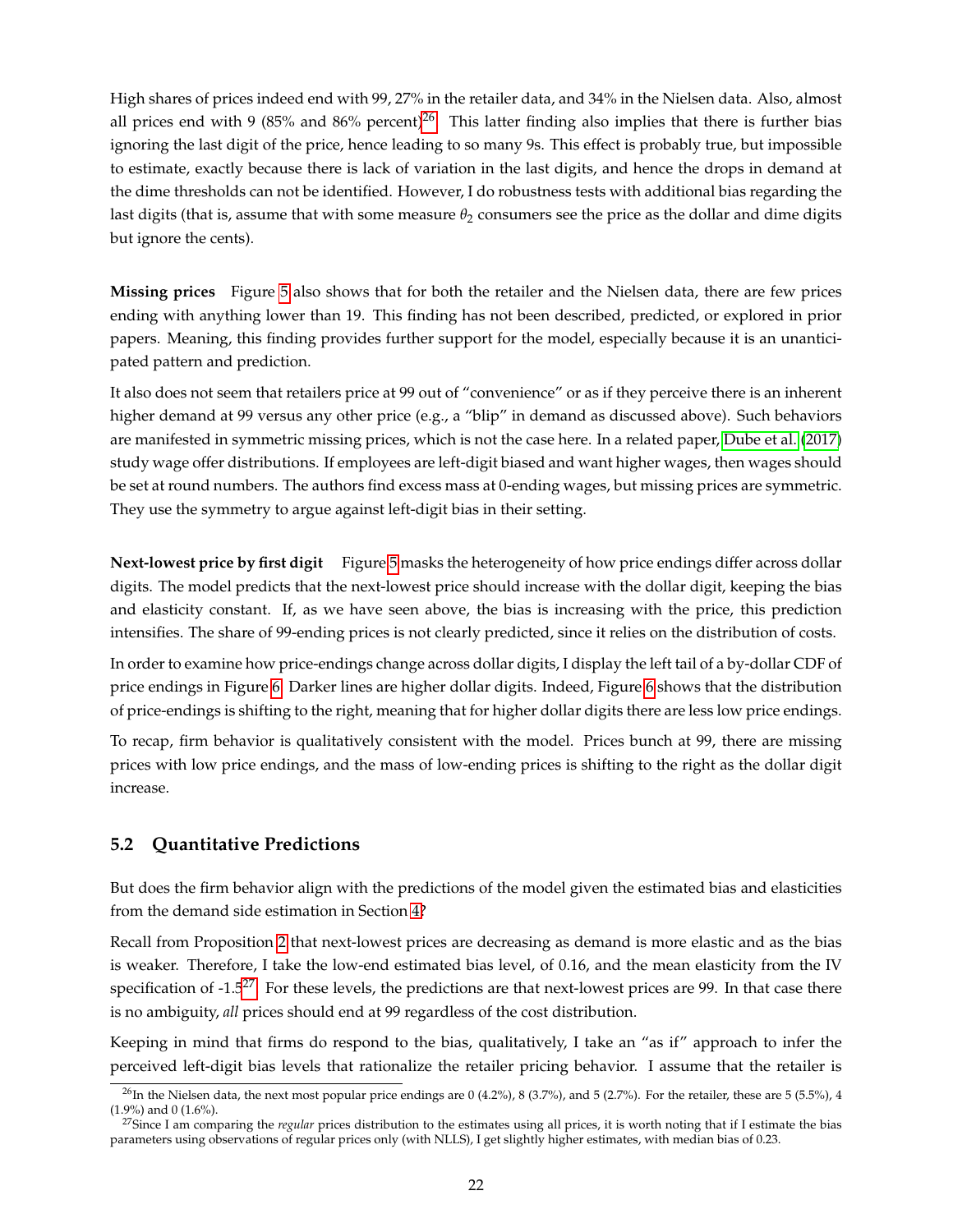High shares of prices indeed end with 99, 27% in the retailer data, and 34% in the Nielsen data. Also, almost all prices end with 9 (85% and 86% percent)<sup>[26](#page-21-0)</sup>. This latter finding also implies that there is further bias ignoring the last digit of the price, hence leading to so many 9s. This effect is probably true, but impossible to estimate, exactly because there is lack of variation in the last digits, and hence the drops in demand at the dime thresholds can not be identified. However, I do robustness tests with additional bias regarding the last digits (that is, assume that with some measure  $\theta_2$  consumers see the price as the dollar and dime digits but ignore the cents).

**Missing prices** Figure [5](#page-31-0) also shows that for both the retailer and the Nielsen data, there are few prices ending with anything lower than 19. This finding has not been described, predicted, or explored in prior papers. Meaning, this finding provides further support for the model, especially because it is an unanticipated pattern and prediction.

It also does not seem that retailers price at 99 out of "convenience" or as if they perceive there is an inherent higher demand at 99 versus any other price (e.g., a "blip" in demand as discussed above). Such behaviors are manifested in symmetric missing prices, which is not the case here. In a related paper, [Dube et al.](#page-49-6) [\(2017\)](#page-49-6) study wage offer distributions. If employees are left-digit biased and want higher wages, then wages should be set at round numbers. The authors find excess mass at 0-ending wages, but missing prices are symmetric. They use the symmetry to argue against left-digit bias in their setting.

**Next-lowest price by first digit** Figure [5](#page-31-0) masks the heterogeneity of how price endings differ across dollar digits. The model predicts that the next-lowest price should increase with the dollar digit, keeping the bias and elasticity constant. If, as we have seen above, the bias is increasing with the price, this prediction intensifies. The share of 99-ending prices is not clearly predicted, since it relies on the distribution of costs.

In order to examine how price-endings change across dollar digits, I display the left tail of a by-dollar CDF of price endings in Figure [6.](#page-32-0) Darker lines are higher dollar digits. Indeed, Figure [6](#page-32-0) shows that the distribution of price-endings is shifting to the right, meaning that for higher dollar digits there are less low price endings.

To recap, firm behavior is qualitatively consistent with the model. Prices bunch at 99, there are missing prices with low price endings, and the mass of low-ending prices is shifting to the right as the dollar digit increase.

### **5.2 Quantitative Predictions**

But does the firm behavior align with the predictions of the model given the estimated bias and elasticities from the demand side estimation in Section [4?](#page-13-0)

Recall from Proposition [2](#page-9-0) that next-lowest prices are decreasing as demand is more elastic and as the bias is weaker. Therefore, I take the low-end estimated bias level, of 0.16, and the mean elasticity from the IV specification of -1.5<sup>[27](#page-21-1)</sup>. For these levels, the predictions are that next-lowest prices are 99. In that case there is no ambiguity, *all* prices should end at 99 regardless of the cost distribution.

Keeping in mind that firms do respond to the bias, qualitatively, I take an "as if" approach to infer the perceived left-digit bias levels that rationalize the retailer pricing behavior. I assume that the retailer is

<span id="page-21-0"></span> $^{26}$ In the Nielsen data, the next most popular price endings are 0 (4.2%), 8 (3.7%), and 5 (2.7%). For the retailer, these are 5 (5.5%), 4 (1.9%) and 0 (1.6%).

<span id="page-21-1"></span><sup>&</sup>lt;sup>27</sup>Since I am comparing the *regular* prices distribution to the estimates using all prices, it is worth noting that if I estimate the bias parameters using observations of regular prices only (with NLLS), I get slightly higher estimates, with median bias of 0.23.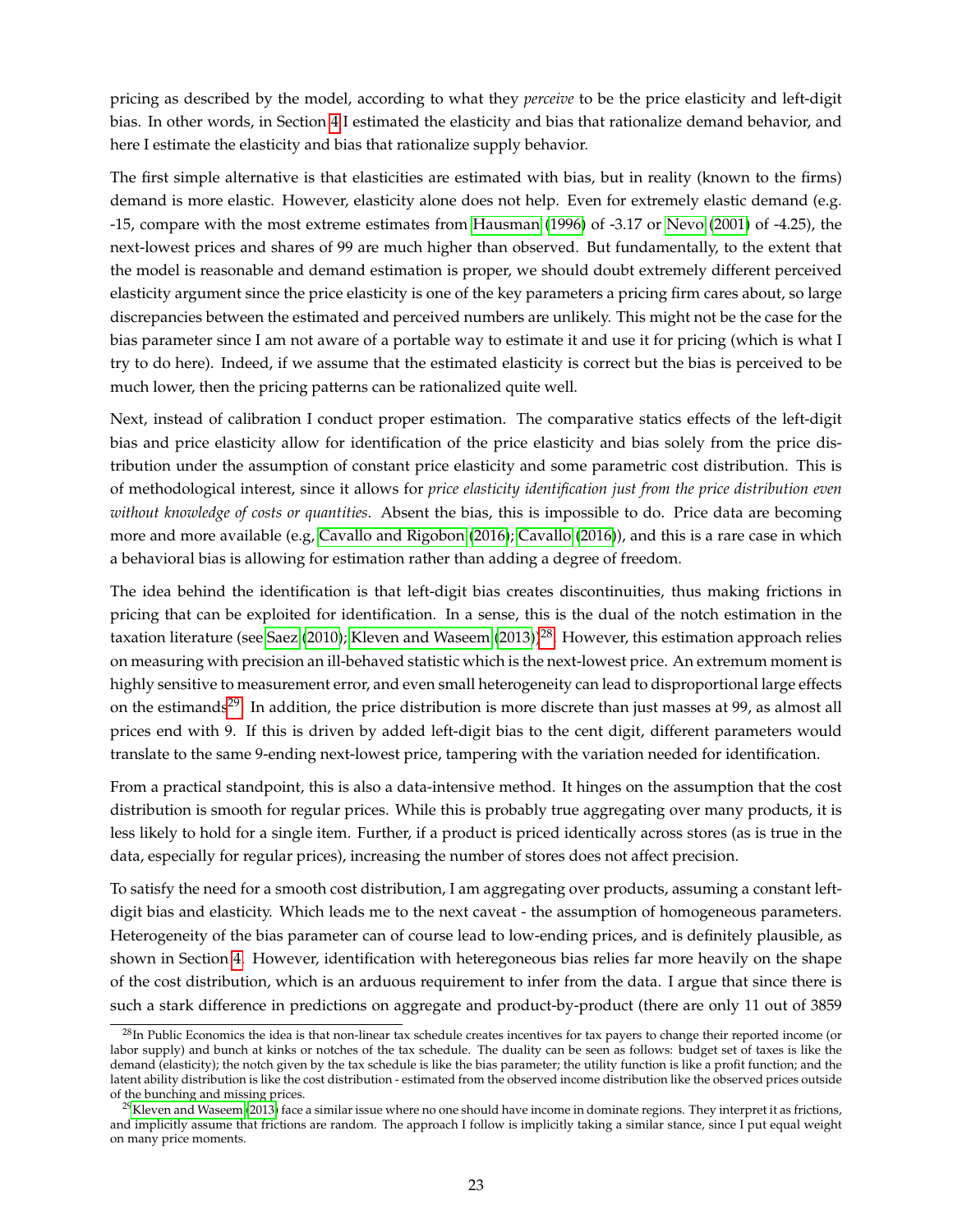pricing as described by the model, according to what they *perceive* to be the price elasticity and left-digit bias. In other words, in Section [4](#page-13-0) I estimated the elasticity and bias that rationalize demand behavior, and here I estimate the elasticity and bias that rationalize supply behavior.

The first simple alternative is that elasticities are estimated with bias, but in reality (known to the firms) demand is more elastic. However, elasticity alone does not help. Even for extremely elastic demand (e.g. -15, compare with the most extreme estimates from [Hausman](#page-50-4) [\(1996\)](#page-50-4) of -3.17 or [Nevo](#page-50-14) [\(2001\)](#page-50-14) of -4.25), the next-lowest prices and shares of 99 are much higher than observed. But fundamentally, to the extent that the model is reasonable and demand estimation is proper, we should doubt extremely different perceived elasticity argument since the price elasticity is one of the key parameters a pricing firm cares about, so large discrepancies between the estimated and perceived numbers are unlikely. This might not be the case for the bias parameter since I am not aware of a portable way to estimate it and use it for pricing (which is what I try to do here). Indeed, if we assume that the estimated elasticity is correct but the bias is perceived to be much lower, then the pricing patterns can be rationalized quite well.

Next, instead of calibration I conduct proper estimation. The comparative statics effects of the left-digit bias and price elasticity allow for identification of the price elasticity and bias solely from the price distribution under the assumption of constant price elasticity and some parametric cost distribution. This is of methodological interest, since it allows for *price elasticity identification just from the price distribution even without knowledge of costs or quantities*. Absent the bias, this is impossible to do. Price data are becoming more and more available (e.g, [Cavallo and Rigobon](#page-48-14) [\(2016\)](#page-48-14); [Cavallo](#page-48-15) [\(2016\)](#page-48-15)), and this is a rare case in which a behavioral bias is allowing for estimation rather than adding a degree of freedom.

The idea behind the identification is that left-digit bias creates discontinuities, thus making frictions in pricing that can be exploited for identification. In a sense, this is the dual of the notch estimation in the taxation literature (see [Saez](#page-51-12) [\(2010\)](#page-51-12); [Kleven and Waseem](#page-50-15) [\(2013\)](#page-50-15))<sup>[28](#page-22-0)</sup>. However, this estimation approach relies on measuring with precision an ill-behaved statistic which is the next-lowest price. An extremum moment is highly sensitive to measurement error, and even small heterogeneity can lead to disproportional large effects on the estimands<sup>[29](#page-22-1)</sup>. In addition, the price distribution is more discrete than just masses at 99, as almost all prices end with 9. If this is driven by added left-digit bias to the cent digit, different parameters would translate to the same 9-ending next-lowest price, tampering with the variation needed for identification.

From a practical standpoint, this is also a data-intensive method. It hinges on the assumption that the cost distribution is smooth for regular prices. While this is probably true aggregating over many products, it is less likely to hold for a single item. Further, if a product is priced identically across stores (as is true in the data, especially for regular prices), increasing the number of stores does not affect precision.

To satisfy the need for a smooth cost distribution, I am aggregating over products, assuming a constant leftdigit bias and elasticity. Which leads me to the next caveat - the assumption of homogeneous parameters. Heterogeneity of the bias parameter can of course lead to low-ending prices, and is definitely plausible, as shown in Section [4.](#page-13-0) However, identification with heteregoneous bias relies far more heavily on the shape of the cost distribution, which is an arduous requirement to infer from the data. I argue that since there is such a stark difference in predictions on aggregate and product-by-product (there are only 11 out of 3859

<span id="page-22-0"></span><sup>&</sup>lt;sup>28</sup>In Public Economics the idea is that non-linear tax schedule creates incentives for tax payers to change their reported income (or labor supply) and bunch at kinks or notches of the tax schedule. The duality can be seen as follows: budget set of taxes is like the demand (elasticity); the notch given by the tax schedule is like the bias parameter; the utility function is like a profit function; and the latent ability distribution is like the cost distribution - estimated from the observed income distribution like the observed prices outside of the bunching and missing prices.

<span id="page-22-1"></span> $^{29}$ [Kleven and Waseem](#page-50-15) [\(2013\)](#page-50-15) face a similar issue where no one should have income in dominate regions. They interpret it as frictions, and implicitly assume that frictions are random. The approach I follow is implicitly taking a similar stance, since I put equal weight on many price moments.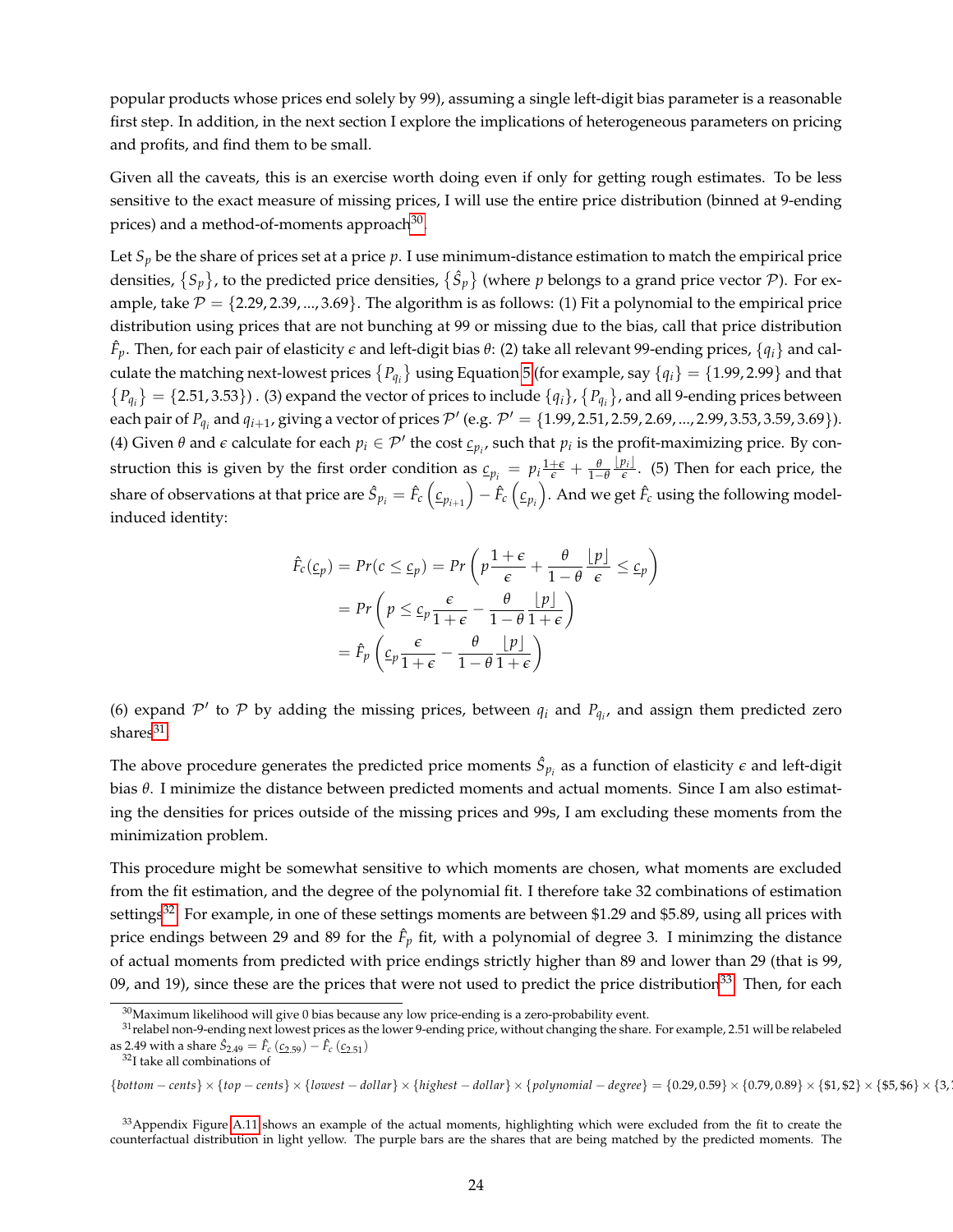popular products whose prices end solely by 99), assuming a single left-digit bias parameter is a reasonable first step. In addition, in the next section I explore the implications of heterogeneous parameters on pricing and profits, and find them to be small.

Given all the caveats, this is an exercise worth doing even if only for getting rough estimates. To be less sensitive to the exact measure of missing prices, I will use the entire price distribution (binned at 9-ending prices) and a method-of-moments approach $^{30}$  $^{30}$  $^{30}$ .

Let  $S_p$  be the share of prices set at a price  $p$ . I use minimum-distance estimation to match the empirical price densities,  $\{S_p\}$ , to the predicted price densities,  $\{\hat{S}_p\}$  (where  $p$  belongs to a grand price vector  $P$ ). For example, take  $P = \{2.29, 2.39, ..., 3.69\}$ . The algorithm is as follows: (1) Fit a polynomial to the empirical price distribution using prices that are not bunching at 99 or missing due to the bias, call that price distribution  $\hat{F}_p$ . Then, for each pair of elasticity  $\epsilon$  and left-digit bias  $\theta$ : (2) take all relevant 99-ending prices, { $q_i$ } and calculate the matching next-lowest prices  $\{P_{q_i}\}$  using Equation [5](#page-8-3) (for example, say  $\{q_i\} = \{1.99, 2.99\}$  and that  ${P_{q_i}} = {2.51, 3.53}$ . (3) expand the vector of prices to include  ${q_i}$ ,  ${P_{q_i}}$ , and all 9-ending prices between each pair of  $P_{q_i}$  and  $q_{i+1}$ , giving a vector of prices  $\mathcal{P}'$  (e.g.  $\mathcal{P}' = \{1.99, 2.51, 2.59, 2.69, ..., 2.99, 3.53, 3.59, 3.69\}$ ). (4) Given  $\theta$  and  $\epsilon$  calculate for each  $p_i \in \mathcal{P}'$  the cost  $c_{p_i}$ , such that  $p_i$  is the profit-maximizing price. By construction this is given by the first order condition as  $c_{p_i} = p_i \frac{1+\epsilon}{\epsilon} + \frac{\theta}{1-\theta}$  $\lfloor p_i \rfloor$  $\frac{\partial f_i}{\partial \epsilon}$ . (5) Then for each price, the share of observations at that price are  $\hat{S}_{p_i}=\hat{F}_c\left(\underline{c}_{p_{i+1}}\right)-\hat{F}_c\left(\underline{c}_{p_i}\right).$  And we get  $\hat{F}_c$  using the following modelinduced identity:

$$
\hat{F}_c(\underline{c}_p) = Pr(c \le \underline{c}_p) = Pr\left(p\frac{1+\epsilon}{\epsilon} + \frac{\theta}{1-\theta}\frac{p}{\epsilon}\right) \le c_p\right)
$$

$$
= Pr\left(p \le \underline{c}_p \frac{\epsilon}{1+\epsilon} - \frac{\theta}{1-\theta}\frac{p}{1+\epsilon}\right)
$$

$$
= \hat{F}_p\left(\underline{c}_p \frac{\epsilon}{1+\epsilon} - \frac{\theta}{1-\theta}\frac{p}{1+\epsilon}\right)
$$

(6) expand  $\mathcal{P}'$  to  $\mathcal{P}$  by adding the missing prices, between  $q_i$  and  $P_{q_i}$ , and assign them predicted zero  $\mathrm{shares}^{31}$  $\mathrm{shares}^{31}$  $\mathrm{shares}^{31}$ .

The above procedure generates the predicted price moments  $\hat{S}_{p_i}$  as a function of elasticity  $\epsilon$  and left-digit bias *θ*. I minimize the distance between predicted moments and actual moments. Since I am also estimating the densities for prices outside of the missing prices and 99s, I am excluding these moments from the minimization problem.

This procedure might be somewhat sensitive to which moments are chosen, what moments are excluded from the fit estimation, and the degree of the polynomial fit. I therefore take 32 combinations of estimation settings<sup>[32](#page-23-2)</sup>. For example, in one of these settings moments are between \$1.29 and \$5.89, using all prices with price endings between 29 and 89 for the  $\hat{F}_p$  fit, with a polynomial of degree 3. I minimzing the distance of actual moments from predicted with price endings strictly higher than 89 and lower than 29 (that is 99, 09, and 19), since these are the prices that were not used to predict the price distribution<sup>[33](#page-23-3)</sup>. Then, for each

<span id="page-23-2"></span><sup>32</sup>I take all combinations of

 ${bottom-cents} \times {top-cents} \times {lowest-dollar} \times {highest-dollar} \times {highest-dollar} \times {polynomial-degree} = {0.29,0.59} \times {0.79,0.89} \times { $1, $2} \times { $5, $6} \times {3, $4, $5, $6}$ 

<span id="page-23-3"></span> $33$ Appendix Figure [A.11](#page-62-0) shows an example of the actual moments, highlighting which were excluded from the fit to create the counterfactual distribution in light yellow. The purple bars are the shares that are being matched by the predicted moments. The

<span id="page-23-1"></span><span id="page-23-0"></span><sup>&</sup>lt;sup>30</sup>Maximum likelihood will give 0 bias because any low price-ending is a zero-probability event.

 $31$ relabel non-9-ending next lowest prices as the lower 9-ending price, without changing the share. For example, 2.51 will be relabeled as 2.49 with a share  $\hat{S}_{2.49} = \hat{F}_c (\underline{c}_{2.59}) - \hat{F}_c (\underline{c}_{2.51})$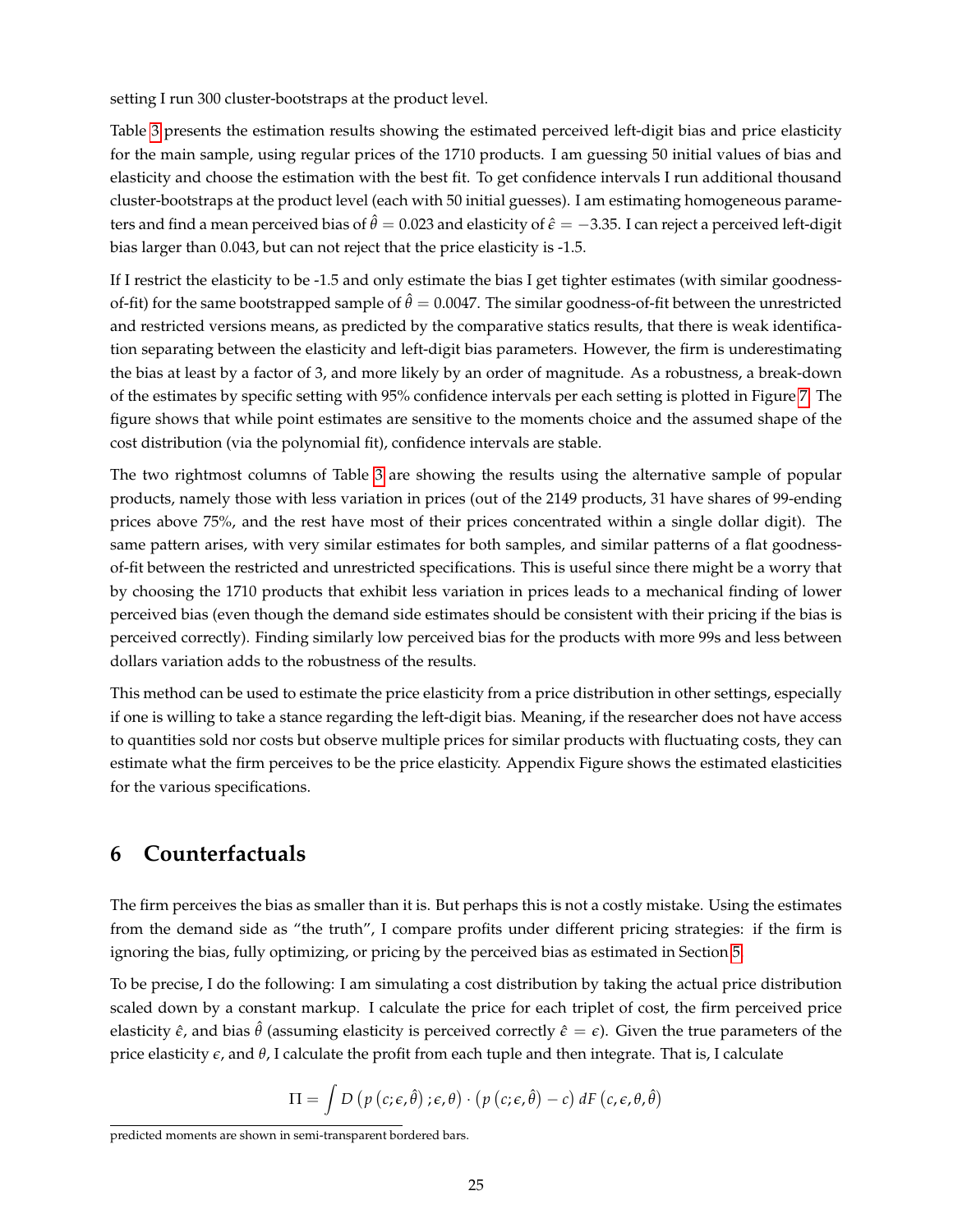setting I run 300 cluster-bootstraps at the product level.

Table [3](#page-36-0) presents the estimation results showing the estimated perceived left-digit bias and price elasticity for the main sample, using regular prices of the 1710 products. I am guessing 50 initial values of bias and elasticity and choose the estimation with the best fit. To get confidence intervals I run additional thousand cluster-bootstraps at the product level (each with 50 initial guesses). I am estimating homogeneous parameters and find a mean perceived bias of  $\hat{\theta} = 0.023$  and elasticity of  $\hat{\epsilon} = -3.35$ . I can reject a perceived left-digit bias larger than 0.043, but can not reject that the price elasticity is -1.5.

If I restrict the elasticity to be -1.5 and only estimate the bias I get tighter estimates (with similar goodnessof-fit) for the same bootstrapped sample of  $\hat{\theta} = 0.0047$ . The similar goodness-of-fit between the unrestricted and restricted versions means, as predicted by the comparative statics results, that there is weak identification separating between the elasticity and left-digit bias parameters. However, the firm is underestimating the bias at least by a factor of 3, and more likely by an order of magnitude. As a robustness, a break-down of the estimates by specific setting with 95% confidence intervals per each setting is plotted in Figure [7.](#page-33-0) The figure shows that while point estimates are sensitive to the moments choice and the assumed shape of the cost distribution (via the polynomial fit), confidence intervals are stable.

The two rightmost columns of Table [3](#page-36-0) are showing the results using the alternative sample of popular products, namely those with less variation in prices (out of the 2149 products, 31 have shares of 99-ending prices above 75%, and the rest have most of their prices concentrated within a single dollar digit). The same pattern arises, with very similar estimates for both samples, and similar patterns of a flat goodnessof-fit between the restricted and unrestricted specifications. This is useful since there might be a worry that by choosing the 1710 products that exhibit less variation in prices leads to a mechanical finding of lower perceived bias (even though the demand side estimates should be consistent with their pricing if the bias is perceived correctly). Finding similarly low perceived bias for the products with more 99s and less between dollars variation adds to the robustness of the results.

This method can be used to estimate the price elasticity from a price distribution in other settings, especially if one is willing to take a stance regarding the left-digit bias. Meaning, if the researcher does not have access to quantities sold nor costs but observe multiple prices for similar products with fluctuating costs, they can estimate what the firm perceives to be the price elasticity. Appendix Figure shows the estimated elasticities for the various specifications.

## <span id="page-24-0"></span>**6 Counterfactuals**

The firm perceives the bias as smaller than it is. But perhaps this is not a costly mistake. Using the estimates from the demand side as "the truth", I compare profits under different pricing strategies: if the firm is ignoring the bias, fully optimizing, or pricing by the perceived bias as estimated in Section [5.](#page-20-0)

To be precise, I do the following: I am simulating a cost distribution by taking the actual price distribution scaled down by a constant markup. I calculate the price for each triplet of cost, the firm perceived price elasticity  $\hat{\epsilon}$ , and bias  $\hat{\theta}$  (assuming elasticity is perceived correctly  $\hat{\epsilon} = \epsilon$ ). Given the true parameters of the price elasticity *e*, and *θ*, I calculate the profit from each tuple and then integrate. That is, I calculate

$$
\Pi = \int D (p (c; \epsilon, \hat{\theta}) ; \epsilon, \theta) \cdot (p (c; \epsilon, \hat{\theta}) - c) dF (c, \epsilon, \theta, \hat{\theta})
$$

predicted moments are shown in semi-transparent bordered bars.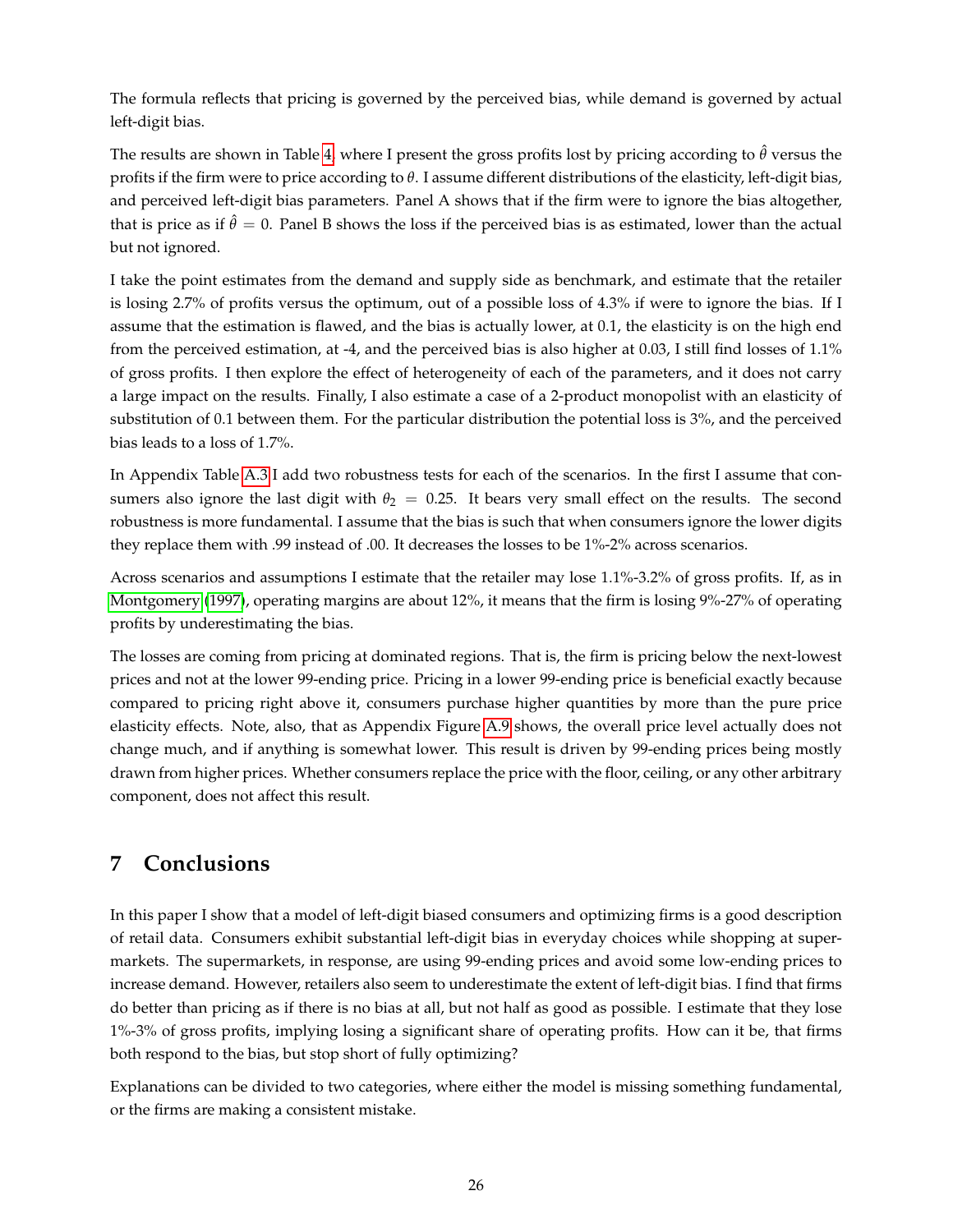The formula reflects that pricing is governed by the perceived bias, while demand is governed by actual left-digit bias.

The results are shown in Table [4,](#page-37-0) where I present the gross profits lost by pricing according to  $\hat{\theta}$  versus the profits if the firm were to price according to *θ*. I assume different distributions of the elasticity, left-digit bias, and perceived left-digit bias parameters. Panel A shows that if the firm were to ignore the bias altogether, that is price as if  $\hat{\theta} = 0$ . Panel B shows the loss if the perceived bias is as estimated, lower than the actual but not ignored.

I take the point estimates from the demand and supply side as benchmark, and estimate that the retailer is losing 2.7% of profits versus the optimum, out of a possible loss of 4.3% if were to ignore the bias. If I assume that the estimation is flawed, and the bias is actually lower, at 0.1, the elasticity is on the high end from the perceived estimation, at -4, and the perceived bias is also higher at 0.03, I still find losses of 1.1% of gross profits. I then explore the effect of heterogeneity of each of the parameters, and it does not carry a large impact on the results. Finally, I also estimate a case of a 2-product monopolist with an elasticity of substitution of 0.1 between them. For the particular distribution the potential loss is 3%, and the perceived bias leads to a loss of 1.7%.

In Appendix Table [A.3](#page-66-0) I add two robustness tests for each of the scenarios. In the first I assume that consumers also ignore the last digit with  $\theta_2 = 0.25$ . It bears very small effect on the results. The second robustness is more fundamental. I assume that the bias is such that when consumers ignore the lower digits they replace them with .99 instead of .00. It decreases the losses to be 1%-2% across scenarios.

Across scenarios and assumptions I estimate that the retailer may lose 1.1%-3.2% of gross profits. If, as in [Montgomery](#page-50-16) [\(1997\)](#page-50-16), operating margins are about 12%, it means that the firm is losing 9%-27% of operating profits by underestimating the bias.

The losses are coming from pricing at dominated regions. That is, the firm is pricing below the next-lowest prices and not at the lower 99-ending price. Pricing in a lower 99-ending price is beneficial exactly because compared to pricing right above it, consumers purchase higher quantities by more than the pure price elasticity effects. Note, also, that as Appendix Figure [A.9](#page-60-0) shows, the overall price level actually does not change much, and if anything is somewhat lower. This result is driven by 99-ending prices being mostly drawn from higher prices. Whether consumers replace the price with the floor, ceiling, or any other arbitrary component, does not affect this result.

# <span id="page-25-0"></span>**7 Conclusions**

In this paper I show that a model of left-digit biased consumers and optimizing firms is a good description of retail data. Consumers exhibit substantial left-digit bias in everyday choices while shopping at supermarkets. The supermarkets, in response, are using 99-ending prices and avoid some low-ending prices to increase demand. However, retailers also seem to underestimate the extent of left-digit bias. I find that firms do better than pricing as if there is no bias at all, but not half as good as possible. I estimate that they lose 1%-3% of gross profits, implying losing a significant share of operating profits. How can it be, that firms both respond to the bias, but stop short of fully optimizing?

Explanations can be divided to two categories, where either the model is missing something fundamental, or the firms are making a consistent mistake.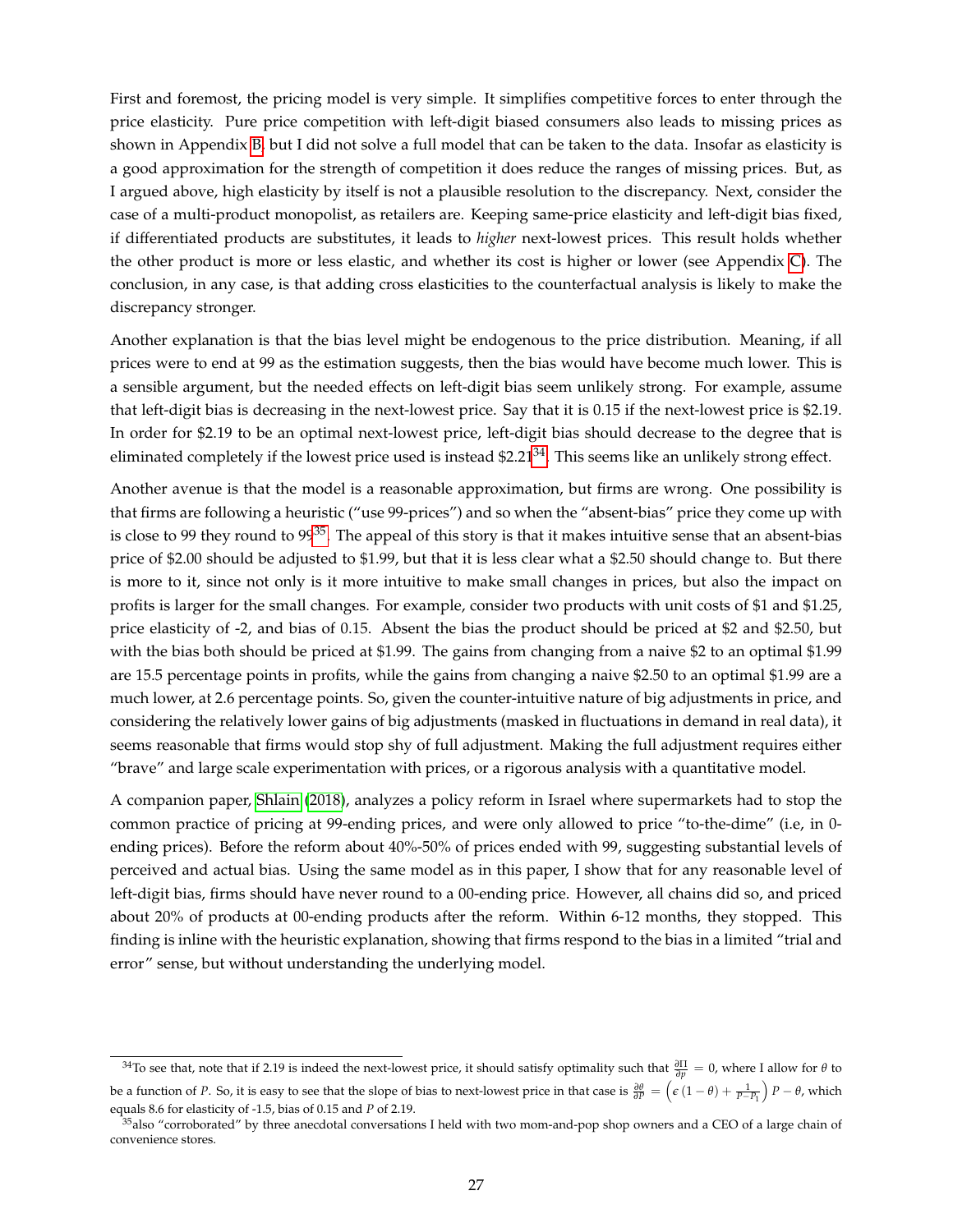First and foremost, the pricing model is very simple. It simplifies competitive forces to enter through the price elasticity. Pure price competition with left-digit biased consumers also leads to missing prices as shown in Appendix [B,](#page-42-0) but I did not solve a full model that can be taken to the data. Insofar as elasticity is a good approximation for the strength of competition it does reduce the ranges of missing prices. But, as I argued above, high elasticity by itself is not a plausible resolution to the discrepancy. Next, consider the case of a multi-product monopolist, as retailers are. Keeping same-price elasticity and left-digit bias fixed, if differentiated products are substitutes, it leads to *higher* next-lowest prices. This result holds whether the other product is more or less elastic, and whether its cost is higher or lower (see Appendix [C\)](#page-44-0). The conclusion, in any case, is that adding cross elasticities to the counterfactual analysis is likely to make the discrepancy stronger.

Another explanation is that the bias level might be endogenous to the price distribution. Meaning, if all prices were to end at 99 as the estimation suggests, then the bias would have become much lower. This is a sensible argument, but the needed effects on left-digit bias seem unlikely strong. For example, assume that left-digit bias is decreasing in the next-lowest price. Say that it is 0.15 if the next-lowest price is \$2.19. In order for \$2.19 to be an optimal next-lowest price, left-digit bias should decrease to the degree that is eliminated completely if the lowest price used is instead  $$2.21<sup>34</sup>$  $$2.21<sup>34</sup>$  $$2.21<sup>34</sup>$ . This seems like an unlikely strong effect.

Another avenue is that the model is a reasonable approximation, but firms are wrong. One possibility is that firms are following a heuristic ("use 99-prices") and so when the "absent-bias" price they come up with is close to 99 they round to  $99^{35}$  $99^{35}$  $99^{35}$ . The appeal of this story is that it makes intuitive sense that an absent-bias price of \$2.00 should be adjusted to \$1.99, but that it is less clear what a \$2.50 should change to. But there is more to it, since not only is it more intuitive to make small changes in prices, but also the impact on profits is larger for the small changes. For example, consider two products with unit costs of \$1 and \$1.25, price elasticity of -2, and bias of 0.15. Absent the bias the product should be priced at \$2 and \$2.50, but with the bias both should be priced at \$1.99. The gains from changing from a naive \$2 to an optimal \$1.99 are 15.5 percentage points in profits, while the gains from changing a naive \$2.50 to an optimal \$1.99 are a much lower, at 2.6 percentage points. So, given the counter-intuitive nature of big adjustments in price, and considering the relatively lower gains of big adjustments (masked in fluctuations in demand in real data), it seems reasonable that firms would stop shy of full adjustment. Making the full adjustment requires either "brave" and large scale experimentation with prices, or a rigorous analysis with a quantitative model.

A companion paper, [Shlain](#page-51-4) [\(2018\)](#page-51-4), analyzes a policy reform in Israel where supermarkets had to stop the common practice of pricing at 99-ending prices, and were only allowed to price "to-the-dime" (i.e, in 0 ending prices). Before the reform about 40%-50% of prices ended with 99, suggesting substantial levels of perceived and actual bias. Using the same model as in this paper, I show that for any reasonable level of left-digit bias, firms should have never round to a 00-ending price. However, all chains did so, and priced about 20% of products at 00-ending products after the reform. Within 6-12 months, they stopped. This finding is inline with the heuristic explanation, showing that firms respond to the bias in a limited "trial and error" sense, but without understanding the underlying model.

<span id="page-26-0"></span><sup>34</sup>To see that, note that if 2.19 is indeed the next-lowest price, it should satisfy optimality such that *<sup>∂</sup>*<sup>Π</sup> *<sup>∂</sup><sup>p</sup>* = 0, where I allow for *<sup>θ</sup>* to be a function of *P*. So, it is easy to see that the slope of bias to next-lowest price in that case is  $\frac{\partial \theta}{\partial P} = \left(\epsilon (1 - \theta) + \frac{1}{P - P_1}\right)P - \theta$ , which

equals 8.6 for elasticity of -1.5, bias of 0.15 and *P* of 2.19.

<span id="page-26-1"></span><sup>&</sup>lt;sup>35</sup>also "corroborated" by three anecdotal conversations I held with two mom-and-pop shop owners and a CEO of a large chain of convenience stores.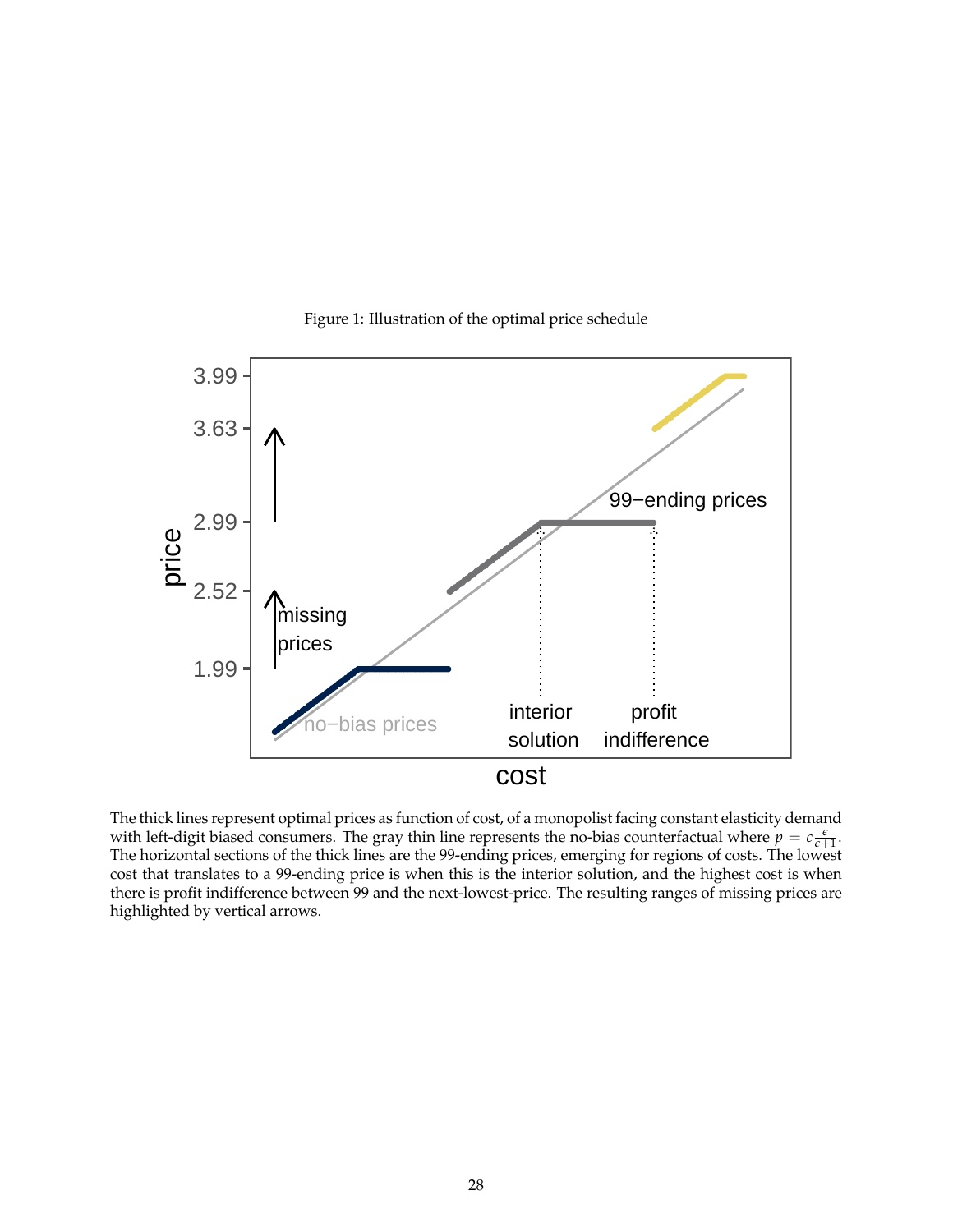<span id="page-27-0"></span>

Figure 1: Illustration of the optimal price schedule

The thick lines represent optimal prices as function of cost, of a monopolist facing constant elasticity demand with left-digit biased consumers. The gray thin line represents the no-bias counterfactual where  $p = c \frac{\epsilon}{\epsilon+1}$ . The horizontal sections of the thick lines are the 99-ending prices, emerging for regions of costs. The lowest cost that translates to a 99-ending price is when this is the interior solution, and the highest cost is when there is profit indifference between 99 and the next-lowest-price. The resulting ranges of missing prices are highlighted by vertical arrows.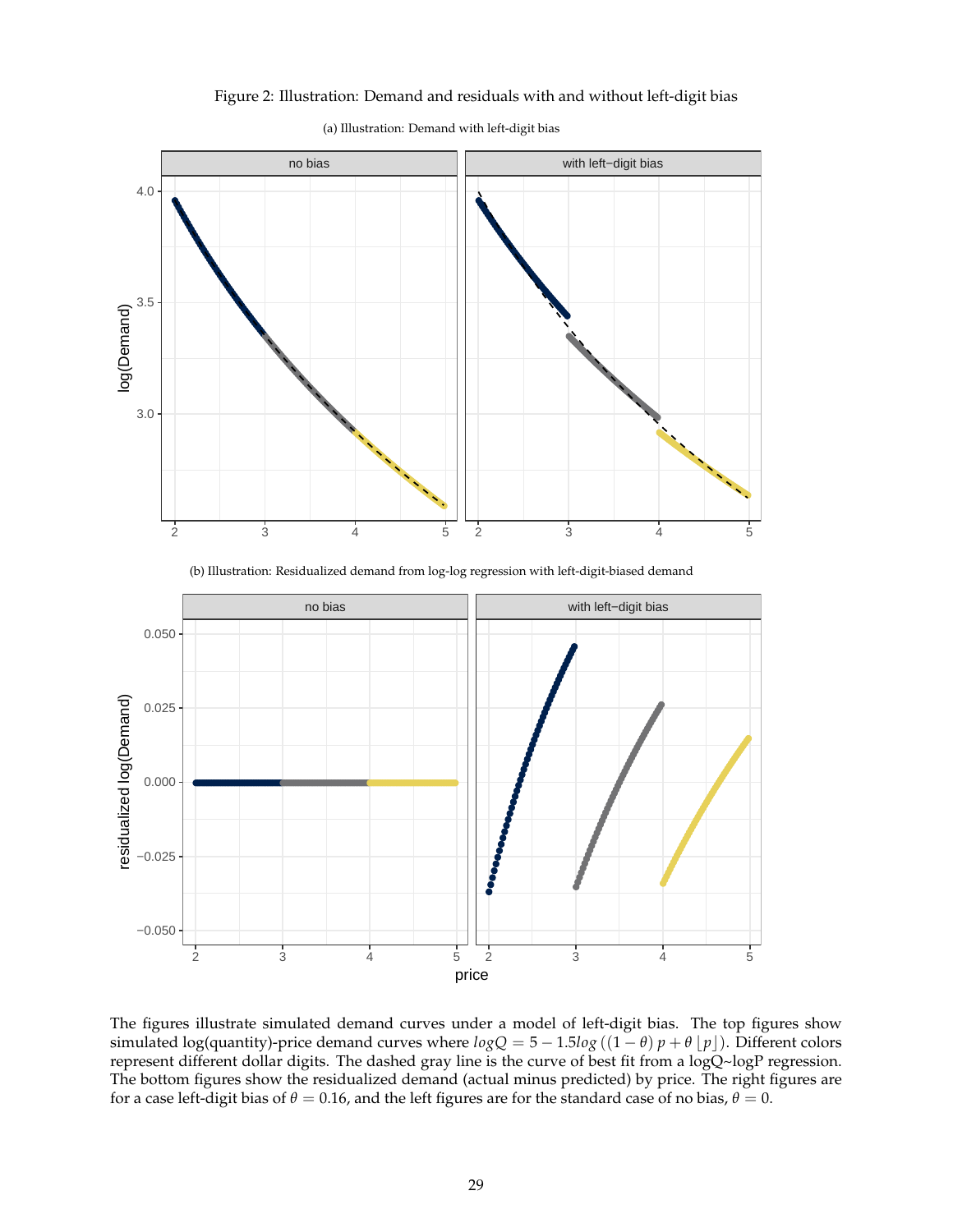### Figure 2: Illustration: Demand and residuals with and without left-digit bias



(a) Illustration: Demand with left-digit bias

(b) Illustration: Residualized demand from log-log regression with left-digit-biased demand

<span id="page-28-0"></span>

The figures illustrate simulated demand curves under a model of left-digit bias. The top figures show simulated log(quantity)-price demand curves where  $logQ = 5 - 1.5log((1 - \theta)p + \theta p)$ . Different colors represent different dollar digits. The dashed gray line is the curve of best fit from a logQ~logP regression. The bottom figures show the residualized demand (actual minus predicted) by price. The right figures are for a case left-digit bias of  $\theta = 0.16$ , and the left figures are for the standard case of no bias,  $\theta = 0$ .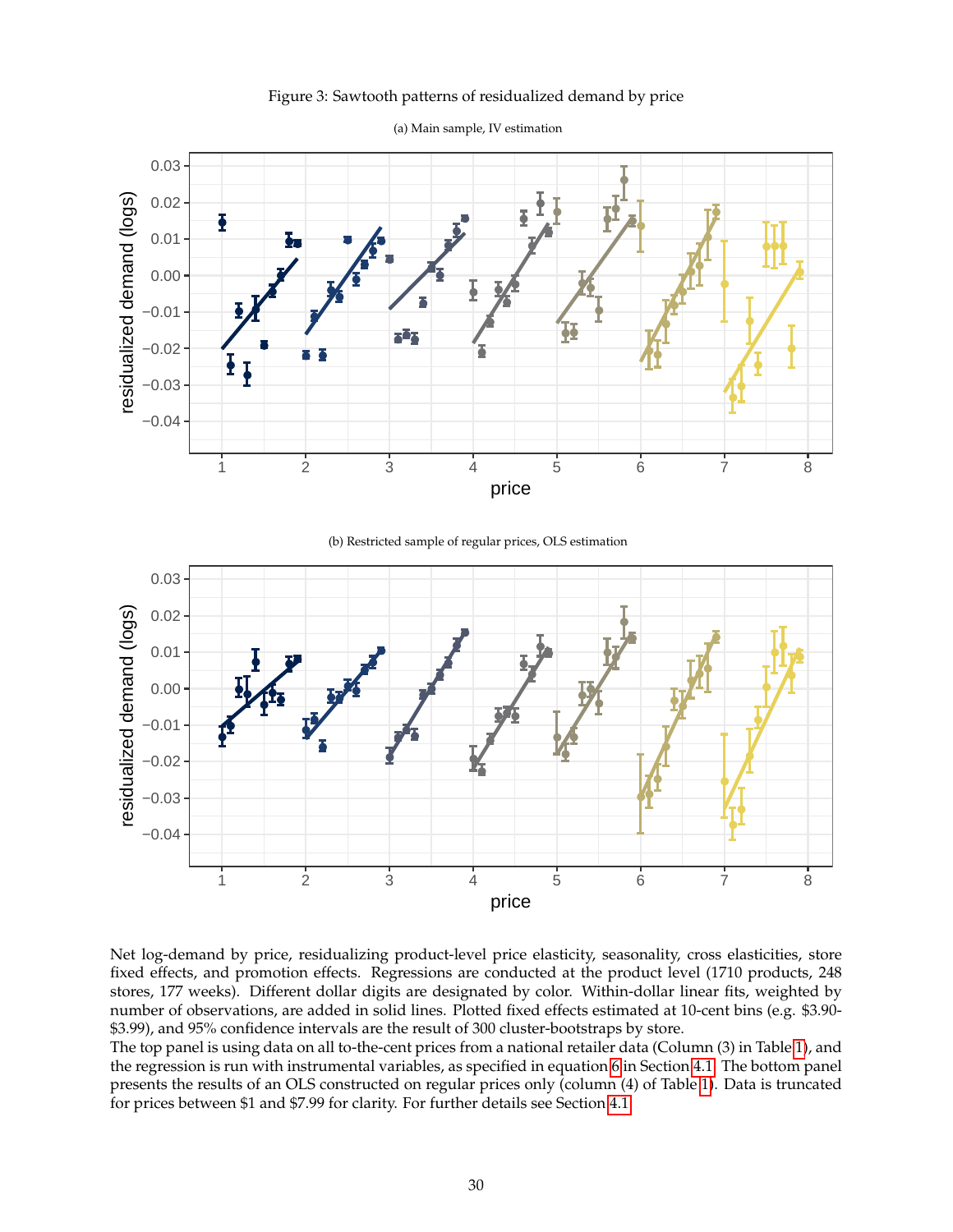

<span id="page-29-0"></span>

(a) Main sample, IV estimation

(b) Restricted sample of regular prices, OLS estimation



Net log-demand by price, residualizing product-level price elasticity, seasonality, cross elasticities, store fixed effects, and promotion effects. Regressions are conducted at the product level (1710 products, 248 stores, 177 weeks). Different dollar digits are designated by color. Within-dollar linear fits, weighted by number of observations, are added in solid lines. Plotted fixed effects estimated at 10-cent bins (e.g. \$3.90- \$3.99), and 95% confidence intervals are the result of 300 cluster-bootstraps by store.

The top panel is using data on all to-the-cent prices from a national retailer data (Column (3) in Table [1\)](#page-34-0), and the regression is run with instrumental variables, as specified in equation [6](#page-15-2) in Section [4.1.](#page-13-2) The bottom panel presents the results of an OLS constructed on regular prices only (column (4) of Table [1\)](#page-34-0). Data is truncated for prices between \$1 and \$7.99 for clarity. For further details see Section [4.1.](#page-13-2)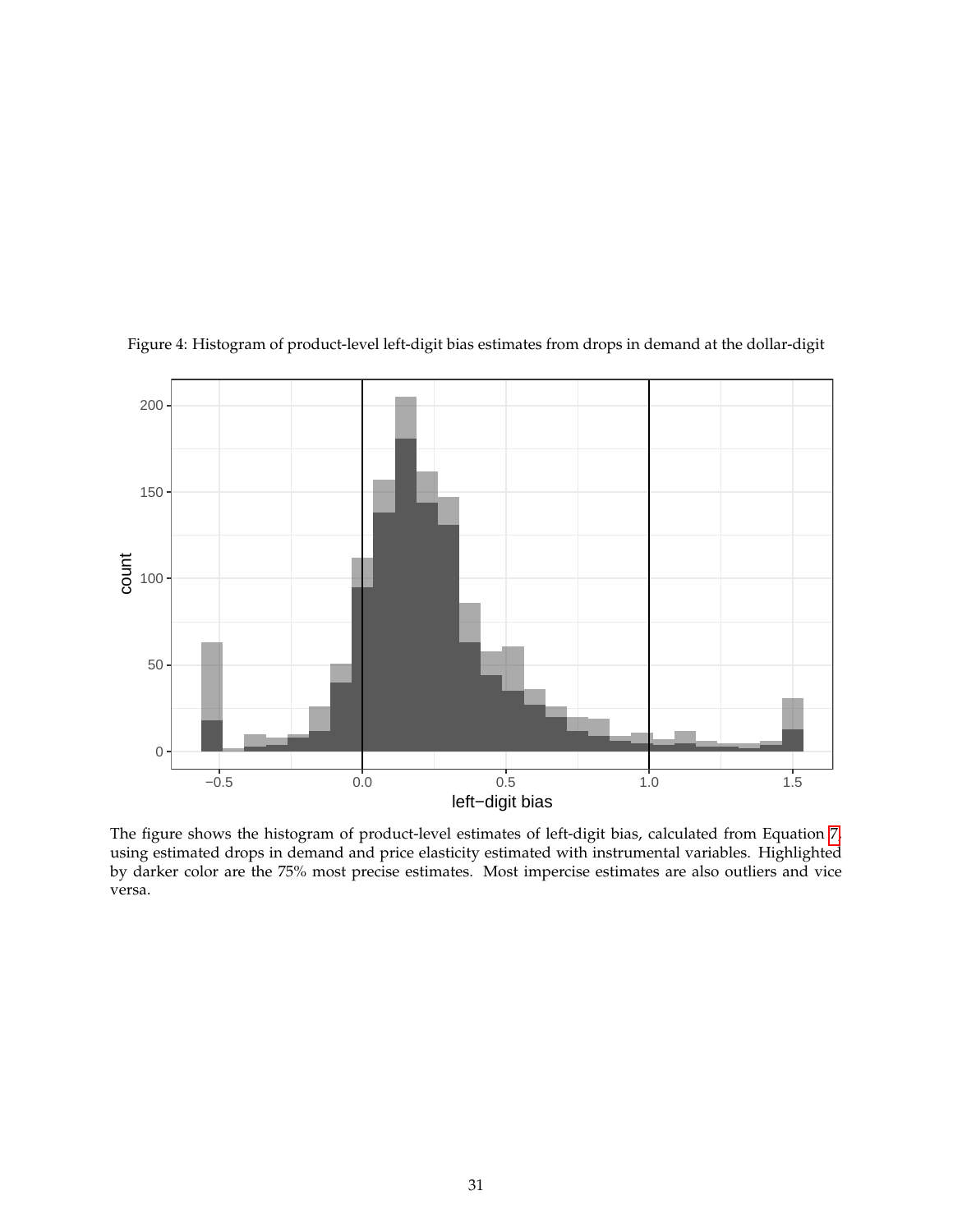

<span id="page-30-0"></span>Figure 4: Histogram of product-level left-digit bias estimates from drops in demand at the dollar-digit

The figure shows the histogram of product-level estimates of left-digit bias, calculated from Equation [7,](#page-17-3) using estimated drops in demand and price elasticity estimated with instrumental variables. Highlighted by darker color are the 75% most precise estimates. Most impercise estimates are also outliers and vice versa.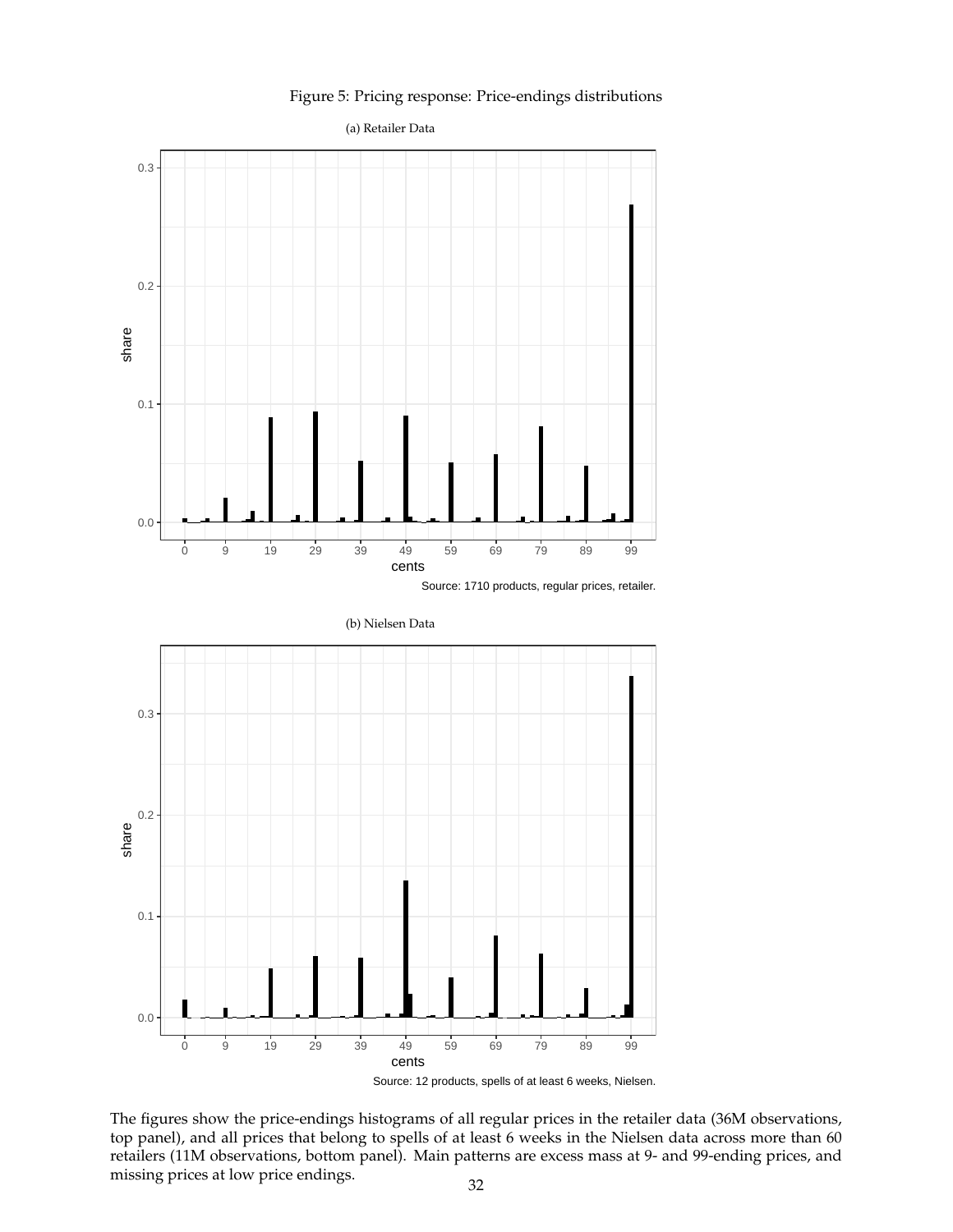#### Figure 5: Pricing response: Price-endings distributions

<span id="page-31-0"></span>

Source: 12 products, spells of at least 6 weeks, Nielsen.

The figures show the price-endings histograms of all regular prices in the retailer data (36M observations, top panel), and all prices that belong to spells of at least 6 weeks in the Nielsen data across more than 60 retailers (11M observations, bottom panel). Main patterns are excess mass at 9- and 99-ending prices, and missing prices at low price endings. 32

cents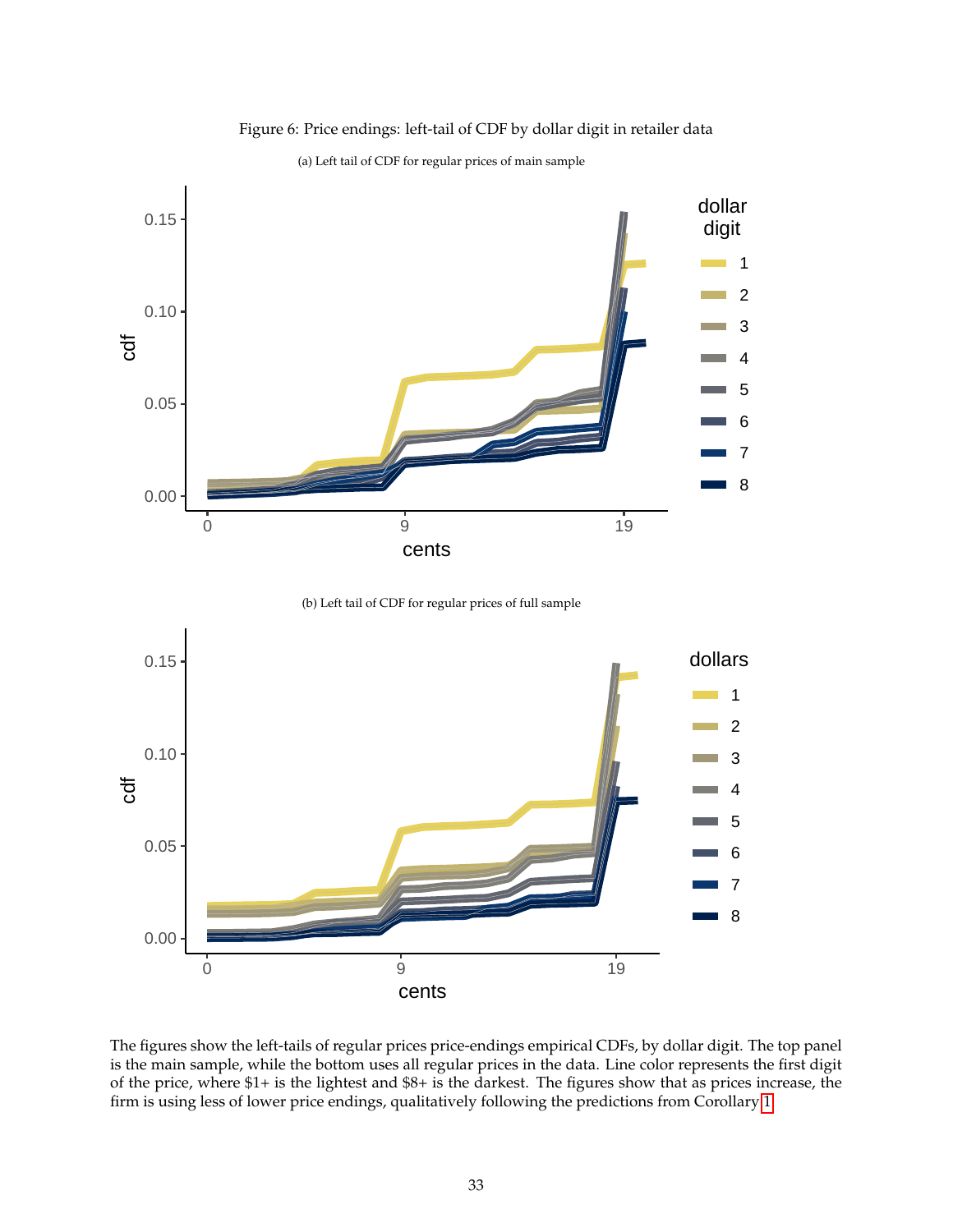<span id="page-32-0"></span>

Figure 6: Price endings: left-tail of CDF by dollar digit in retailer data

(a) Left tail of CDF for regular prices of main sample

<sup>(</sup>b) Left tail of CDF for regular prices of full sample



The figures show the left-tails of regular prices price-endings empirical CDFs, by dollar digit. The top panel is the main sample, while the bottom uses all regular prices in the data. Line color represents the first digit of the price, where \$1+ is the lightest and \$8+ is the darkest. The figures show that as prices increase, the firm is using less of lower price endings, qualitatively following the predictions from Corollary [1.](#page-10-3)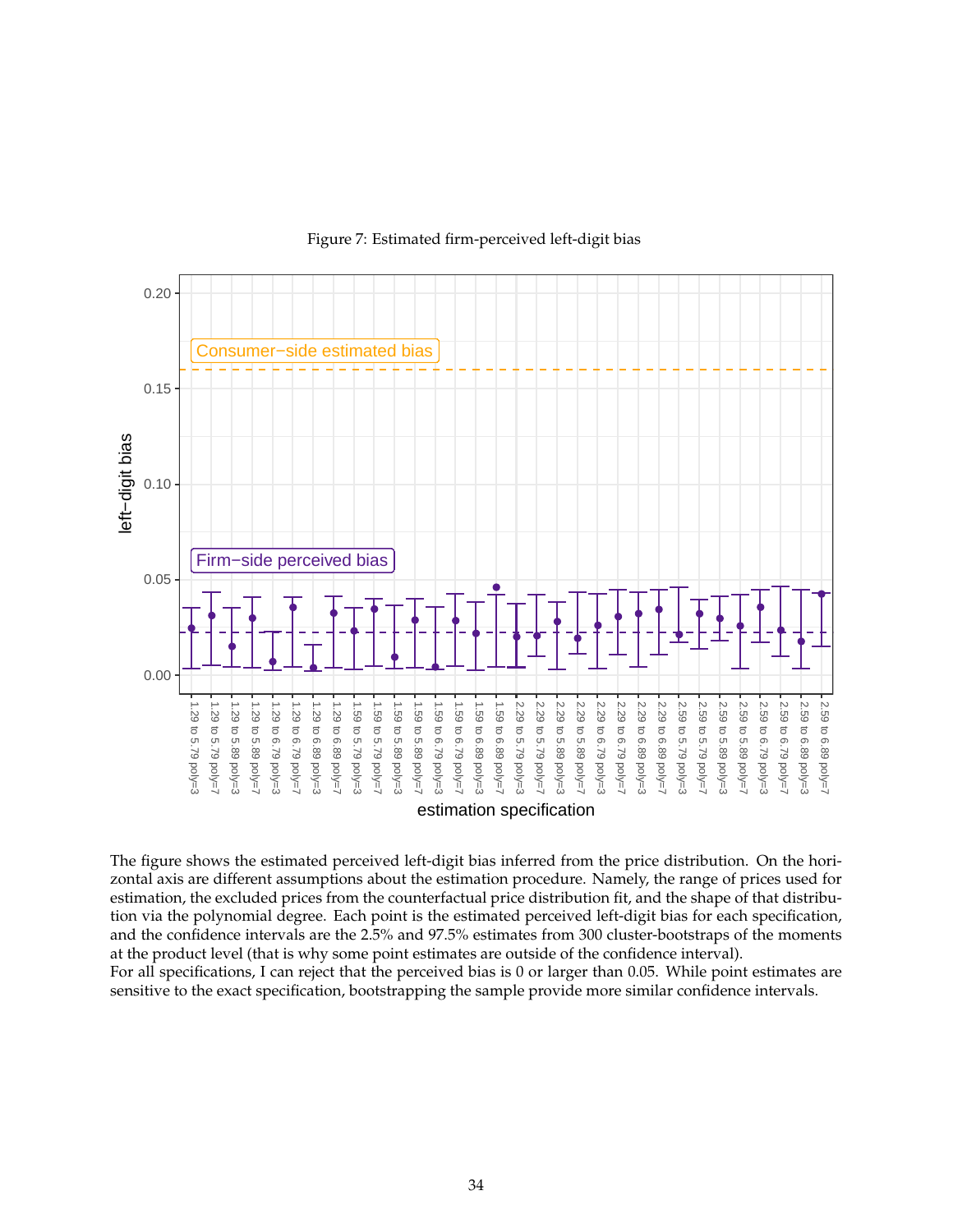<span id="page-33-0"></span>

Figure 7: Estimated firm-perceived left-digit bias

The figure shows the estimated perceived left-digit bias inferred from the price distribution. On the horizontal axis are different assumptions about the estimation procedure. Namely, the range of prices used for estimation, the excluded prices from the counterfactual price distribution fit, and the shape of that distribution via the polynomial degree. Each point is the estimated perceived left-digit bias for each specification, and the confidence intervals are the 2.5% and 97.5% estimates from 300 cluster-bootstraps of the moments at the product level (that is why some point estimates are outside of the confidence interval).

For all specifications, I can reject that the perceived bias is 0 or larger than 0.05. While point estimates are sensitive to the exact specification, bootstrapping the sample provide more similar confidence intervals.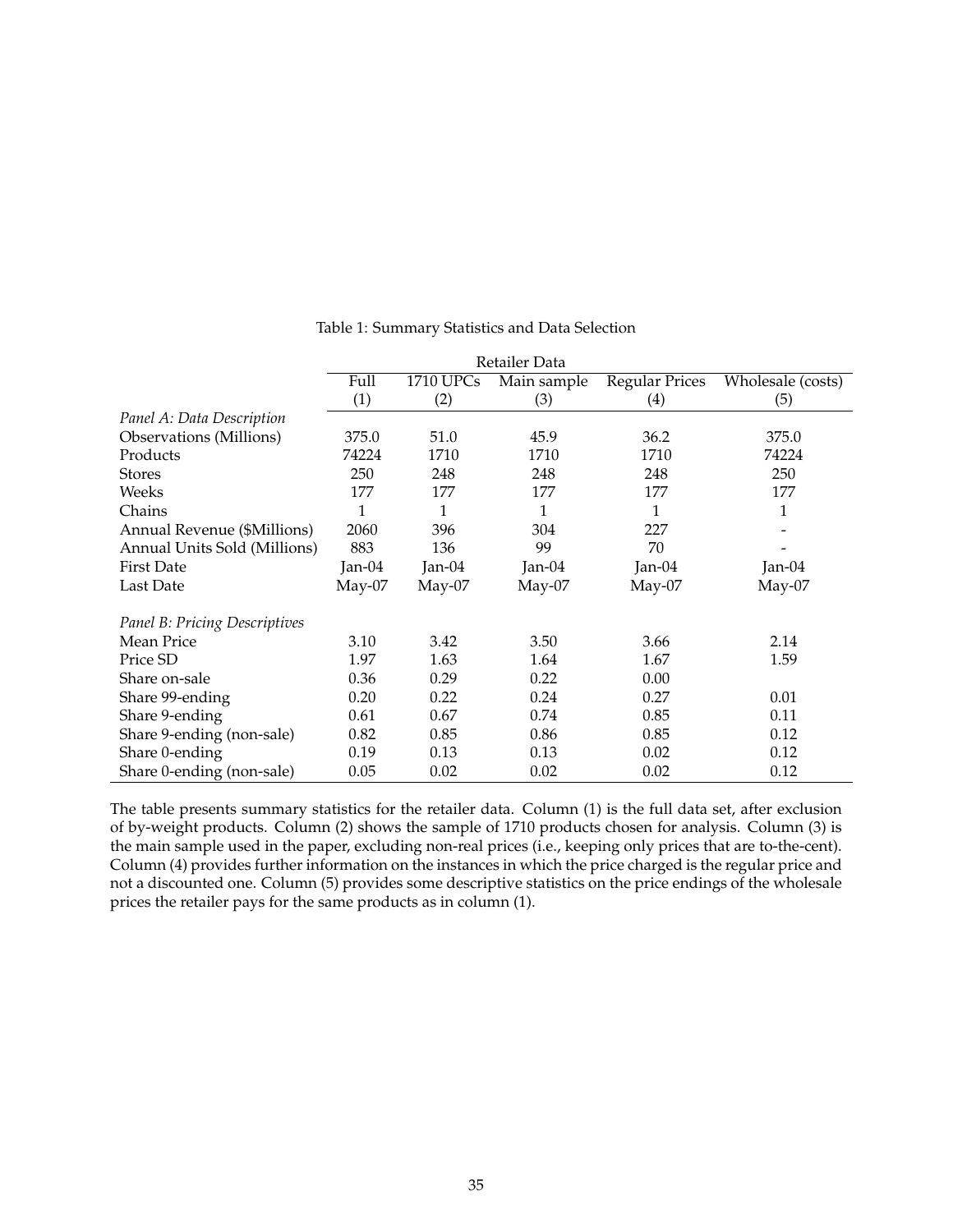<span id="page-34-0"></span>

|                                | Retailer Data |                  |             |                       |                   |  |
|--------------------------------|---------------|------------------|-------------|-----------------------|-------------------|--|
|                                | Full          | <b>1710 UPCs</b> | Main sample | <b>Regular Prices</b> | Wholesale (costs) |  |
|                                | (1)           | (2)              | (3)         | (4)                   | (5)               |  |
| Panel A: Data Description      |               |                  |             |                       |                   |  |
| <b>Observations</b> (Millions) | 375.0         | 51.0             | 45.9        | 36.2                  | 375.0             |  |
| Products                       | 74224         | 1710             | 1710        | 1710                  | 74224             |  |
| <b>Stores</b>                  | 250           | 248              | 248         | 248                   | 250               |  |
| Weeks                          | 177           | 177              | 177         | 177                   | 177               |  |
| Chains                         | 1             | 1                | 1           | 1                     | 1                 |  |
| Annual Revenue (\$Millions)    | 2060          | 396              | 304         | 227                   |                   |  |
| Annual Units Sold (Millions)   | 883           | 136              | 99          | 70                    |                   |  |
| <b>First Date</b>              | Jan- $04$     | Jan- $04$        | Jan-04      | Jan- $04$             | Jan-04            |  |
| Last Date                      | $May-07$      | $May-07$         | $May-07$    | $May-07$              | May-07            |  |
| Panel B: Pricing Descriptives  |               |                  |             |                       |                   |  |
| <b>Mean Price</b>              | 3.10          | 3.42             | 3.50        | 3.66                  | 2.14              |  |
| Price SD                       | 1.97          | 1.63             | 1.64        | 1.67                  | 1.59              |  |
| Share on-sale                  | 0.36          | 0.29             | 0.22        | 0.00                  |                   |  |
| Share 99-ending                | 0.20          | 0.22             | 0.24        | 0.27                  | 0.01              |  |
| Share 9-ending                 | 0.61          | 0.67             | 0.74        | 0.85                  | 0.11              |  |
| Share 9-ending (non-sale)      | 0.82          | 0.85             | 0.86        | 0.85                  | 0.12              |  |
| Share 0-ending                 | 0.19          | 0.13             | 0.13        | 0.02                  | 0.12              |  |
| Share 0-ending (non-sale)      | 0.05          | 0.02             | 0.02        | 0.02                  | 0.12              |  |

Table 1: Summary Statistics and Data Selection

The table presents summary statistics for the retailer data. Column (1) is the full data set, after exclusion of by-weight products. Column (2) shows the sample of 1710 products chosen for analysis. Column (3) is the main sample used in the paper, excluding non-real prices (i.e., keeping only prices that are to-the-cent). Column (4) provides further information on the instances in which the price charged is the regular price and not a discounted one. Column (5) provides some descriptive statistics on the price endings of the wholesale prices the retailer pays for the same products as in column (1).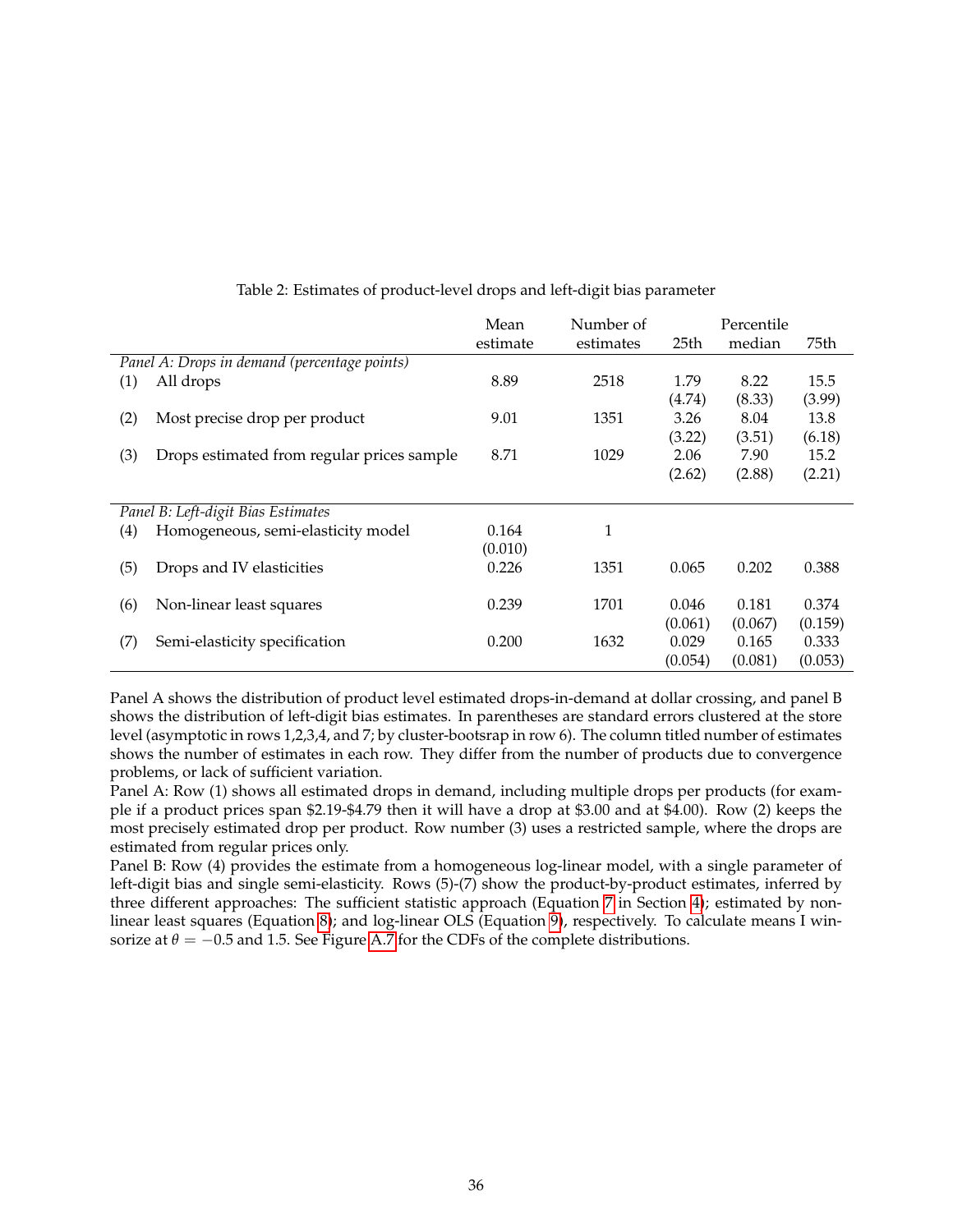<span id="page-35-0"></span>

|                  |                                              | Number of<br>Mean |           |         | Percentile |         |  |
|------------------|----------------------------------------------|-------------------|-----------|---------|------------|---------|--|
|                  |                                              | estimate          | estimates | 25th    | median     | 75th    |  |
|                  | Panel A: Drops in demand (percentage points) |                   |           |         |            |         |  |
| (1)              | All drops                                    | 8.89              | 2518      | 1.79    | 8.22       | 15.5    |  |
|                  |                                              |                   |           | (4.74)  | (8.33)     | (3.99)  |  |
| (2)              | Most precise drop per product                | 9.01              | 1351      | 3.26    | 8.04       | 13.8    |  |
|                  |                                              |                   |           | (3.22)  | (3.51)     | (6.18)  |  |
| (3)              | Drops estimated from regular prices sample   | 8.71              | 1029      | 2.06    | 7.90       | 15.2    |  |
|                  |                                              |                   |           | (2.62)  | (2.88)     | (2.21)  |  |
|                  |                                              |                   |           |         |            |         |  |
|                  | Panel B: Left-digit Bias Estimates           |                   |           |         |            |         |  |
| $\left(4\right)$ | Homogeneous, semi-elasticity model           | 0.164             | 1         |         |            |         |  |
|                  |                                              | (0.010)           |           |         |            |         |  |
| (5)              | Drops and IV elasticities                    | 0.226             | 1351      | 0.065   | 0.202      | 0.388   |  |
|                  |                                              |                   |           |         |            |         |  |
| (6)              | Non-linear least squares                     | 0.239             | 1701      | 0.046   | 0.181      | 0.374   |  |
|                  |                                              |                   |           | (0.061) | (0.067)    | (0.159) |  |
| (7)              | Semi-elasticity specification                | 0.200             | 1632      | 0.029   | 0.165      | 0.333   |  |
|                  |                                              |                   |           | (0.054) | (0.081)    | (0.053) |  |

Table 2: Estimates of product-level drops and left-digit bias parameter

Panel A shows the distribution of product level estimated drops-in-demand at dollar crossing, and panel B shows the distribution of left-digit bias estimates. In parentheses are standard errors clustered at the store level (asymptotic in rows 1,2,3,4, and 7; by cluster-bootsrap in row 6). The column titled number of estimates shows the number of estimates in each row. They differ from the number of products due to convergence problems, or lack of sufficient variation.

Panel A: Row (1) shows all estimated drops in demand, including multiple drops per products (for example if a product prices span \$2.19-\$4.79 then it will have a drop at \$3.00 and at \$4.00). Row (2) keeps the most precisely estimated drop per product. Row number (3) uses a restricted sample, where the drops are estimated from regular prices only.

Panel B: Row (4) provides the estimate from a homogeneous log-linear model, with a single parameter of left-digit bias and single semi-elasticity. Rows (5)-(7) show the product-by-product estimates, inferred by three different approaches: The sufficient statistic approach (Equation [7](#page-17-3) in Section [4\)](#page-13-0); estimated by nonlinear least squares (Equation [8\)](#page-19-2); and log-linear OLS (Equation [9\)](#page-19-3), respectively. To calculate means I winsorize at  $\theta = -0.5$  and 1.5. See Figure [A.7](#page-58-0) for the CDFs of the complete distributions.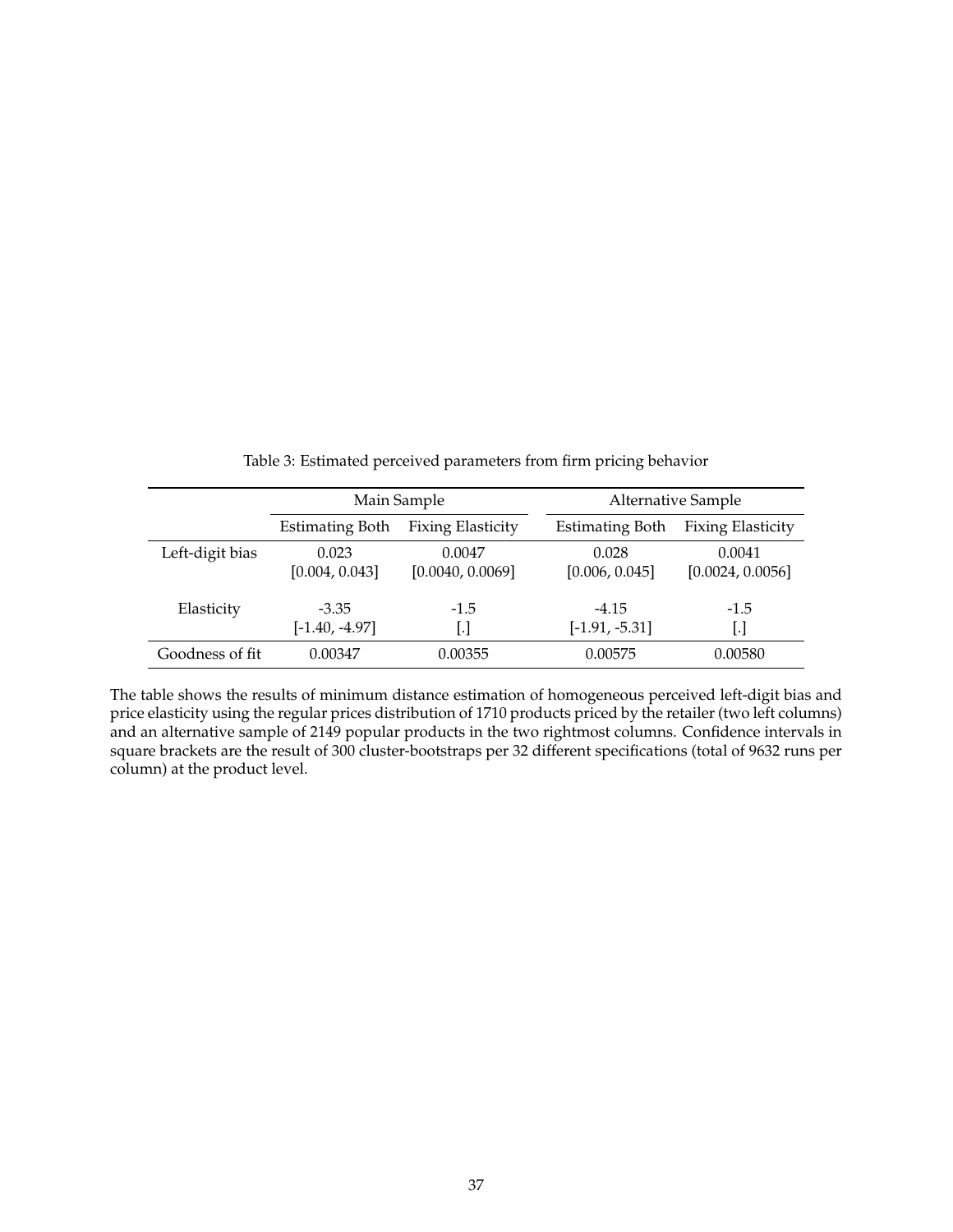<span id="page-36-0"></span>

|                 |                             | Main Sample                   | Alternative Sample          |                               |  |
|-----------------|-----------------------------|-------------------------------|-----------------------------|-------------------------------|--|
|                 | <b>Estimating Both</b>      | <b>Fixing Elasticity</b>      | <b>Estimating Both</b>      | <b>Fixing Elasticity</b>      |  |
| Left-digit bias | 0.023<br>[0.004, 0.043]     | 0.0047<br>[0.0040, 0.0069]    | 0.028<br>[0.006, 0.045]     | 0.0041<br>[0.0024, 0.0056]    |  |
| Elasticity      | $-3.35$<br>$[-1.40, -4.97]$ | $-1.5$<br>$\lfloor . \rfloor$ | $-4.15$<br>$[-1.91, -5.31]$ | $-1.5$<br>$\lfloor . \rfloor$ |  |
| Goodness of fit | 0.00347                     | 0.00355                       | 0.00575                     | 0.00580                       |  |

| Table 3: Estimated perceived parameters from firm pricing behavior |  |  |  |
|--------------------------------------------------------------------|--|--|--|
|                                                                    |  |  |  |

The table shows the results of minimum distance estimation of homogeneous perceived left-digit bias and price elasticity using the regular prices distribution of 1710 products priced by the retailer (two left columns) and an alternative sample of 2149 popular products in the two rightmost columns. Confidence intervals in square brackets are the result of 300 cluster-bootstraps per 32 different specifications (total of 9632 runs per column) at the product level.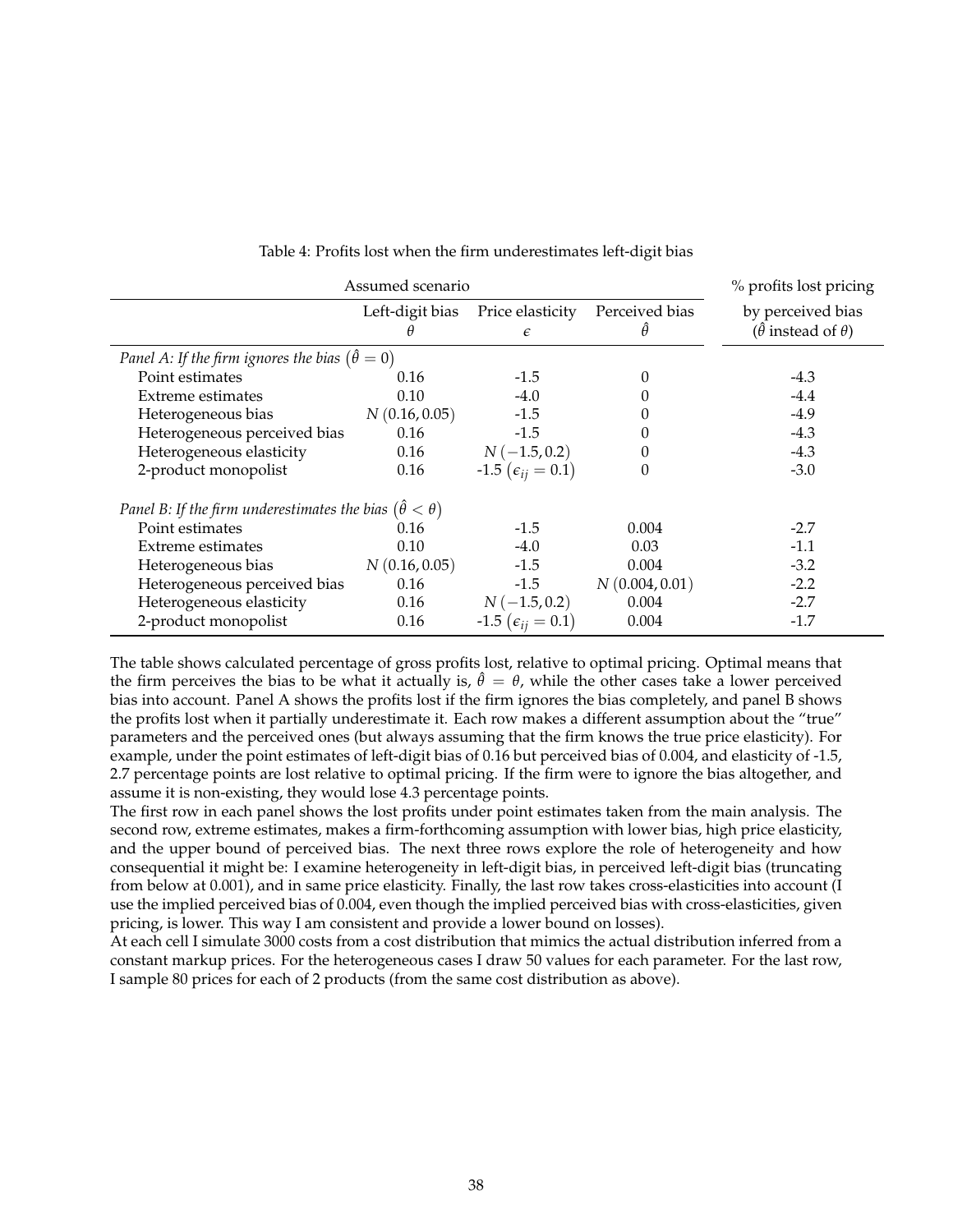<span id="page-37-0"></span>

| Assumed scenario                                                       | % profits lost pricing |                                  |                            |                                                            |
|------------------------------------------------------------------------|------------------------|----------------------------------|----------------------------|------------------------------------------------------------|
|                                                                        | Left-digit bias        | Price elasticity<br>$\epsilon$   | Perceived bias<br>$\theta$ | by perceived bias<br>$(\hat{\theta}$ instead of $\theta$ ) |
| Panel A: If the firm ignores the bias $(\hat{\theta} = 0)$             |                        |                                  |                            |                                                            |
| Point estimates                                                        | 0.16                   | $-1.5$                           | 0                          | $-4.3$                                                     |
| <b>Extreme estimates</b>                                               | 0.10                   | $-4.0$                           |                            | $-4.4$                                                     |
| Heterogeneous bias                                                     | N(0.16, 0.05)          | $-1.5$                           |                            | $-4.9$                                                     |
| Heterogeneous perceived bias                                           | 0.16                   | $-1.5$                           |                            | $-4.3$                                                     |
| Heterogeneous elasticity                                               | 0.16                   | $N(-1.5, 0.2)$                   | 0                          | $-4.3$                                                     |
| 2-product monopolist                                                   | 0.16                   | $-1.5$ ( $\epsilon_{ii} = 0.1$ ) | 0                          | $-3.0$                                                     |
| Panel B: If the firm underestimates the bias $(\hat{\theta} < \theta)$ |                        |                                  |                            |                                                            |
| Point estimates                                                        | 0.16                   | $-1.5$                           | 0.004                      | $-2.7$                                                     |
| Extreme estimates                                                      | 0.10                   | $-4.0$                           | 0.03                       | $-1.1$                                                     |
| Heterogeneous bias                                                     | N(0.16, 0.05)          | $-1.5$                           | 0.004                      | $-3.2$                                                     |
| Heterogeneous perceived bias                                           | 0.16                   | $-1.5$                           | N(0.004, 0.01)             | $-2.2$                                                     |
| Heterogeneous elasticity                                               | 0.16                   | $N(-1.5, 0.2)$                   | 0.004                      | $-2.7$                                                     |
| 2-product monopolist                                                   | 0.16                   | $-1.5\;(\epsilon_{ij}=0.1)$      | 0.004                      | $-1.7$                                                     |

#### Table 4: Profits lost when the firm underestimates left-digit bias

The table shows calculated percentage of gross profits lost, relative to optimal pricing. Optimal means that the firm perceives the bias to be what it actually is,  $\hat{\theta} = \theta$ , while the other cases take a lower perceived bias into account. Panel A shows the profits lost if the firm ignores the bias completely, and panel B shows the profits lost when it partially underestimate it. Each row makes a different assumption about the "true" parameters and the perceived ones (but always assuming that the firm knows the true price elasticity). For example, under the point estimates of left-digit bias of 0.16 but perceived bias of 0.004, and elasticity of -1.5, 2.7 percentage points are lost relative to optimal pricing. If the firm were to ignore the bias altogether, and assume it is non-existing, they would lose 4.3 percentage points.

The first row in each panel shows the lost profits under point estimates taken from the main analysis. The second row, extreme estimates, makes a firm-forthcoming assumption with lower bias, high price elasticity, and the upper bound of perceived bias. The next three rows explore the role of heterogeneity and how consequential it might be: I examine heterogeneity in left-digit bias, in perceived left-digit bias (truncating from below at 0.001), and in same price elasticity. Finally, the last row takes cross-elasticities into account (I use the implied perceived bias of 0.004, even though the implied perceived bias with cross-elasticities, given pricing, is lower. This way I am consistent and provide a lower bound on losses).

At each cell I simulate 3000 costs from a cost distribution that mimics the actual distribution inferred from a constant markup prices. For the heterogeneous cases I draw 50 values for each parameter. For the last row, I sample 80 prices for each of 2 products (from the same cost distribution as above).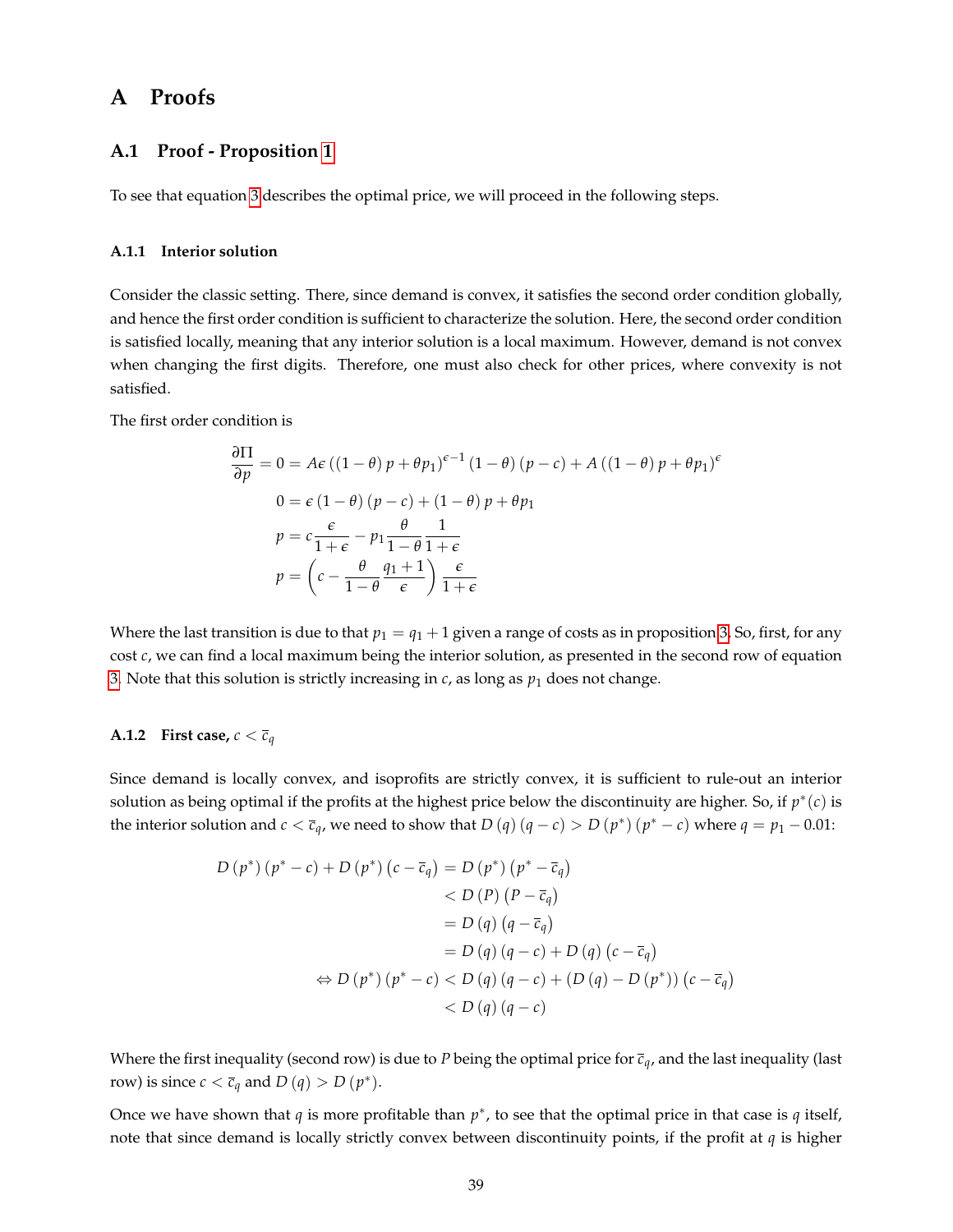## <span id="page-38-0"></span>**A Proofs**

### **A.1 Proof - Proposition [1](#page-8-4)**

To see that equation [3](#page-8-0) describes the optimal price, we will proceed in the following steps.

#### **A.1.1 Interior solution**

Consider the classic setting. There, since demand is convex, it satisfies the second order condition globally, and hence the first order condition is sufficient to characterize the solution. Here, the second order condition is satisfied locally, meaning that any interior solution is a local maximum. However, demand is not convex when changing the first digits. Therefore, one must also check for other prices, where convexity is not satisfied.

The first order condition is

$$
\frac{\partial \Pi}{\partial p} = 0 = Ae ((1 - \theta) p + \theta p_1)^{\epsilon - 1} (1 - \theta) (p - c) + A ((1 - \theta) p + \theta p_1)^{\epsilon}
$$
  

$$
0 = \epsilon (1 - \theta) (p - c) + (1 - \theta) p + \theta p_1
$$
  

$$
p = c \frac{\epsilon}{1 + \epsilon} - p_1 \frac{\theta}{1 - \theta} \frac{1}{1 + \epsilon}
$$
  

$$
p = \left( c - \frac{\theta}{1 - \theta} \frac{q_1 + 1}{\epsilon} \right) \frac{\epsilon}{1 + \epsilon}
$$

Where the last transition is due to that  $p_1 = q_1 + 1$  given a range of costs as in proposition [3,](#page-8-0) So, first, for any cost *c*, we can find a local maximum being the interior solution, as presented in the second row of equation [3.](#page-8-0) Note that this solution is strictly increasing in  $c$ , as long as  $p_1$  does not change.

#### **A.1.2** First case,  $c < \overline{c}_q$

Since demand is locally convex, and isoprofits are strictly convex, it is sufficient to rule-out an interior solution as being optimal if the profits at the highest price below the discontinuity are higher. So, if  $p^*(c)$  is the interior solution and  $c < \overline{c}_q$ , we need to show that  $D(q)(q-c) > D(p^*)(p^*-c)$  where  $q = p_1 - 0.01$ :

$$
D (p^*) (p^* - c) + D (p^*) (c - \overline{c}_q) = D (p^*) (p^* - \overline{c}_q)
$$
  

$$
< D (P) (P - \overline{c}_q)
$$
  

$$
= D (q) (q - \overline{c}_q)
$$
  

$$
= D (q) (q - c) + D (q) (c - \overline{c}_q)
$$
  

$$
\Leftrightarrow D (p^*) (p^* - c) < D (q) (q - c) + (D (q) - D (p^*)) (c - \overline{c}_q)
$$
  

$$
< D (q) (q - c)
$$

Where the first inequality (second row) is due to *P* being the optimal price for  $\bar{c}_q$ , and the last inequality (last row) is since  $c < \overline{c}_q$  and  $D(q) > D(p^*)$ .

Once we have shown that  $q$  is more profitable than  $p^*$ , to see that the optimal price in that case is  $q$  itself, note that since demand is locally strictly convex between discontinuity points, if the profit at *q* is higher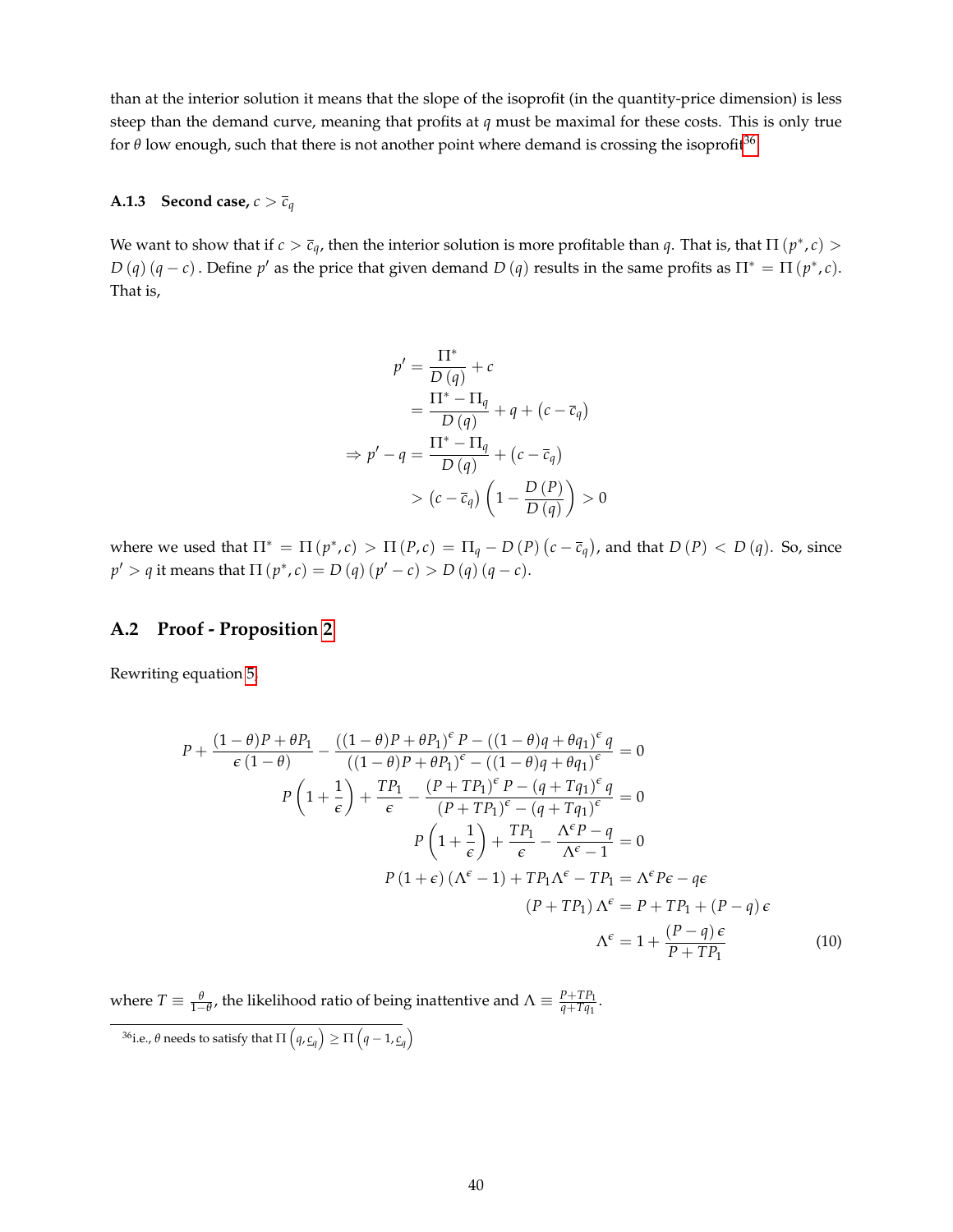than at the interior solution it means that the slope of the isoprofit (in the quantity-price dimension) is less steep than the demand curve, meaning that profits at *q* must be maximal for these costs. This is only true for  $\theta$  low enough, such that there is not another point where demand is crossing the isoprofit<sup>[36](#page-39-0)</sup>.

#### **A.1.3** Second case,  $c > \overline{c}_q$

We want to show that if  $c > \bar{c}_q$ , then the interior solution is more profitable than  $q$ . That is, that  $\Pi(p^*, c)$  $D(q)(q-c)$ . Define  $p'$  as the price that given demand  $D(q)$  results in the same profits as  $\Pi^* = \Pi(p^*, c)$ . That is,

$$
p' = \frac{\Pi^*}{D(q)} + c
$$
  
= 
$$
\frac{\Pi^* - \Pi_q}{D(q)} + q + (c - \overline{c}_q)
$$
  

$$
\Rightarrow p' - q = \frac{\Pi^* - \Pi_q}{D(q)} + (c - \overline{c}_q)
$$
  

$$
> (c - \overline{c}_q) \left(1 - \frac{D(P)}{D(q)}\right) > 0
$$

where we used that  $\Pi^* = \Pi(p^*, c) > \Pi(p, c) = \Pi_q - D(p)(c - \overline{c}_q)$ , and that  $D(p) < D(q)$ . So, since  $p' > q$  it means that  $\Pi(p^*, c) = D(q)(p' - c) > D(q)(q - c)$ .

### **A.2 Proof - Proposition [2](#page-9-0)**

Rewriting equation [5,](#page-8-3)

<span id="page-39-1"></span>
$$
P + \frac{(1-\theta)P + \theta P_1}{\epsilon (1-\theta)} - \frac{((1-\theta)P + \theta P_1)^{\epsilon} P - ((1-\theta)q + \theta q_1)^{\epsilon} q}{((1-\theta)P + \theta P_1)^{\epsilon} - ((1-\theta)q + \theta q_1)^{\epsilon}} = 0
$$
  
\n
$$
P\left(1 + \frac{1}{\epsilon}\right) + \frac{TP_1}{\epsilon} - \frac{(P + TP_1)^{\epsilon} P - (q + Tq_1)^{\epsilon} q}{(P + TP_1)^{\epsilon} - (q + Tq_1)^{\epsilon}} = 0
$$
  
\n
$$
P\left(1 + \frac{1}{\epsilon}\right) + \frac{TP_1}{\epsilon} - \frac{\Lambda^{\epsilon} P - q}{\Lambda^{\epsilon} - 1} = 0
$$
  
\n
$$
P(1 + \epsilon) (\Lambda^{\epsilon} - 1) + TP_1 \Lambda^{\epsilon} - TP_1 = \Lambda^{\epsilon} P \epsilon - q \epsilon
$$
  
\n
$$
(P + TP_1) \Lambda^{\epsilon} = P + TP_1 + (P - q) \epsilon
$$
  
\n
$$
\Lambda^{\epsilon} = 1 + \frac{(P - q) \epsilon}{P + TP_1}
$$
\n(10)

where  $T \equiv \frac{\theta}{1-\theta}$ , the likelihood ratio of being inattentive and  $\Lambda \equiv \frac{P+TP_1}{q+Tq_1}$  $\frac{r+1}{q+Tq_1}$ .

<span id="page-39-0"></span> $^{36}$ i.e., θ needs to satisfy that  $\Pi\left(q, \underline{c}_q\right) \geq \Pi\left(q-1, \underline{c}_q\right)$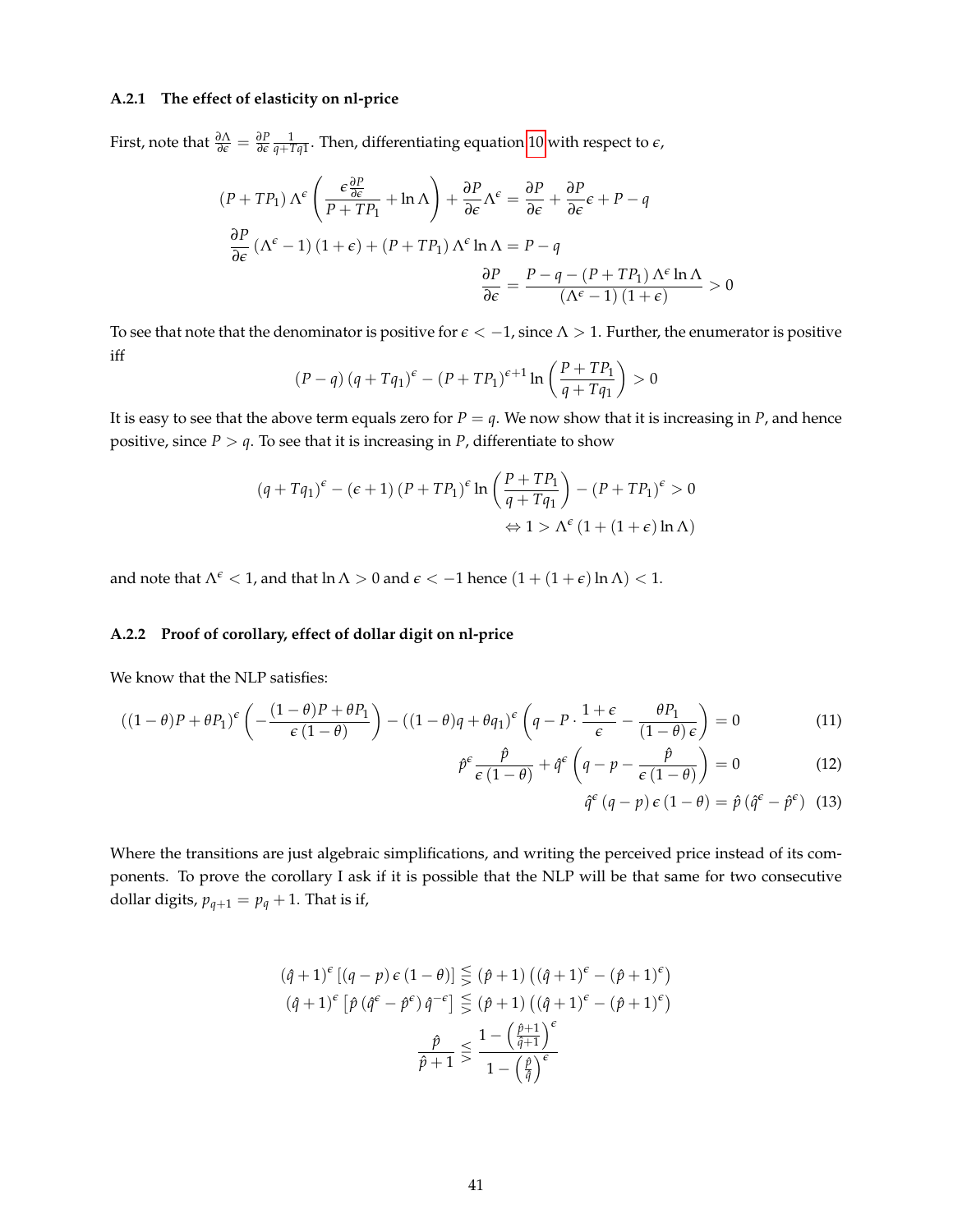### **A.2.1 The effect of elasticity on nl-price**

First, note that  $\frac{\partial \Lambda}{\partial \epsilon} = \frac{\partial P}{\partial \epsilon}$  $\frac{1}{q+Tq1}$ . Then, differentiating equation [10](#page-39-1) with respect to  $\epsilon$ ,

$$
(P + TP_1) \Lambda^{\epsilon} \left( \frac{\epsilon \frac{\partial P}{\partial \epsilon}}{P + TP_1} + \ln \Lambda \right) + \frac{\partial P}{\partial \epsilon} \Lambda^{\epsilon} = \frac{\partial P}{\partial \epsilon} + \frac{\partial P}{\partial \epsilon} \epsilon + P - q
$$

$$
\frac{\partial P}{\partial \epsilon} (\Lambda^{\epsilon} - 1) (1 + \epsilon) + (P + TP_1) \Lambda^{\epsilon} \ln \Lambda = P - q
$$

$$
\frac{\partial P}{\partial \epsilon} = \frac{P - q - (P + TP_1) \Lambda^{\epsilon} \ln \Lambda}{(\Lambda^{\epsilon} - 1) (1 + \epsilon)} > 0
$$

To see that note that the denominator is positive for *e* < −1, since Λ > 1. Further, the enumerator is positive iff

$$
(P-q) (q+Tq_1)^{\epsilon} - (P+TP_1)^{\epsilon+1} \ln\left(\frac{P+TP_1}{q+Tq_1}\right) > 0
$$

It is easy to see that the above term equals zero for  $P = q$ . We now show that it is increasing in *P*, and hence positive, since  $P > q$ . To see that it is increasing in  $P$ , differentiate to show

$$
(q + Tq_1)^{\epsilon} - (\epsilon + 1) (P + TP_1)^{\epsilon} \ln \left( \frac{P + TP_1}{q + Tq_1} \right) - (P + TP_1)^{\epsilon} > 0
$$
  

$$
\Leftrightarrow 1 > \Lambda^{\epsilon} (1 + (1 + \epsilon) \ln \Lambda)
$$

and note that  $\Lambda^{\epsilon}$  < 1, and that  $\ln \Lambda > 0$  and  $\epsilon$  < -1 hence  $(1 + (1 + \epsilon) \ln \Lambda)$  < 1.

### **A.2.2 Proof of corollary, effect of dollar digit on nl-price**

We know that the NLP satisfies:

$$
((1 - \theta)P + \theta P_1)^{\epsilon} \left( -\frac{(1 - \theta)P + \theta P_1}{\epsilon (1 - \theta)} \right) - ((1 - \theta)q + \theta q_1)^{\epsilon} \left( q - P \cdot \frac{1 + \epsilon}{\epsilon} - \frac{\theta P_1}{(1 - \theta)\epsilon} \right) = 0 \tag{11}
$$

$$
\hat{p}^{\epsilon} \frac{\hat{p}}{\epsilon (1-\theta)} + \hat{q}^{\epsilon} \left( q - p - \frac{\hat{p}}{\epsilon (1-\theta)} \right) = 0 \tag{12}
$$

$$
\hat{q}^{\epsilon} (q - p) \epsilon (1 - \theta) = \hat{p} (\hat{q}^{\epsilon} - \hat{p}^{\epsilon})
$$
 (13)

Where the transitions are just algebraic simplifications, and writing the perceived price instead of its components. To prove the corollary I ask if it is possible that the NLP will be that same for two consecutive dollar digits,  $p_{q+1} = p_q + 1$ . That is if,

$$
(\hat{q}+1)^{\epsilon}[(q-p)\epsilon(1-\theta)] \leq (\hat{p}+1) ((\hat{q}+1)^{\epsilon} - (\hat{p}+1)^{\epsilon})
$$

$$
(\hat{q}+1)^{\epsilon}[\hat{p}(\hat{q}^{\epsilon} - \hat{p}^{\epsilon})\hat{q}^{-\epsilon}] \leq (\hat{p}+1) ((\hat{q}+1)^{\epsilon} - (\hat{p}+1)^{\epsilon})
$$

$$
\frac{\hat{p}}{\hat{p}+1} \leq \frac{1 - (\frac{\hat{p}+1}{\hat{q}+1})^{\epsilon}}{1 - (\frac{\hat{p}}{\hat{q}})^{\epsilon}}
$$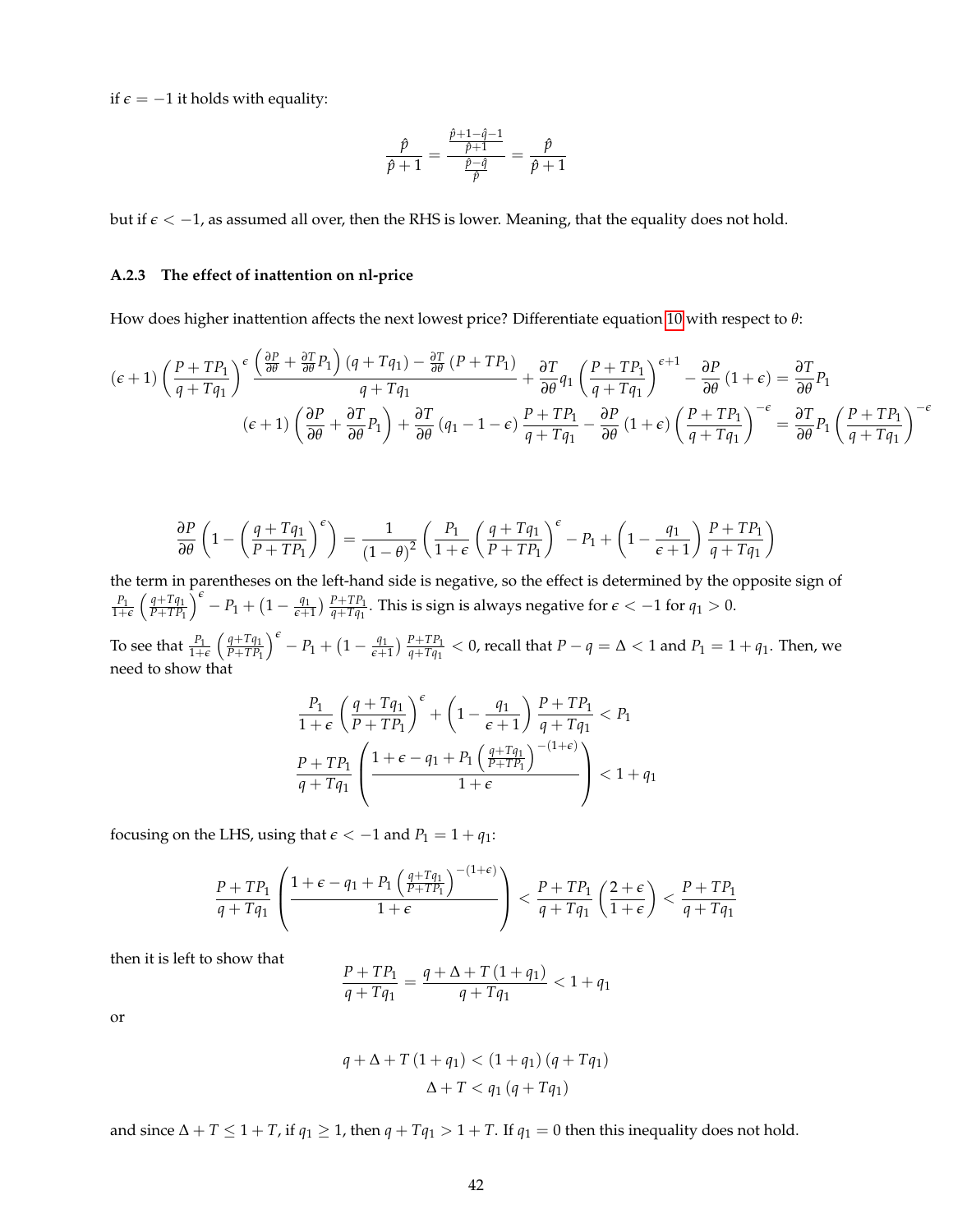if  $\epsilon$  = −1 it holds with equality:

$$
\frac{\hat{p}}{\hat{p}+1} = \frac{\frac{\hat{p}+1-\hat{q}-1}{\hat{p}+1}}{\frac{\hat{p}-\hat{q}}{\hat{p}}} = \frac{\hat{p}}{\hat{p}+1}
$$

but if *e* < −1, as assumed all over, then the RHS is lower. Meaning, that the equality does not hold.

#### **A.2.3 The effect of inattention on nl-price**

How does higher inattention affects the next lowest price? Differentiate equation [10](#page-39-1) with respect to *θ*:

$$
(\epsilon+1)\left(\frac{P+TP_1}{q+Tq_1}\right)^{\epsilon} \frac{\left(\frac{\partial P}{\partial \theta} + \frac{\partial T}{\partial \theta}P_1\right)(q+Tq_1) - \frac{\partial T}{\partial \theta}(P+TP_1)}{q+Tq_1} + \frac{\partial T}{\partial \theta}q_1 \left(\frac{P+TP_1}{q+Tq_1}\right)^{\epsilon+1} - \frac{\partial P}{\partial \theta}(1+\epsilon) = \frac{\partial T}{\partial \theta}P_1
$$

$$
(\epsilon+1)\left(\frac{\partial P}{\partial \theta} + \frac{\partial T}{\partial \theta}P_1\right) + \frac{\partial T}{\partial \theta}(q_1 - 1 - \epsilon) \frac{P+TP_1}{q+Tq_1} - \frac{\partial P}{\partial \theta}(1+\epsilon) \left(\frac{P+TP_1}{q+Tq_1}\right)^{-\epsilon} = \frac{\partial T}{\partial \theta}P_1 \left(\frac{P+TP_1}{q+Tq_1}\right)^{-\epsilon}
$$

$$
\frac{\partial P}{\partial \theta} \left( 1 - \left( \frac{q + Tq_1}{P + TP_1} \right)^{\epsilon} \right) = \frac{1}{(1 - \theta)^2} \left( \frac{P_1}{1 + \epsilon} \left( \frac{q + Tq_1}{P + TP_1} \right)^{\epsilon} - P_1 + \left( 1 - \frac{q_1}{\epsilon + 1} \right) \frac{P + TP_1}{q + Tq_1} \right)
$$

the term in parentheses on the left-hand side is negative, so the effect is determined by the opposite sign of  $\frac{P_1}{1+\epsilon}$   $\left(\frac{q+Tq_1}{P+TP_1}\right)$ *P*+*TP*<sup>1</sup>  $\int_{0}^{\epsilon}$  - *P*<sub>1</sub> + (1 -  $\frac{q_1}{\epsilon+1}$  $\frac{q_1}{\epsilon+1}$ )  $\frac{P+TP_1}{q+Tq_1}$ . This is sign is always negative for  $\epsilon < -1$  for  $q_1 > 0$ .

To see that  $\frac{P_1}{1+\epsilon} \left( \frac{q+Tq_1}{P+TP_1} \right)$ *P*+*TP*<sup>1</sup>  $\int_{0}^{\epsilon} - P_1 + (1 - \frac{q_1}{\epsilon + 1})$  $\frac{q_1}{q+T}$ )  $\frac{P+TP_1}{q+Tq_1} < 0$ , recall that  $P-q = \Delta < 1$  and  $P_1 = 1 + q_1$ . Then, we need to show that

$$
\frac{P_1}{1+\epsilon} \left(\frac{q+Tq_1}{P+TP_1}\right)^{\epsilon} + \left(1 - \frac{q_1}{\epsilon+1}\right) \frac{P+TP_1}{q+Tq_1} < P_1
$$
\n
$$
\frac{P+TP_1}{q+Tq_1} \left(\frac{1+\epsilon-q_1+P_1\left(\frac{q+Tq_1}{P+TP_1}\right)^{-(1+\epsilon)}}{1+\epsilon}\right) < 1+q_1
$$

focusing on the LHS, using that  $\epsilon < -1$  and  $P_1 = 1 + q_1$ :

$$
\frac{P+TP_1}{q+Tq_1}\left(\frac{1+\epsilon-q_1+P_1\left(\frac{q+Tq_1}{P+TP_1}\right)^{-(1+\epsilon)}}{1+\epsilon}\right)<\frac{P+TP_1}{q+Tq_1}\left(\frac{2+\epsilon}{1+\epsilon}\right)<\frac{P+TP_1}{q+Tq_1}
$$

then it is left to show that

$$
\frac{P+TP_1}{q+Tq_1} = \frac{q+\Delta+T(1+q_1)}{q+Tq_1} < 1+q_1
$$

or

$$
q + \Delta + T (1 + q_1) < (1 + q_1) (q + T q_1)
$$
\n
$$
\Delta + T < q_1 (q + T q_1)
$$

and since  $\Delta + T \leq 1 + T$ , if  $q_1 \geq 1$ , then  $q + Tq_1 > 1 + T$ . If  $q_1 = 0$  then this inequality does not hold.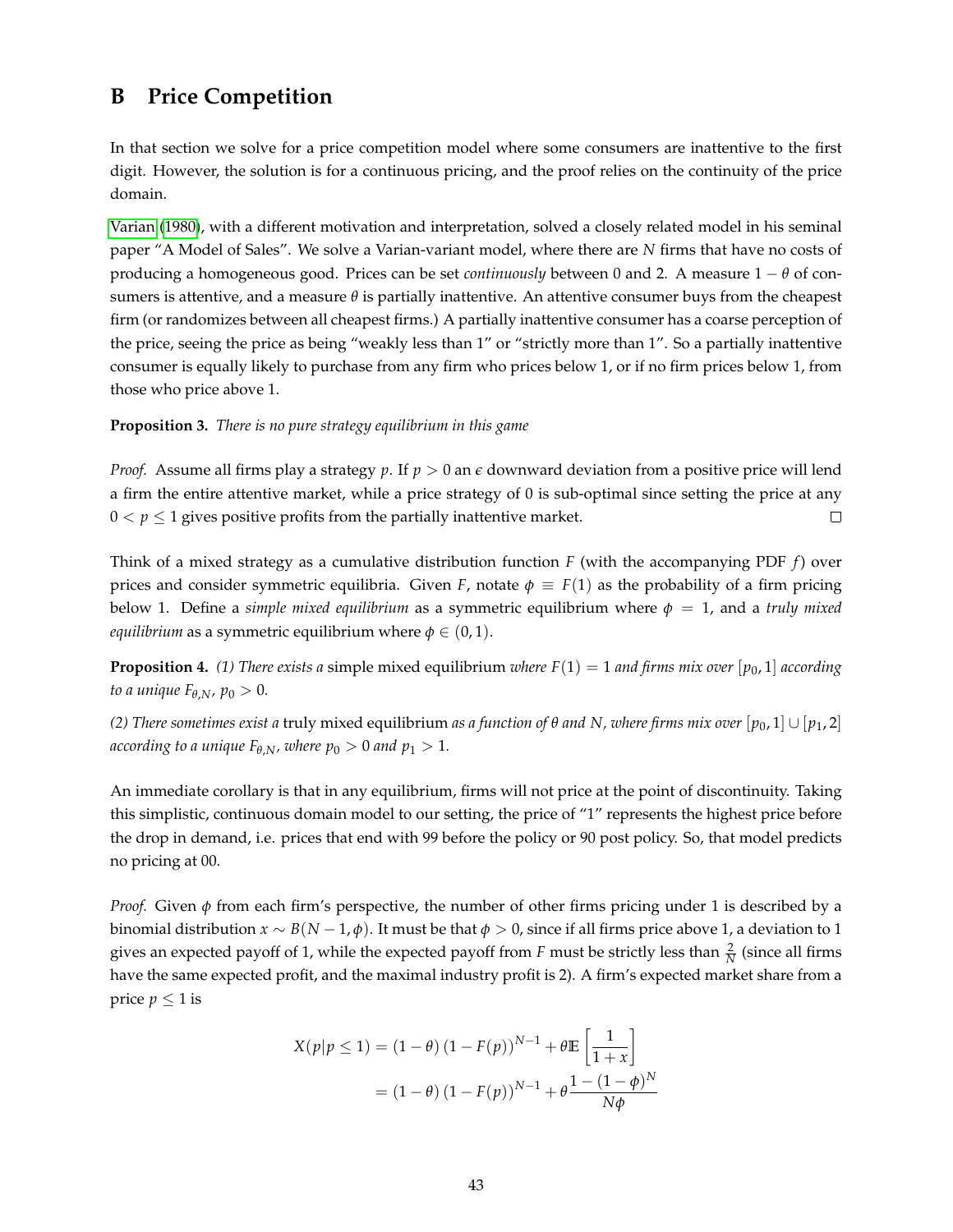## <span id="page-42-0"></span>**B Price Competition**

In that section we solve for a price competition model where some consumers are inattentive to the first digit. However, the solution is for a continuous pricing, and the proof relies on the continuity of the price domain.

[Varian](#page-51-17) [\(1980\)](#page-51-17), with a different motivation and interpretation, solved a closely related model in his seminal paper "A Model of Sales". We solve a Varian-variant model, where there are *N* firms that have no costs of producing a homogeneous good. Prices can be set *continuously* between 0 and 2. A measure 1 − *θ* of consumers is attentive, and a measure  $\theta$  is partially inattentive. An attentive consumer buys from the cheapest firm (or randomizes between all cheapest firms.) A partially inattentive consumer has a coarse perception of the price, seeing the price as being "weakly less than 1" or "strictly more than 1". So a partially inattentive consumer is equally likely to purchase from any firm who prices below 1, or if no firm prices below 1, from those who price above 1.

**Proposition 3.** *There is no pure strategy equilibrium in this game*

*Proof.* Assume all firms play a strategy *p*. If *p* > 0 an *e* downward deviation from a positive price will lend a firm the entire attentive market, while a price strategy of 0 is sub-optimal since setting the price at any  $0 < p \le 1$  gives positive profits from the partially inattentive market.  $\Box$ 

Think of a mixed strategy as a cumulative distribution function *F* (with the accompanying PDF *f*) over prices and consider symmetric equilibria. Given *F*, notate  $\phi \equiv F(1)$  as the probability of a firm pricing below 1. Define a *simple mixed equilibrium* as a symmetric equilibrium where  $\phi = 1$ , and a *truly mixed equilibrium* as a symmetric equilibrium where  $\phi \in (0,1)$ .

**Proposition 4.** (1) There exists a simple mixed equilibrium *where*  $F(1) = 1$  and firms mix over  $[p_0, 1]$  according *to a unique*  $F_{\theta, N}$ *, p*<sup>0</sup> > 0*.* 

*(2) There sometimes exist a* truly mixed equilibrium *as a function of θ and N, where firms mix over* [*p*0, 1] ∪ [*p*1, 2] *according to a unique*  $F_{\theta,N}$ *, where*  $p_0 > 0$  *and*  $p_1 > 1$ *.* 

An immediate corollary is that in any equilibrium, firms will not price at the point of discontinuity. Taking this simplistic, continuous domain model to our setting, the price of "1" represents the highest price before the drop in demand, i.e. prices that end with 99 before the policy or 90 post policy. So, that model predicts no pricing at 00.

*Proof.* Given *φ* from each firm's perspective, the number of other firms pricing under 1 is described by a binomial distribution *x* ∼ *B*(*N* − 1, *φ*). It must be that *φ* > 0, since if all firms price above 1, a deviation to 1 gives an expected payoff of 1, while the expected payoff from *F* must be strictly less than  $\frac{2}{N}$  (since all firms have the same expected profit, and the maximal industry profit is 2). A firm's expected market share from a price  $p \leq 1$  is

$$
X(p|p \le 1) = (1 - \theta) (1 - F(p))^{N-1} + \theta \mathbb{E} \left[ \frac{1}{1+x} \right]
$$
  
=  $(1 - \theta) (1 - F(p))^{N-1} + \theta \frac{1 - (1 - \phi)^N}{N\phi}$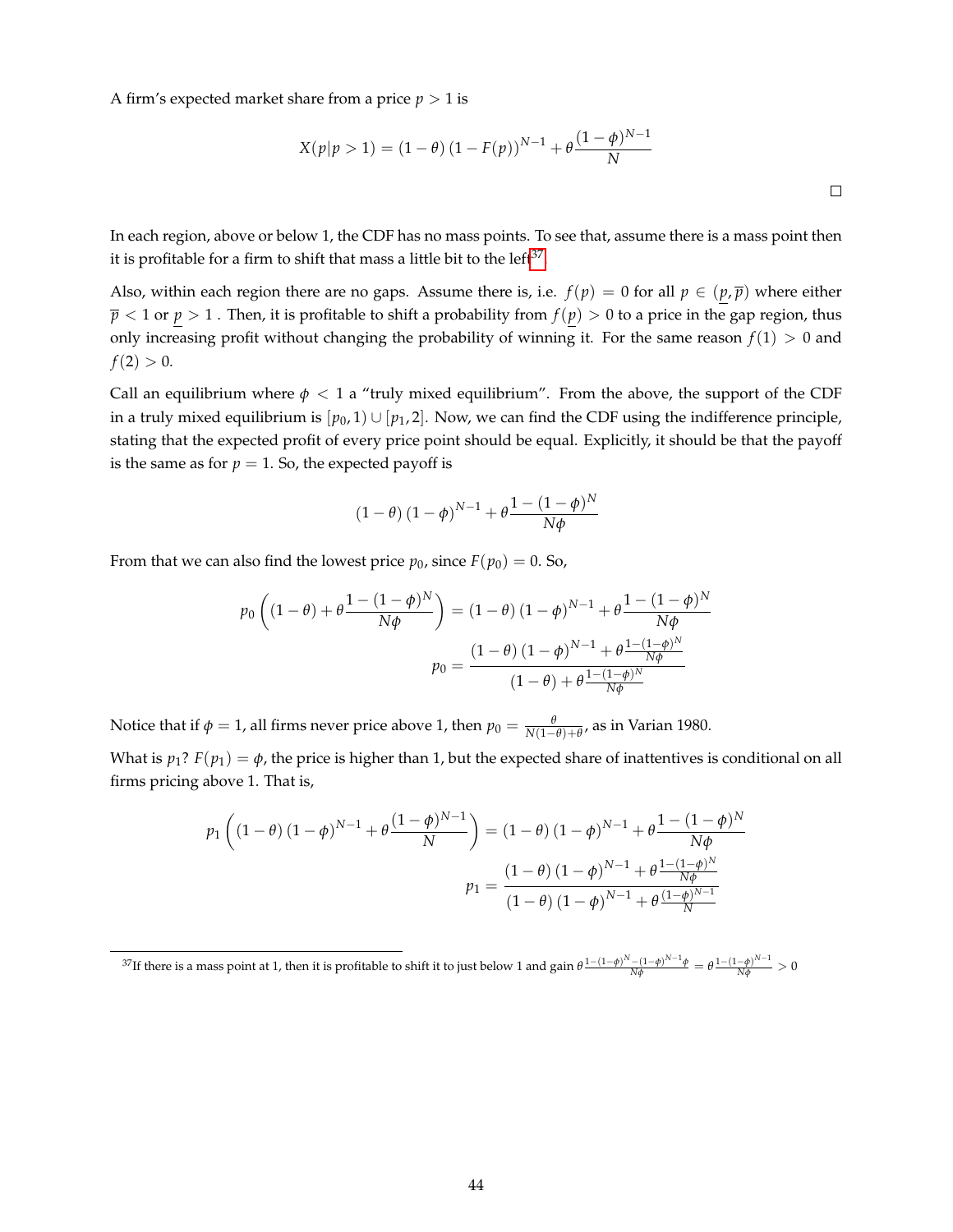A firm's expected market share from a price  $p > 1$  is

$$
X(p|p > 1) = (1 - \theta) (1 - F(p))^{N-1} + \theta \frac{(1 - \phi)^{N-1}}{N}
$$

In each region, above or below 1, the CDF has no mass points. To see that, assume there is a mass point then it is profitable for a firm to shift that mass a little bit to the left $37$ .

Also, within each region there are no gaps. Assume there is, i.e.  $f(p) = 0$  for all  $p \in (p, \overline{p})$  where either  $\bar{p}$  < 1 or  $p > 1$  . Then, it is profitable to shift a probability from  $f(p) > 0$  to a price in the gap region, thus only increasing profit without changing the probability of winning it. For the same reason  $f(1) > 0$  and  $f(2) > 0.$ 

Call an equilibrium where  $\phi$  < 1 a "truly mixed equilibrium". From the above, the support of the CDF in a truly mixed equilibrium is  $[p_0, 1] \cup [p_1, 2]$ . Now, we can find the CDF using the indifference principle, stating that the expected profit of every price point should be equal. Explicitly, it should be that the payoff is the same as for  $p = 1$ . So, the expected payoff is

$$
(1 - \theta) (1 - \phi)^{N-1} + \theta \frac{1 - (1 - \phi)^N}{N\phi}
$$

From that we can also find the lowest price  $p_0$ , since  $F(p_0) = 0$ . So,

$$
p_0 \left( (1 - \theta) + \theta \frac{1 - (1 - \phi)^N}{N\phi} \right) = (1 - \theta) (1 - \phi)^{N-1} + \theta \frac{1 - (1 - \phi)^N}{N\phi}
$$

$$
p_0 = \frac{(1 - \theta) (1 - \phi)^{N-1} + \theta \frac{1 - (1 - \phi)^N}{N\phi}}{(1 - \theta) + \theta \frac{1 - (1 - \phi)^N}{N\phi}}
$$

Notice that if  $\phi = 1$ , all firms never price above 1, then  $p_0 = \frac{\theta}{N(1-\theta)+\theta}$ , as in Varian 1980.

What is  $p_1$ ?  $F(p_1) = \phi$ , the price is higher than 1, but the expected share of inattentives is conditional on all firms pricing above 1. That is,

$$
p_1\left((1-\theta)(1-\phi)^{N-1} + \theta \frac{(1-\phi)^{N-1}}{N}\right) = (1-\theta)(1-\phi)^{N-1} + \theta \frac{1 - (1-\phi)^N}{N\phi}
$$

$$
p_1 = \frac{(1-\theta)(1-\phi)^{N-1} + \theta \frac{1 - (1-\phi)^N}{N\phi}}{(1-\theta)(1-\phi)^{N-1} + \theta \frac{(1-\phi)^{N-1}}{N}}
$$

<span id="page-43-0"></span><sup>&</sup>lt;sup>37</sup>If there is a mass point at 1, then it is profitable to shift it to just below 1 and gain  $\theta \frac{1-(1-\phi)^N-(1-\phi)^{N-1}\phi}{N\phi} = \theta \frac{1-(1-\phi)^{N-1}}{N\phi} > 0$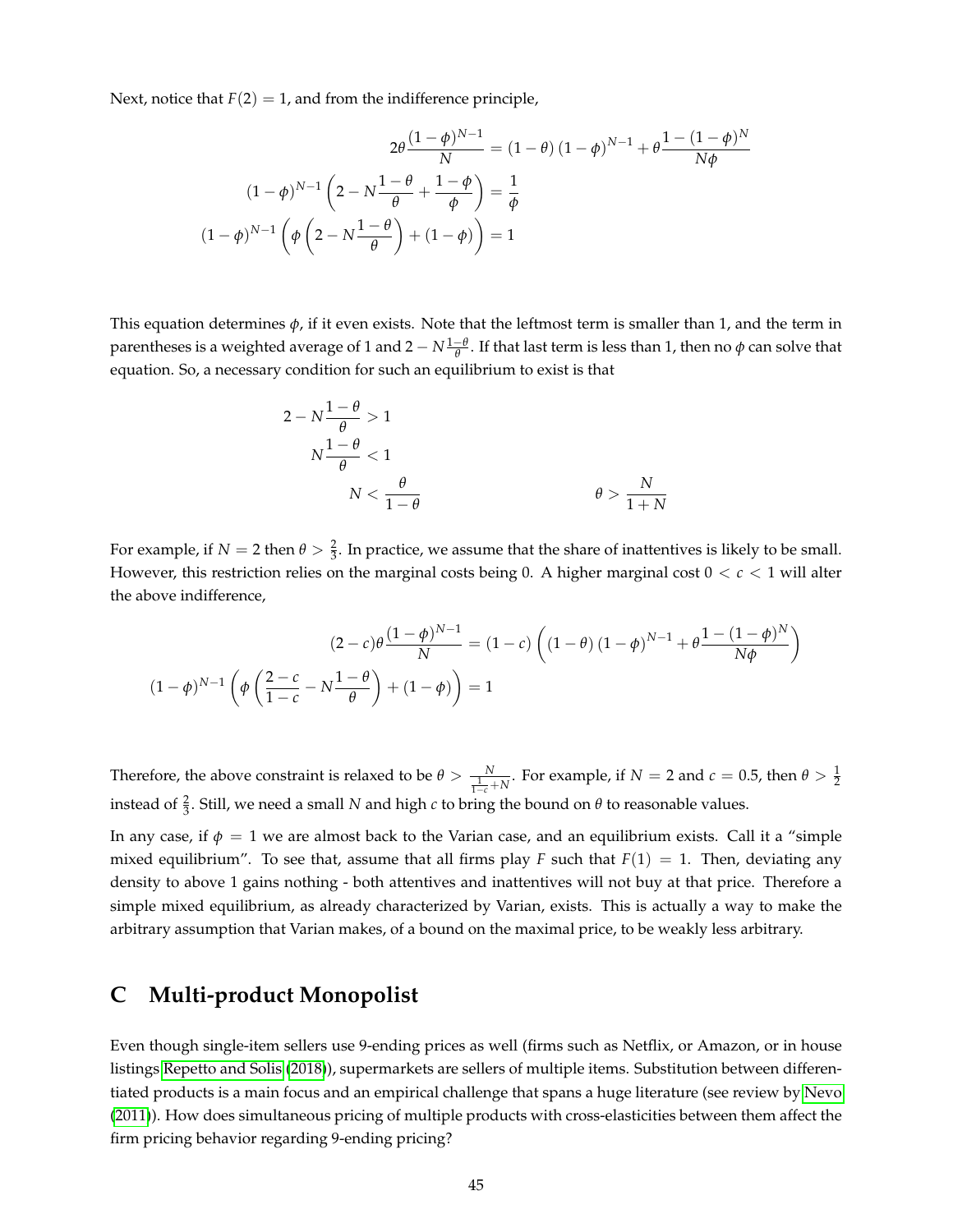Next, notice that  $F(2) = 1$ , and from the indifference principle,

$$
2\theta \frac{(1-\phi)^{N-1}}{N} = (1-\theta) (1-\phi)^{N-1} + \theta \frac{1-(1-\phi)^N}{N\phi}
$$

$$
(1-\phi)^{N-1} \left(2 - N\frac{1-\theta}{\theta} + \frac{1-\phi}{\phi}\right) = \frac{1}{\phi}
$$

$$
(1-\phi)^{N-1} \left(\phi \left(2 - N\frac{1-\theta}{\theta}\right) + (1-\phi)\right) = 1
$$

This equation determines  $\phi$ , if it even exists. Note that the leftmost term is smaller than 1, and the term in parentheses is a weighted average of 1 and 2  $-N\frac{1-\theta}{\theta}$ . If that last term is less than 1, then no  $\phi$  can solve that equation. So, a necessary condition for such an equilibrium to exist is that

$$
2 - N \frac{1 - \theta}{\theta} > 1
$$
\n
$$
N \frac{1 - \theta}{\theta} < 1
$$
\n
$$
N < \frac{\theta}{1 - \theta} \qquad \qquad \theta > \frac{N}{1 + N}
$$

For example, if  $N = 2$  then  $\theta > \frac{2}{3}$ . In practice, we assume that the share of inattentives is likely to be small. However, this restriction relies on the marginal costs being 0. A higher marginal cost 0 < *c* < 1 will alter the above indifference,

$$
(2 - c)\theta \frac{(1 - \phi)^{N - 1}}{N} = (1 - c)\left((1 - \theta)(1 - \phi)^{N - 1} + \theta \frac{1 - (1 - \phi)^N}{N\phi}\right)
$$

$$
(1 - \phi)^{N - 1}\left(\phi\left(\frac{2 - c}{1 - c} - N\frac{1 - \theta}{\theta}\right) + (1 - \phi)\right) = 1
$$

Therefore, the above constraint is relaxed to be  $\theta > \frac{N}{\frac{1}{1-c} + N}$ . For example, if  $N = 2$  and  $c = 0.5$ , then  $\theta > \frac{1}{2}$ instead of  $\frac{2}{3}$ . Still, we need a small *N* and high *c* to bring the bound on  $\theta$  to reasonable values.

In any case, if  $\phi = 1$  we are almost back to the Varian case, and an equilibrium exists. Call it a "simple" mixed equilibrium". To see that, assume that all firms play *F* such that  $F(1) = 1$ . Then, deviating any density to above 1 gains nothing - both attentives and inattentives will not buy at that price. Therefore a simple mixed equilibrium, as already characterized by Varian, exists. This is actually a way to make the arbitrary assumption that Varian makes, of a bound on the maximal price, to be weakly less arbitrary.

## <span id="page-44-0"></span>**C Multi-product Monopolist**

Even though single-item sellers use 9-ending prices as well (firms such as Netflix, or Amazon, or in house listings [Repetto and Solis](#page-50-9) [\(2018\)](#page-50-9)), supermarkets are sellers of multiple items. Substitution between differentiated products is a main focus and an empirical challenge that spans a huge literature (see review by [Nevo](#page-50-10) [\(2011\)](#page-50-10)). How does simultaneous pricing of multiple products with cross-elasticities between them affect the firm pricing behavior regarding 9-ending pricing?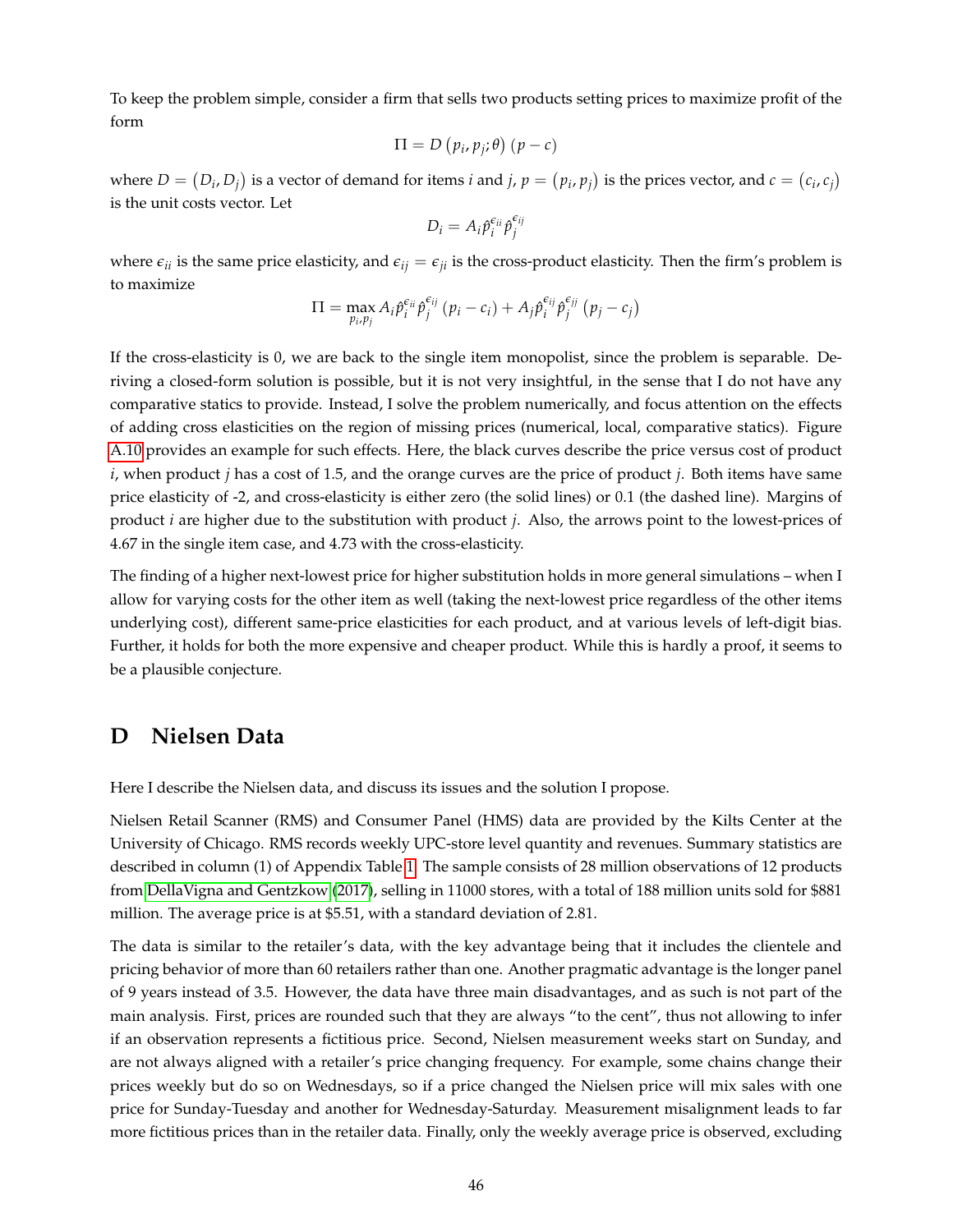To keep the problem simple, consider a firm that sells two products setting prices to maximize profit of the form

$$
\Pi = D(p_i, p_j; \theta)(p - c)
$$

where  $D=(D_i,D_j)$  is a vector of demand for items *i* and *j*,  $p=(p_i,p_j)$  is the prices vector, and  $c=(c_i,c_j)$ is the unit costs vector. Let

$$
D_i = A_i \hat{p}_i^{\epsilon_{ii}} \hat{p}_j^{\epsilon_{ij}}
$$

where  $\epsilon_{ii}$  is the same price elasticity, and  $\epsilon_{ii} = \epsilon_{ii}$  is the cross-product elasticity. Then the firm's problem is to maximize

$$
\Pi = \max_{p_i, p_j} A_i \hat{p}_i^{\epsilon_{ij}} \hat{p}_j^{\epsilon_{ij}} (p_i - c_i) + A_j \hat{p}_i^{\epsilon_{ij}} \hat{p}_j^{\epsilon_{ij}} (p_j - c_j)
$$

If the cross-elasticity is 0, we are back to the single item monopolist, since the problem is separable. Deriving a closed-form solution is possible, but it is not very insightful, in the sense that I do not have any comparative statics to provide. Instead, I solve the problem numerically, and focus attention on the effects of adding cross elasticities on the region of missing prices (numerical, local, comparative statics). Figure [A.10](#page-61-0) provides an example for such effects. Here, the black curves describe the price versus cost of product *i*, when product *j* has a cost of 1.5, and the orange curves are the price of product *j*. Both items have same price elasticity of -2, and cross-elasticity is either zero (the solid lines) or 0.1 (the dashed line). Margins of product *i* are higher due to the substitution with product *j*. Also, the arrows point to the lowest-prices of 4.67 in the single item case, and 4.73 with the cross-elasticity.

The finding of a higher next-lowest price for higher substitution holds in more general simulations – when I allow for varying costs for the other item as well (taking the next-lowest price regardless of the other items underlying cost), different same-price elasticities for each product, and at various levels of left-digit bias. Further, it holds for both the more expensive and cheaper product. While this is hardly a proof, it seems to be a plausible conjecture.

## <span id="page-45-0"></span>**D Nielsen Data**

Here I describe the Nielsen data, and discuss its issues and the solution I propose.

Nielsen Retail Scanner (RMS) and Consumer Panel (HMS) data are provided by the Kilts Center at the University of Chicago. RMS records weekly UPC-store level quantity and revenues. Summary statistics are described in column (1) of Appendix Table [1.](#page-34-0) The sample consists of 28 million observations of 12 products from [DellaVigna and Gentzkow](#page-49-13) [\(2017\)](#page-49-13), selling in 11000 stores, with a total of 188 million units sold for \$881 million. The average price is at \$5.51, with a standard deviation of 2.81.

The data is similar to the retailer's data, with the key advantage being that it includes the clientele and pricing behavior of more than 60 retailers rather than one. Another pragmatic advantage is the longer panel of 9 years instead of 3.5. However, the data have three main disadvantages, and as such is not part of the main analysis. First, prices are rounded such that they are always "to the cent", thus not allowing to infer if an observation represents a fictitious price. Second, Nielsen measurement weeks start on Sunday, and are not always aligned with a retailer's price changing frequency. For example, some chains change their prices weekly but do so on Wednesdays, so if a price changed the Nielsen price will mix sales with one price for Sunday-Tuesday and another for Wednesday-Saturday. Measurement misalignment leads to far more fictitious prices than in the retailer data. Finally, only the weekly average price is observed, excluding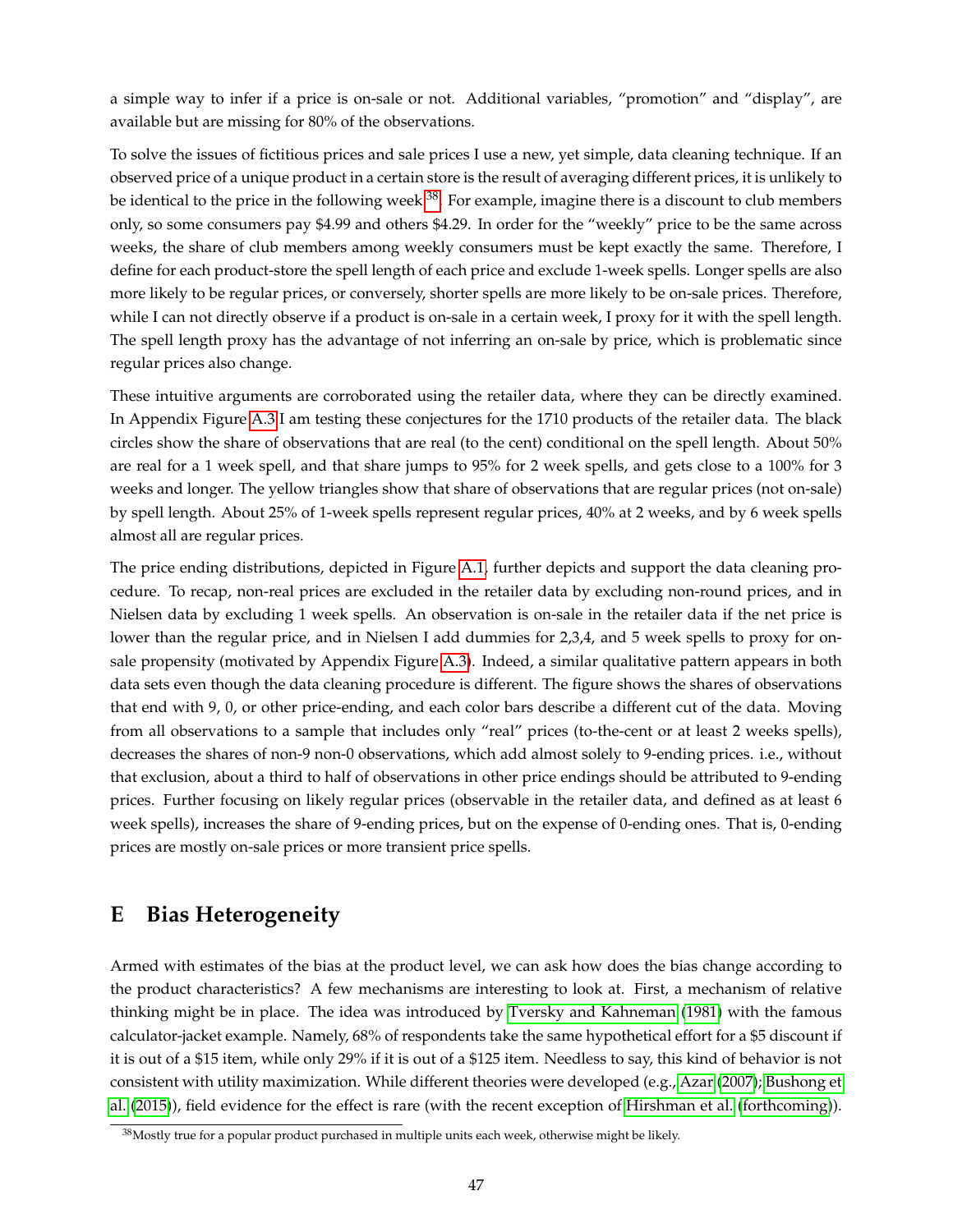a simple way to infer if a price is on-sale or not. Additional variables, "promotion" and "display", are available but are missing for 80% of the observations.

To solve the issues of fictitious prices and sale prices I use a new, yet simple, data cleaning technique. If an observed price of a unique product in a certain store is the result of averaging different prices, it is unlikely to be identical to the price in the following week  $^{38}$  $^{38}$  $^{38}$ . For example, imagine there is a discount to club members only, so some consumers pay \$4.99 and others \$4.29. In order for the "weekly" price to be the same across weeks, the share of club members among weekly consumers must be kept exactly the same. Therefore, I define for each product-store the spell length of each price and exclude 1-week spells. Longer spells are also more likely to be regular prices, or conversely, shorter spells are more likely to be on-sale prices. Therefore, while I can not directly observe if a product is on-sale in a certain week, I proxy for it with the spell length. The spell length proxy has the advantage of not inferring an on-sale by price, which is problematic since regular prices also change.

These intuitive arguments are corroborated using the retailer data, where they can be directly examined. In Appendix Figure [A.3](#page-54-0) I am testing these conjectures for the 1710 products of the retailer data. The black circles show the share of observations that are real (to the cent) conditional on the spell length. About 50% are real for a 1 week spell, and that share jumps to 95% for 2 week spells, and gets close to a 100% for 3 weeks and longer. The yellow triangles show that share of observations that are regular prices (not on-sale) by spell length. About 25% of 1-week spells represent regular prices, 40% at 2 weeks, and by 6 week spells almost all are regular prices.

The price ending distributions, depicted in Figure [A.1,](#page-52-0) further depicts and support the data cleaning procedure. To recap, non-real prices are excluded in the retailer data by excluding non-round prices, and in Nielsen data by excluding 1 week spells. An observation is on-sale in the retailer data if the net price is lower than the regular price, and in Nielsen I add dummies for 2,3,4, and 5 week spells to proxy for onsale propensity (motivated by Appendix Figure [A.3\)](#page-54-0). Indeed, a similar qualitative pattern appears in both data sets even though the data cleaning procedure is different. The figure shows the shares of observations that end with 9, 0, or other price-ending, and each color bars describe a different cut of the data. Moving from all observations to a sample that includes only "real" prices (to-the-cent or at least 2 weeks spells), decreases the shares of non-9 non-0 observations, which add almost solely to 9-ending prices. i.e., without that exclusion, about a third to half of observations in other price endings should be attributed to 9-ending prices. Further focusing on likely regular prices (observable in the retailer data, and defined as at least 6 week spells), increases the share of 9-ending prices, but on the expense of 0-ending ones. That is, 0-ending prices are mostly on-sale prices or more transient price spells.

## <span id="page-46-0"></span>**E Bias Heterogeneity**

Armed with estimates of the bias at the product level, we can ask how does the bias change according to the product characteristics? A few mechanisms are interesting to look at. First, a mechanism of relative thinking might be in place. The idea was introduced by [Tversky and Kahneman](#page-51-6) [\(1981\)](#page-51-6) with the famous calculator-jacket example. Namely, 68% of respondents take the same hypothetical effort for a \$5 discount if it is out of a \$15 item, while only 29% if it is out of a \$125 item. Needless to say, this kind of behavior is not consistent with utility maximization. While different theories were developed (e.g., [Azar](#page-48-16) [\(2007\)](#page-48-16); [Bushong et](#page-48-17) [al.](#page-48-17) [\(2015\)](#page-48-17)), field evidence for the effect is rare (with the recent exception of [Hirshman et al.](#page-50-17) [\(forthcoming\)](#page-50-17)).

<span id="page-46-1"></span><sup>&</sup>lt;sup>38</sup>Mostly true for a popular product purchased in multiple units each week, otherwise might be likely.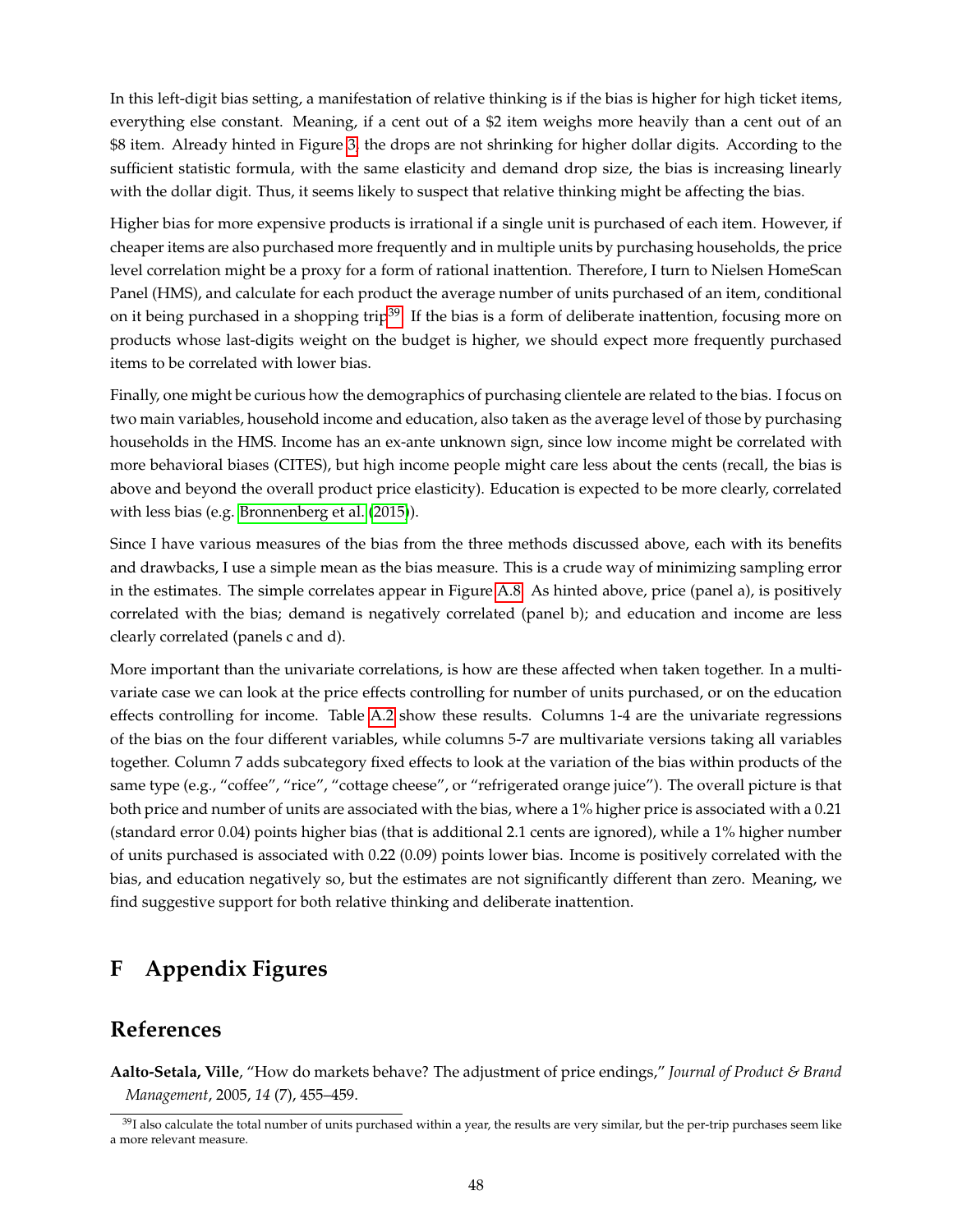In this left-digit bias setting, a manifestation of relative thinking is if the bias is higher for high ticket items, everything else constant. Meaning, if a cent out of a \$2 item weighs more heavily than a cent out of an \$8 item. Already hinted in Figure [3,](#page-29-0) the drops are not shrinking for higher dollar digits. According to the sufficient statistic formula, with the same elasticity and demand drop size, the bias is increasing linearly with the dollar digit. Thus, it seems likely to suspect that relative thinking might be affecting the bias.

Higher bias for more expensive products is irrational if a single unit is purchased of each item. However, if cheaper items are also purchased more frequently and in multiple units by purchasing households, the price level correlation might be a proxy for a form of rational inattention. Therefore, I turn to Nielsen HomeScan Panel (HMS), and calculate for each product the average number of units purchased of an item, conditional on it being purchased in a shopping trip<sup>[39](#page-47-1)</sup>. If the bias is a form of deliberate inattention, focusing more on products whose last-digits weight on the budget is higher, we should expect more frequently purchased items to be correlated with lower bias.

Finally, one might be curious how the demographics of purchasing clientele are related to the bias. I focus on two main variables, household income and education, also taken as the average level of those by purchasing households in the HMS. Income has an ex-ante unknown sign, since low income might be correlated with more behavioral biases (CITES), but high income people might care less about the cents (recall, the bias is above and beyond the overall product price elasticity). Education is expected to be more clearly, correlated with less bias (e.g. [Bronnenberg et al.](#page-48-18) [\(2015\)](#page-48-18)).

Since I have various measures of the bias from the three methods discussed above, each with its benefits and drawbacks, I use a simple mean as the bias measure. This is a crude way of minimizing sampling error in the estimates. The simple correlates appear in Figure [A.8.](#page-59-0) As hinted above, price (panel a), is positively correlated with the bias; demand is negatively correlated (panel b); and education and income are less clearly correlated (panels c and d).

More important than the univariate correlations, is how are these affected when taken together. In a multivariate case we can look at the price effects controlling for number of units purchased, or on the education effects controlling for income. Table [A.2](#page-65-0) show these results. Columns 1-4 are the univariate regressions of the bias on the four different variables, while columns 5-7 are multivariate versions taking all variables together. Column 7 adds subcategory fixed effects to look at the variation of the bias within products of the same type (e.g., "coffee", "rice", "cottage cheese", or "refrigerated orange juice"). The overall picture is that both price and number of units are associated with the bias, where a 1% higher price is associated with a 0.21 (standard error 0.04) points higher bias (that is additional 2.1 cents are ignored), while a 1% higher number of units purchased is associated with 0.22 (0.09) points lower bias. Income is positively correlated with the bias, and education negatively so, but the estimates are not significantly different than zero. Meaning, we find suggestive support for both relative thinking and deliberate inattention.

# **F Appendix Figures**

## **References**

<span id="page-47-0"></span>**Aalto-Setala, Ville**, "How do markets behave? The adjustment of price endings," *Journal of Product & Brand Management*, 2005, *14* (7), 455–459.

<span id="page-47-1"></span><sup>&</sup>lt;sup>39</sup>I also calculate the total number of units purchased within a year, the results are very similar, but the per-trip purchases seem like a more relevant measure.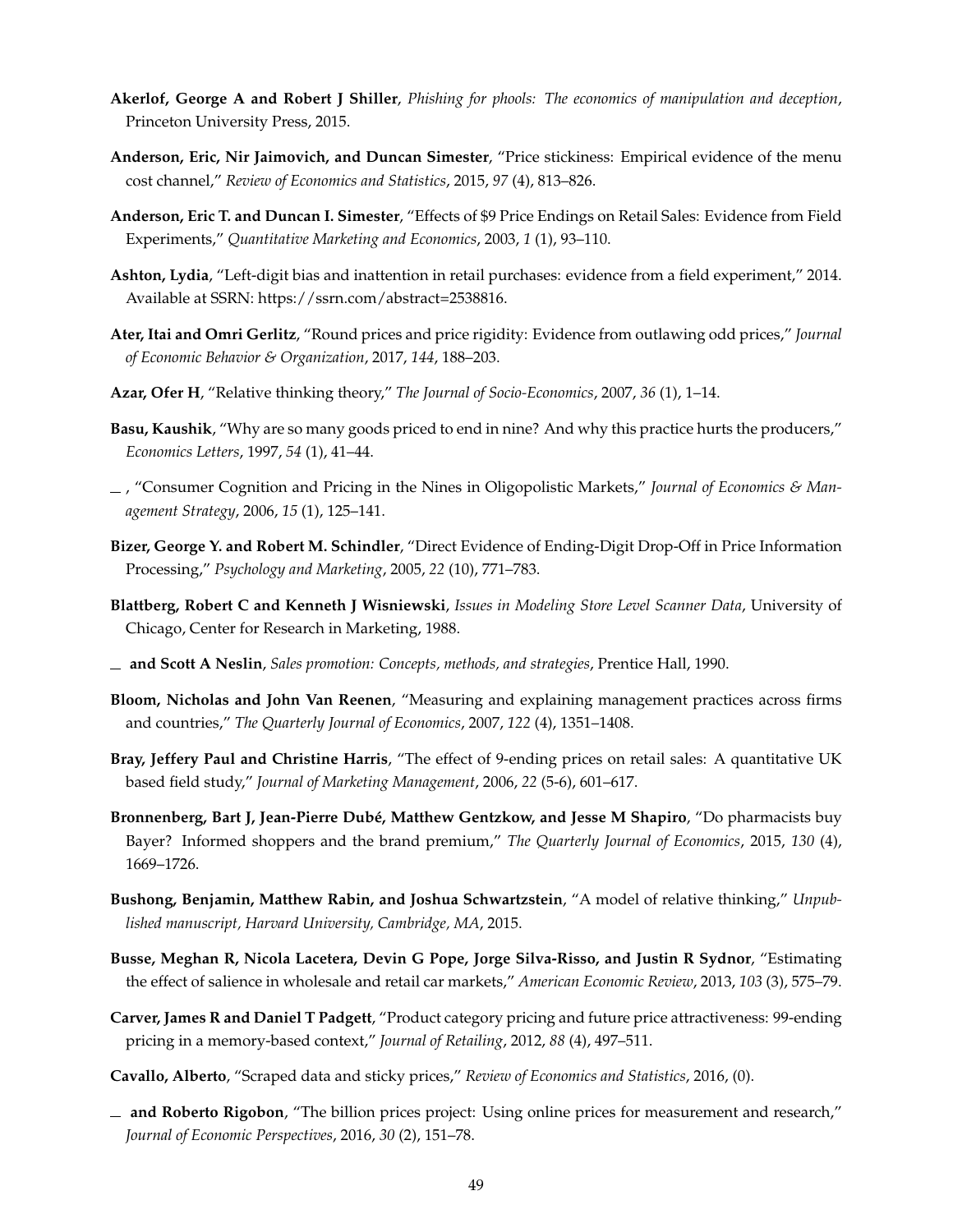- <span id="page-48-12"></span>**Akerlof, George A and Robert J Shiller**, *Phishing for phools: The economics of manipulation and deception*, Princeton University Press, 2015.
- <span id="page-48-1"></span>**Anderson, Eric, Nir Jaimovich, and Duncan Simester**, "Price stickiness: Empirical evidence of the menu cost channel," *Review of Economics and Statistics*, 2015, *97* (4), 813–826.
- <span id="page-48-2"></span>**Anderson, Eric T. and Duncan I. Simester**, "Effects of \$9 Price Endings on Retail Sales: Evidence from Field Experiments," *Quantitative Marketing and Economics*, 2003, *1* (1), 93–110.
- <span id="page-48-3"></span>**Ashton, Lydia**, "Left-digit bias and inattention in retail purchases: evidence from a field experiment," 2014. Available at SSRN: https://ssrn.com/abstract=2538816.
- <span id="page-48-4"></span>**Ater, Itai and Omri Gerlitz**, "Round prices and price rigidity: Evidence from outlawing odd prices," *Journal of Economic Behavior & Organization*, 2017, *144*, 188–203.
- <span id="page-48-16"></span>**Azar, Ofer H**, "Relative thinking theory," *The Journal of Socio-Economics*, 2007, *36* (1), 1–14.
- <span id="page-48-9"></span>**Basu, Kaushik**, "Why are so many goods priced to end in nine? And why this practice hurts the producers," *Economics Letters*, 1997, *54* (1), 41–44.
- <span id="page-48-10"></span>, "Consumer Cognition and Pricing in the Nines in Oligopolistic Markets," *Journal of Economics & Management Strategy*, 2006, *15* (1), 125–141.
- <span id="page-48-0"></span>**Bizer, George Y. and Robert M. Schindler**, "Direct Evidence of Ending-Digit Drop-Off in Price Information Processing," *Psychology and Marketing*, 2005, *22* (10), 771–783.
- <span id="page-48-8"></span>**Blattberg, Robert C and Kenneth J Wisniewski**, *Issues in Modeling Store Level Scanner Data*, University of Chicago, Center for Research in Marketing, 1988.
- <span id="page-48-13"></span>**and Scott A Neslin**, *Sales promotion: Concepts, methods, and strategies*, Prentice Hall, 1990.
- <span id="page-48-5"></span>**Bloom, Nicholas and John Van Reenen**, "Measuring and explaining management practices across firms and countries," *The Quarterly Journal of Economics*, 2007, *122* (4), 1351–1408.
- <span id="page-48-7"></span>**Bray, Jeffery Paul and Christine Harris**, "The effect of 9-ending prices on retail sales: A quantitative UK based field study," *Journal of Marketing Management*, 2006, *22* (5-6), 601–617.
- <span id="page-48-18"></span>**Bronnenberg, Bart J, Jean-Pierre Dubé, Matthew Gentzkow, and Jesse M Shapiro**, "Do pharmacists buy Bayer? Informed shoppers and the brand premium," *The Quarterly Journal of Economics*, 2015, *130* (4), 1669–1726.
- <span id="page-48-17"></span>**Bushong, Benjamin, Matthew Rabin, and Joshua Schwartzstein**, "A model of relative thinking," *Unpublished manuscript, Harvard University, Cambridge, MA*, 2015.
- <span id="page-48-11"></span>**Busse, Meghan R, Nicola Lacetera, Devin G Pope, Jorge Silva-Risso, and Justin R Sydnor**, "Estimating the effect of salience in wholesale and retail car markets," *American Economic Review*, 2013, *103* (3), 575–79.
- <span id="page-48-6"></span>**Carver, James R and Daniel T Padgett**, "Product category pricing and future price attractiveness: 99-ending pricing in a memory-based context," *Journal of Retailing*, 2012, *88* (4), 497–511.
- <span id="page-48-15"></span>**Cavallo, Alberto**, "Scraped data and sticky prices," *Review of Economics and Statistics*, 2016, (0).
- <span id="page-48-14"></span>**and Roberto Rigobon**, "The billion prices project: Using online prices for measurement and research," *Journal of Economic Perspectives*, 2016, *30* (2), 151–78.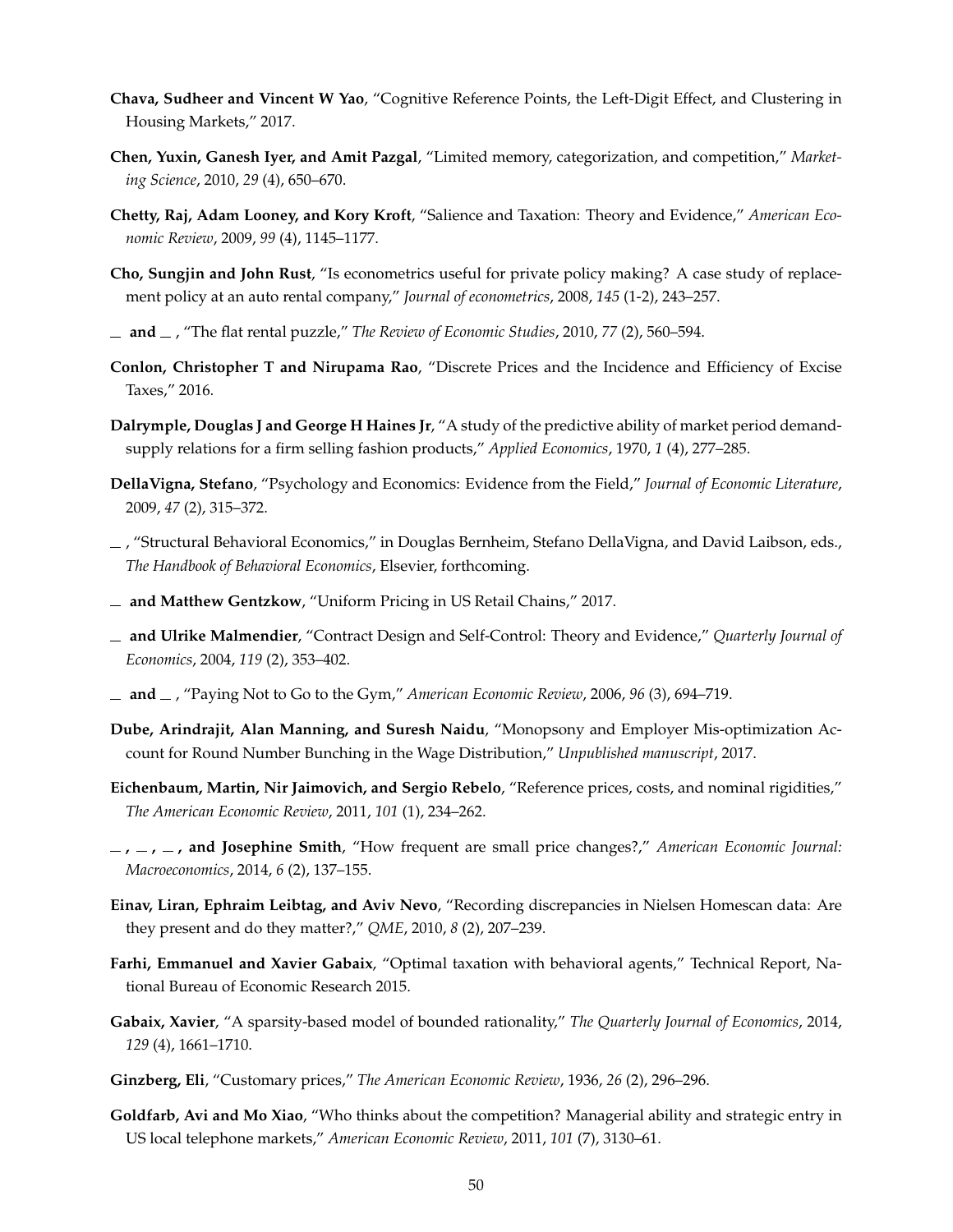- <span id="page-49-14"></span>**Chava, Sudheer and Vincent W Yao**, "Cognitive Reference Points, the Left-Digit Effect, and Clustering in Housing Markets," 2017.
- <span id="page-49-7"></span>**Chen, Yuxin, Ganesh Iyer, and Amit Pazgal**, "Limited memory, categorization, and competition," *Marketing Science*, 2010, *29* (4), 650–670.
- <span id="page-49-2"></span>**Chetty, Raj, Adam Looney, and Kory Kroft**, "Salience and Taxation: Theory and Evidence," *American Economic Review*, 2009, *99* (4), 1145–1177.
- <span id="page-49-11"></span>**Cho, Sungjin and John Rust**, "Is econometrics useful for private policy making? A case study of replacement policy at an auto rental company," *Journal of econometrics*, 2008, *145* (1-2), 243–257.
- <span id="page-49-12"></span>**and** , "The flat rental puzzle," *The Review of Economic Studies*, 2010, *77* (2), 560–594.
- <span id="page-49-1"></span>**Conlon, Christopher T and Nirupama Rao**, "Discrete Prices and the Incidence and Efficiency of Excise Taxes," 2016.
- <span id="page-49-5"></span>**Dalrymple, Douglas J and George H Haines Jr**, "A study of the predictive ability of market period demandsupply relations for a firm selling fashion products," *Applied Economics*, 1970, *1* (4), 277–285.
- <span id="page-49-3"></span>**DellaVigna, Stefano**, "Psychology and Economics: Evidence from the Field," *Journal of Economic Literature*, 2009, *47* (2), 315–372.
- <span id="page-49-15"></span>, "Structural Behavioral Economics," in Douglas Bernheim, Stefano DellaVigna, and David Laibson, eds., *The Handbook of Behavioral Economics*, Elsevier, forthcoming.
- <span id="page-49-13"></span>**and Matthew Gentzkow**, "Uniform Pricing in US Retail Chains," 2017.
- <span id="page-49-9"></span>**and Ulrike Malmendier**, "Contract Design and Self-Control: Theory and Evidence," *Quarterly Journal of Economics*, 2004, *119* (2), 353–402.
- <span id="page-49-10"></span>**and** , "Paying Not to Go to the Gym," *American Economic Review*, 2006, *96* (3), 694–719.
- <span id="page-49-6"></span>**Dube, Arindrajit, Alan Manning, and Suresh Naidu**, "Monopsony and Employer Mis-optimization Account for Round Number Bunching in the Wage Distribution," *Unpublished manuscript*, 2017.
- <span id="page-49-17"></span>**Eichenbaum, Martin, Nir Jaimovich, and Sergio Rebelo**, "Reference prices, costs, and nominal rigidities," *The American Economic Review*, 2011, *101* (1), 234–262.
- <span id="page-49-19"></span>**, , , and Josephine Smith**, "How frequent are small price changes?," *American Economic Journal: Macroeconomics*, 2014, *6* (2), 137–155.
- <span id="page-49-18"></span>**Einav, Liran, Ephraim Leibtag, and Aviv Nevo**, "Recording discrepancies in Nielsen Homescan data: Are they present and do they matter?," *QME*, 2010, *8* (2), 207–239.
- <span id="page-49-16"></span>**Farhi, Emmanuel and Xavier Gabaix**, "Optimal taxation with behavioral agents," Technical Report, National Bureau of Economic Research 2015.
- <span id="page-49-8"></span>**Gabaix, Xavier**, "A sparsity-based model of bounded rationality," *The Quarterly Journal of Economics*, 2014, *129* (4), 1661–1710.
- <span id="page-49-0"></span>**Ginzberg, Eli**, "Customary prices," *The American Economic Review*, 1936, *26* (2), 296–296.
- <span id="page-49-4"></span>**Goldfarb, Avi and Mo Xiao**, "Who thinks about the competition? Managerial ability and strategic entry in US local telephone markets," *American Economic Review*, 2011, *101* (7), 3130–61.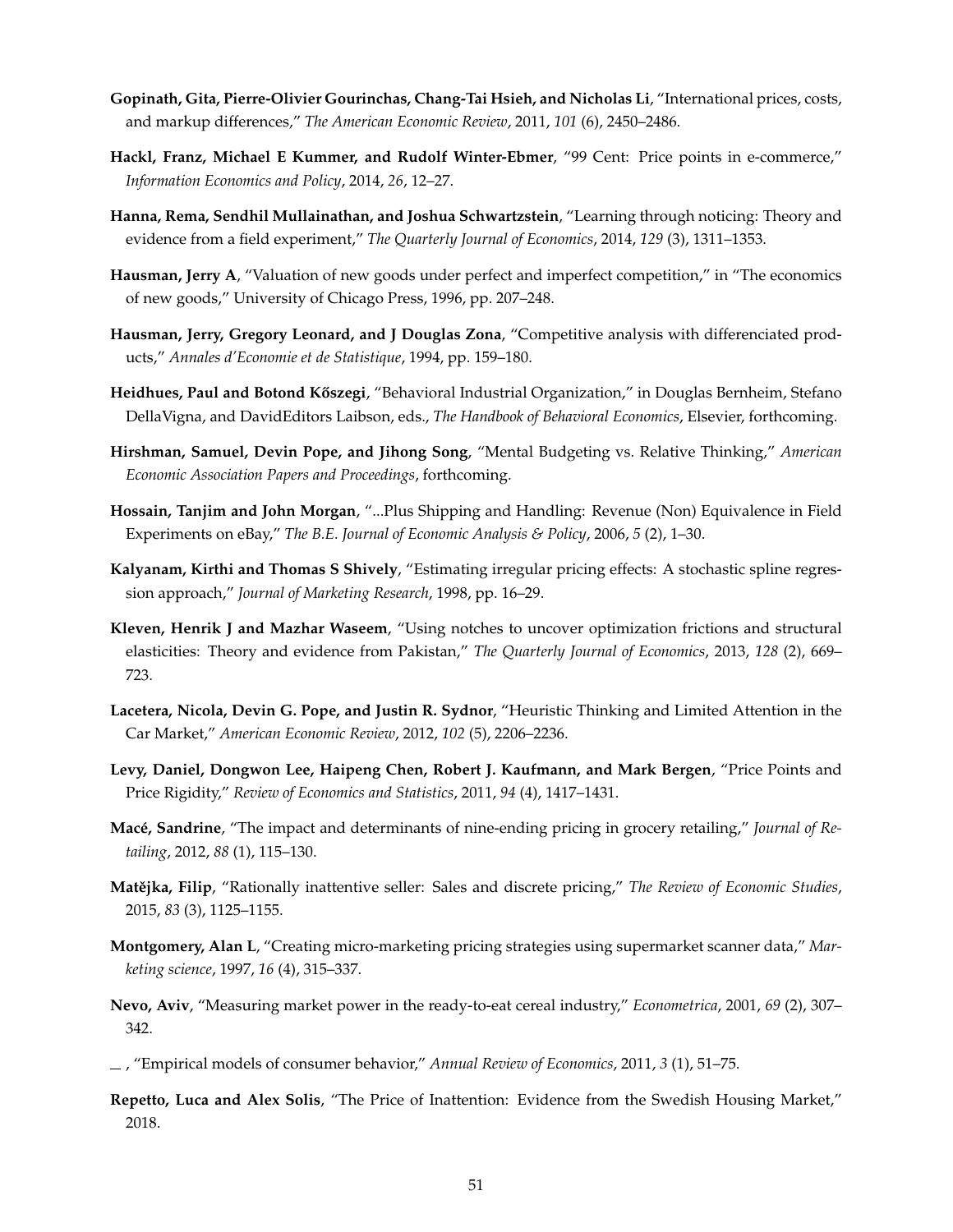- <span id="page-50-12"></span>**Gopinath, Gita, Pierre-Olivier Gourinchas, Chang-Tai Hsieh, and Nicholas Li**, "International prices, costs, and markup differences," *The American Economic Review*, 2011, *101* (6), 2450–2486.
- <span id="page-50-5"></span>**Hackl, Franz, Michael E Kummer, and Rudolf Winter-Ebmer**, "99 Cent: Price points in e-commerce," *Information Economics and Policy*, 2014, *26*, 12–27.
- <span id="page-50-8"></span>**Hanna, Rema, Sendhil Mullainathan, and Joshua Schwartzstein**, "Learning through noticing: Theory and evidence from a field experiment," *The Quarterly Journal of Economics*, 2014, *129* (3), 1311–1353.
- <span id="page-50-4"></span>**Hausman, Jerry A**, "Valuation of new goods under perfect and imperfect competition," in "The economics of new goods," University of Chicago Press, 1996, pp. 207–248.
- <span id="page-50-13"></span>**Hausman, Jerry, Gregory Leonard, and J Douglas Zona**, "Competitive analysis with differenciated products," *Annales d'Economie et de Statistique*, 1994, pp. 159–180.
- <span id="page-50-7"></span>Heidhues, Paul and Botond Kőszegi, "Behavioral Industrial Organization," in Douglas Bernheim, Stefano DellaVigna, and DavidEditors Laibson, eds., *The Handbook of Behavioral Economics*, Elsevier, forthcoming.
- <span id="page-50-17"></span>**Hirshman, Samuel, Devin Pope, and Jihong Song**, "Mental Budgeting vs. Relative Thinking," *American Economic Association Papers and Proceedings*, forthcoming.
- <span id="page-50-11"></span>**Hossain, Tanjim and John Morgan**, "...Plus Shipping and Handling: Revenue (Non) Equivalence in Field Experiments on eBay," *The B.E. Journal of Economic Analysis & Policy*, 2006, *5* (2), 1–30.
- <span id="page-50-2"></span>**Kalyanam, Kirthi and Thomas S Shively**, "Estimating irregular pricing effects: A stochastic spline regression approach," *Journal of Marketing Research*, 1998, pp. 16–29.
- <span id="page-50-15"></span>**Kleven, Henrik J and Mazhar Waseem**, "Using notches to uncover optimization frictions and structural elasticities: Theory and evidence from Pakistan," *The Quarterly Journal of Economics*, 2013, *128* (2), 669– 723.
- <span id="page-50-0"></span>**Lacetera, Nicola, Devin G. Pope, and Justin R. Sydnor**, "Heuristic Thinking and Limited Attention in the Car Market," *American Economic Review*, 2012, *102* (5), 2206–2236.
- <span id="page-50-3"></span>**Levy, Daniel, Dongwon Lee, Haipeng Chen, Robert J. Kaufmann, and Mark Bergen**, "Price Points and Price Rigidity," *Review of Economics and Statistics*, 2011, *94* (4), 1417–1431.
- <span id="page-50-1"></span>**Macé, Sandrine**, "The impact and determinants of nine-ending pricing in grocery retailing," *Journal of Retailing*, 2012, *88* (1), 115–130.
- <span id="page-50-6"></span>Matějka, Filip, "Rationally inattentive seller: Sales and discrete pricing," *The Review of Economic Studies*, 2015, *83* (3), 1125–1155.
- <span id="page-50-16"></span>**Montgomery, Alan L**, "Creating micro-marketing pricing strategies using supermarket scanner data," *Marketing science*, 1997, *16* (4), 315–337.
- <span id="page-50-14"></span>**Nevo, Aviv**, "Measuring market power in the ready-to-eat cereal industry," *Econometrica*, 2001, *69* (2), 307– 342.
- <span id="page-50-10"></span>, "Empirical models of consumer behavior," *Annual Review of Economics*, 2011, *3* (1), 51–75.
- <span id="page-50-9"></span>**Repetto, Luca and Alex Solis**, "The Price of Inattention: Evidence from the Swedish Housing Market," 2018.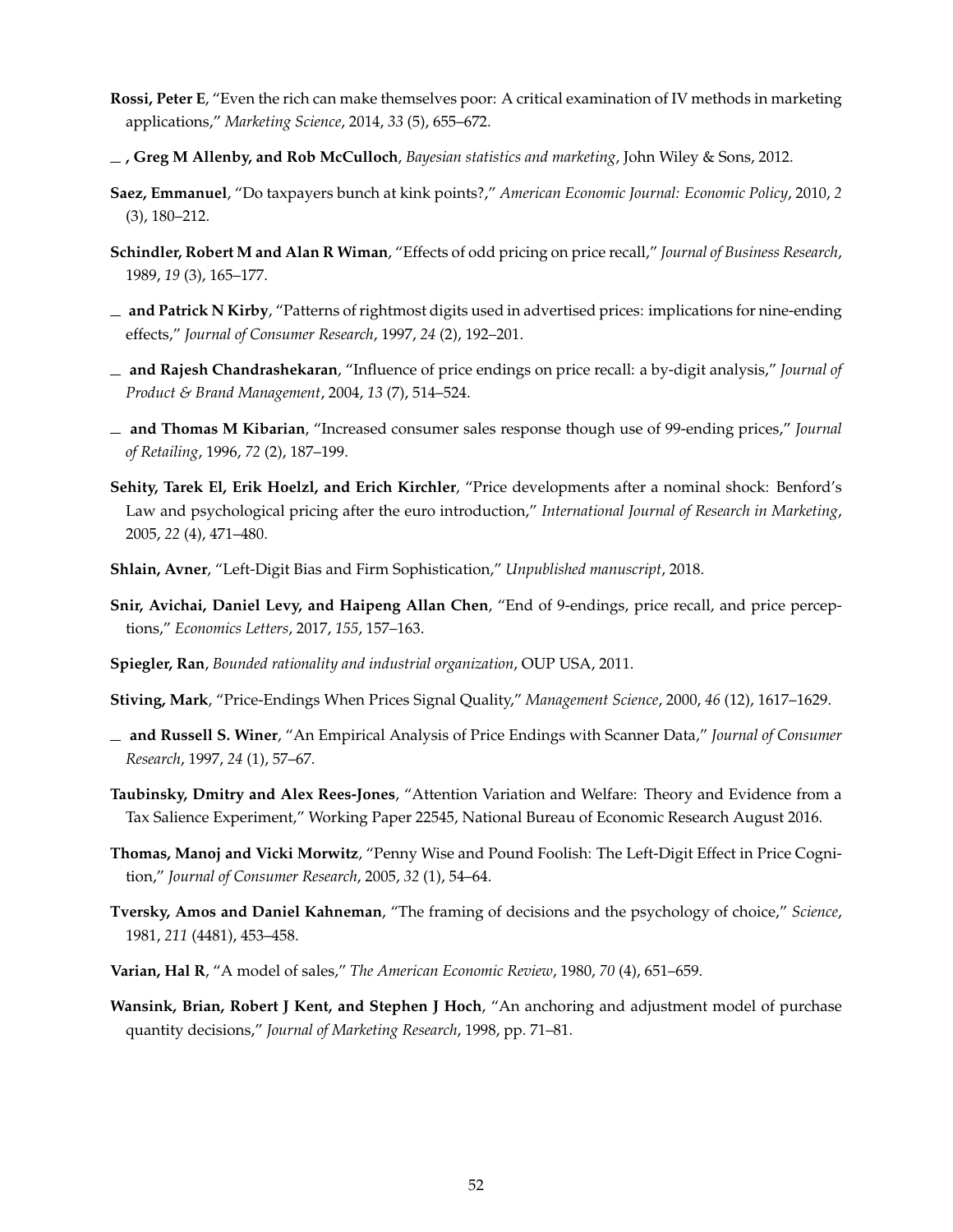- <span id="page-51-15"></span>**Rossi, Peter E**, "Even the rich can make themselves poor: A critical examination of IV methods in marketing applications," *Marketing Science*, 2014, *33* (5), 655–672.
- <span id="page-51-16"></span>**, Greg M Allenby, and Rob McCulloch**, *Bayesian statistics and marketing*, John Wiley & Sons, 2012.
- <span id="page-51-12"></span>**Saez, Emmanuel**, "Do taxpayers bunch at kink points?," *American Economic Journal: Economic Policy*, 2010, *2* (3), 180–212.
- <span id="page-51-7"></span>**Schindler, Robert M and Alan R Wiman**, "Effects of odd pricing on price recall," *Journal of Business Research*, 1989, *19* (3), 165–177.
- <span id="page-51-8"></span>**and Patrick N Kirby**, "Patterns of rightmost digits used in advertised prices: implications for nine-ending effects," *Journal of Consumer Research*, 1997, *24* (2), 192–201.
- <span id="page-51-9"></span>**and Rajesh Chandrashekaran**, "Influence of price endings on price recall: a by-digit analysis," *Journal of Product & Brand Management*, 2004, *13* (7), 514–524.
- <span id="page-51-3"></span>**and Thomas M Kibarian**, "Increased consumer sales response though use of 99-ending prices," *Journal of Retailing*, 1996, *72* (2), 187–199.
- <span id="page-51-2"></span>**Sehity, Tarek El, Erik Hoelzl, and Erich Kirchler**, "Price developments after a nominal shock: Benford's Law and psychological pricing after the euro introduction," *International Journal of Research in Marketing*, 2005, *22* (4), 471–480.
- <span id="page-51-4"></span>**Shlain, Avner**, "Left-Digit Bias and Firm Sophistication," *Unpublished manuscript*, 2018.
- <span id="page-51-5"></span>**Snir, Avichai, Daniel Levy, and Haipeng Allan Chen**, "End of 9-endings, price recall, and price perceptions," *Economics Letters*, 2017, *155*, 157–163.
- <span id="page-51-11"></span>**Spiegler, Ran**, *Bounded rationality and industrial organization*, OUP USA, 2011.
- <span id="page-51-1"></span>**Stiving, Mark**, "Price-Endings When Prices Signal Quality," *Management Science*, 2000, *46* (12), 1617–1629.
- <span id="page-51-0"></span>**and Russell S. Winer**, "An Empirical Analysis of Price Endings with Scanner Data," *Journal of Consumer Research*, 1997, *24* (1), 57–67.
- <span id="page-51-13"></span>**Taubinsky, Dmitry and Alex Rees-Jones**, "Attention Variation and Welfare: Theory and Evidence from a Tax Salience Experiment," Working Paper 22545, National Bureau of Economic Research August 2016.
- <span id="page-51-10"></span>**Thomas, Manoj and Vicki Morwitz**, "Penny Wise and Pound Foolish: The Left-Digit Effect in Price Cognition," *Journal of Consumer Research*, 2005, *32* (1), 54–64.
- <span id="page-51-6"></span>**Tversky, Amos and Daniel Kahneman**, "The framing of decisions and the psychology of choice," *Science*, 1981, *211* (4481), 453–458.
- <span id="page-51-17"></span>**Varian, Hal R**, "A model of sales," *The American Economic Review*, 1980, *70* (4), 651–659.
- <span id="page-51-14"></span>**Wansink, Brian, Robert J Kent, and Stephen J Hoch**, "An anchoring and adjustment model of purchase quantity decisions," *Journal of Marketing Research*, 1998, pp. 71–81.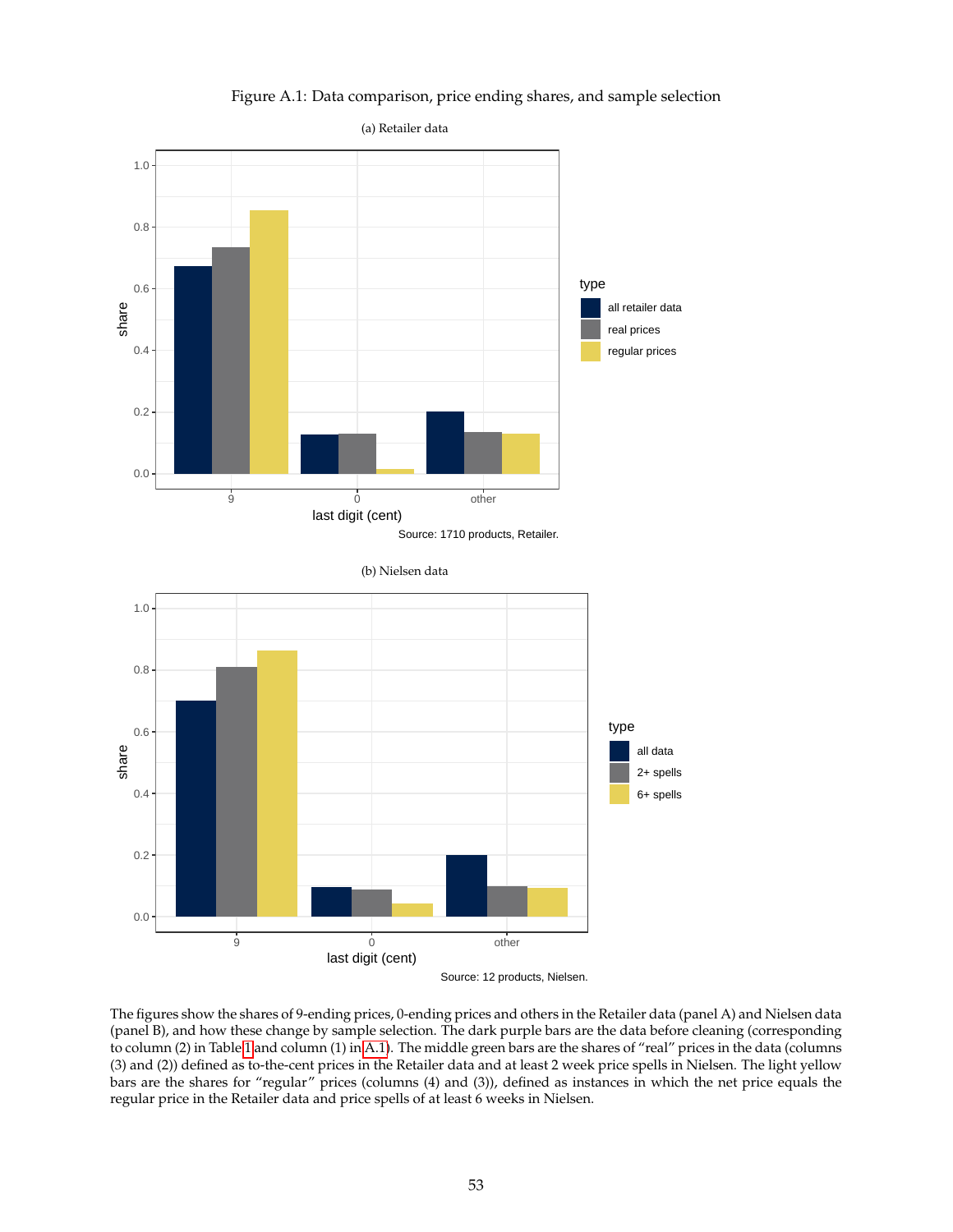Figure A.1: Data comparison, price ending shares, and sample selection

<span id="page-52-0"></span>

Source: 12 products, Nielsen.

The figures show the shares of 9-ending prices, 0-ending prices and others in the Retailer data (panel A) and Nielsen data (panel B), and how these change by sample selection. The dark purple bars are the data before cleaning (corresponding to column (2) in Table [1](#page-34-0) and column (1) in [A.1\)](#page-64-0). The middle green bars are the shares of "real" prices in the data (columns (3) and (2)) defined as to-the-cent prices in the Retailer data and at least 2 week price spells in Nielsen. The light yellow bars are the shares for "regular" prices (columns (4) and (3)), defined as instances in which the net price equals the regular price in the Retailer data and price spells of at least 6 weeks in Nielsen.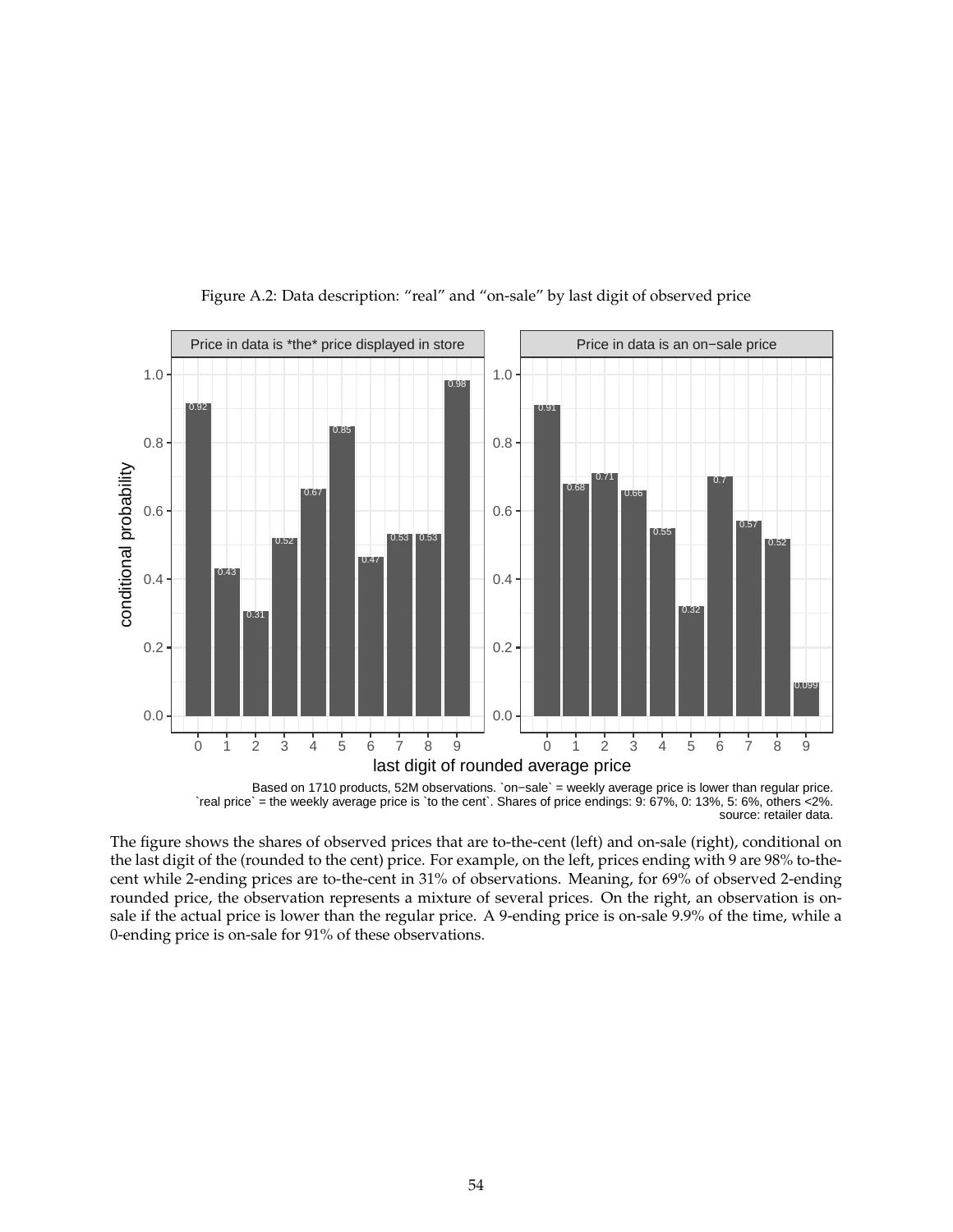<span id="page-53-0"></span>![](_page_53_Figure_0.jpeg)

Figure A.2: Data description: "real" and "on-sale" by last digit of observed price

`real price` = the weekly average price is `to the cent`. Shares of price endings: 9: 67%, 0: 13%, 5: 6%, others <2%. source: retailer data.

The figure shows the shares of observed prices that are to-the-cent (left) and on-sale (right), conditional on the last digit of the (rounded to the cent) price. For example, on the left, prices ending with 9 are 98% to-thecent while 2-ending prices are to-the-cent in 31% of observations. Meaning, for 69% of observed 2-ending rounded price, the observation represents a mixture of several prices. On the right, an observation is onsale if the actual price is lower than the regular price. A 9-ending price is on-sale 9.9% of the time, while a 0-ending price is on-sale for 91% of these observations.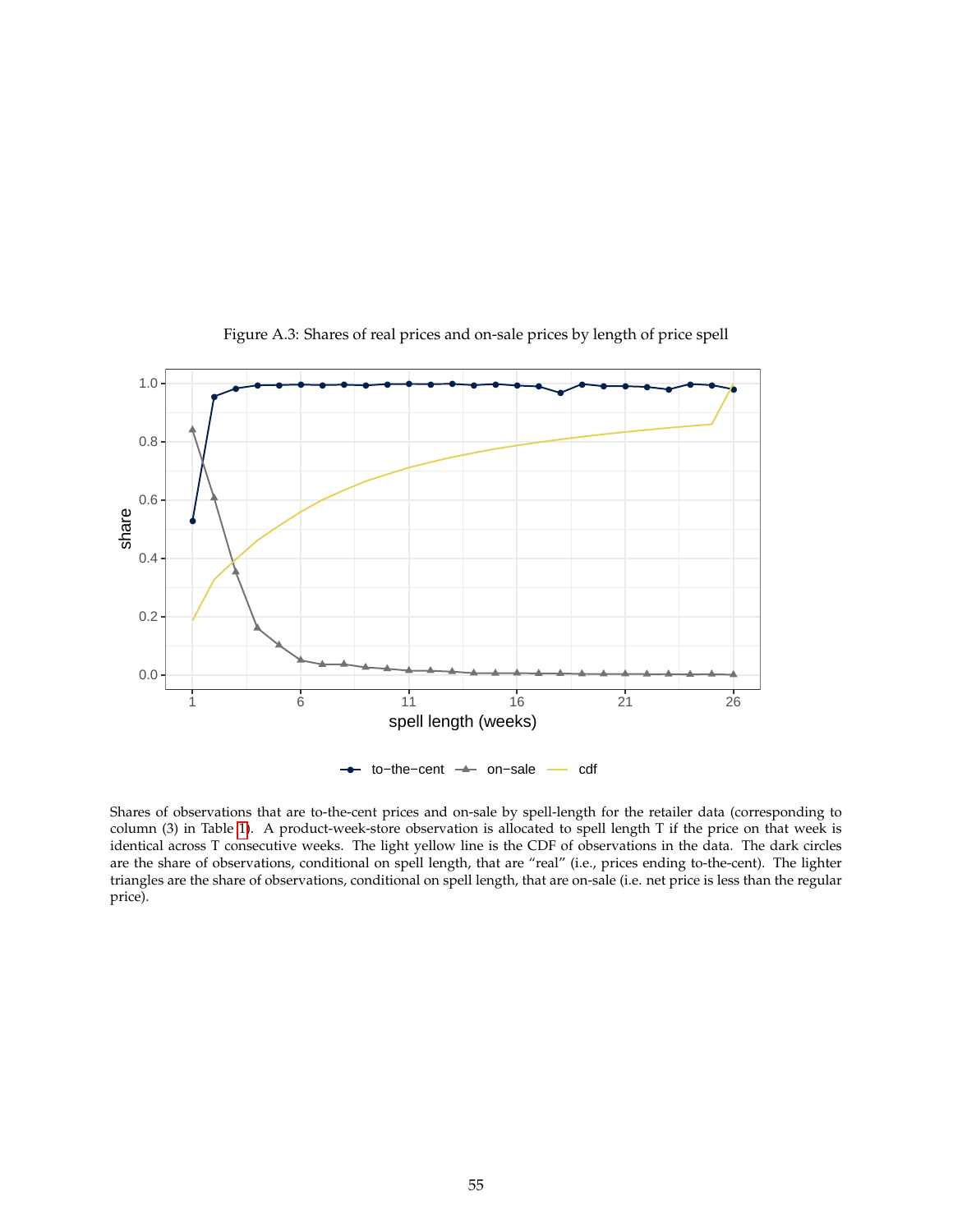<span id="page-54-0"></span>![](_page_54_Figure_0.jpeg)

Figure A.3: Shares of real prices and on-sale prices by length of price spell

Shares of observations that are to-the-cent prices and on-sale by spell-length for the retailer data (corresponding to column (3) in Table [1\)](#page-34-0). A product-week-store observation is allocated to spell length T if the price on that week is identical across T consecutive weeks. The light yellow line is the CDF of observations in the data. The dark circles are the share of observations, conditional on spell length, that are "real" (i.e., prices ending to-the-cent). The lighter triangles are the share of observations, conditional on spell length, that are on-sale (i.e. net price is less than the regular price).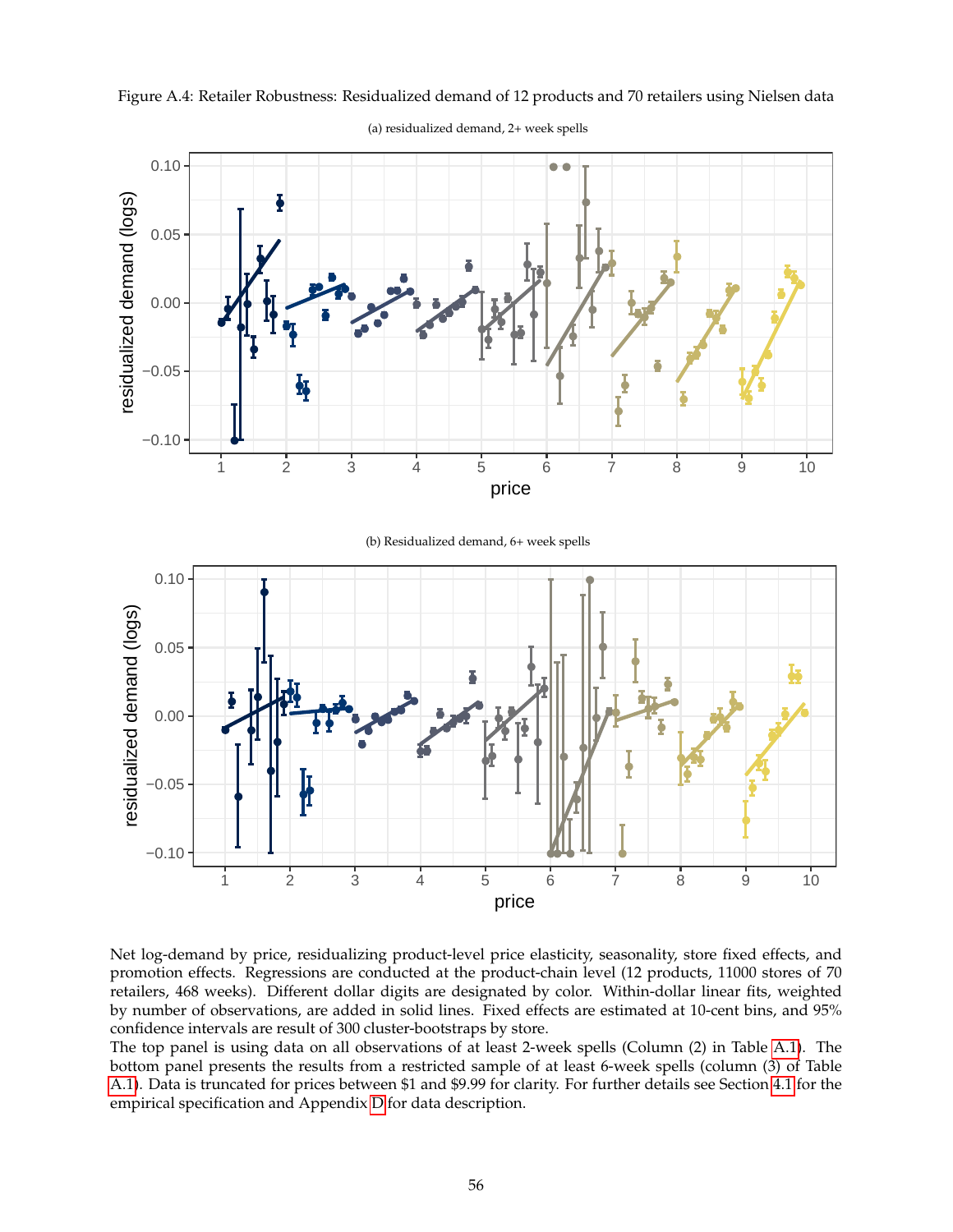![](_page_55_Figure_0.jpeg)

<span id="page-55-0"></span>Figure A.4: Retailer Robustness: Residualized demand of 12 products and 70 retailers using Nielsen data

(a) residualized demand, 2+ week spells

Net log-demand by price, residualizing product-level price elasticity, seasonality, store fixed effects, and promotion effects. Regressions are conducted at the product-chain level (12 products, 11000 stores of 70 retailers, 468 weeks). Different dollar digits are designated by color. Within-dollar linear fits, weighted by number of observations, are added in solid lines. Fixed effects are estimated at 10-cent bins, and 95% confidence intervals are result of 300 cluster-bootstraps by store.

The top panel is using data on all observations of at least 2-week spells (Column (2) in Table [A.1\)](#page-64-0). The bottom panel presents the results from a restricted sample of at least 6-week spells (column (3) of Table [A.1\)](#page-64-0). Data is truncated for prices between \$1 and \$9.99 for clarity. For further details see Section [4.1](#page-13-2) for the empirical specification and Appendix [D](#page-45-0) for data description.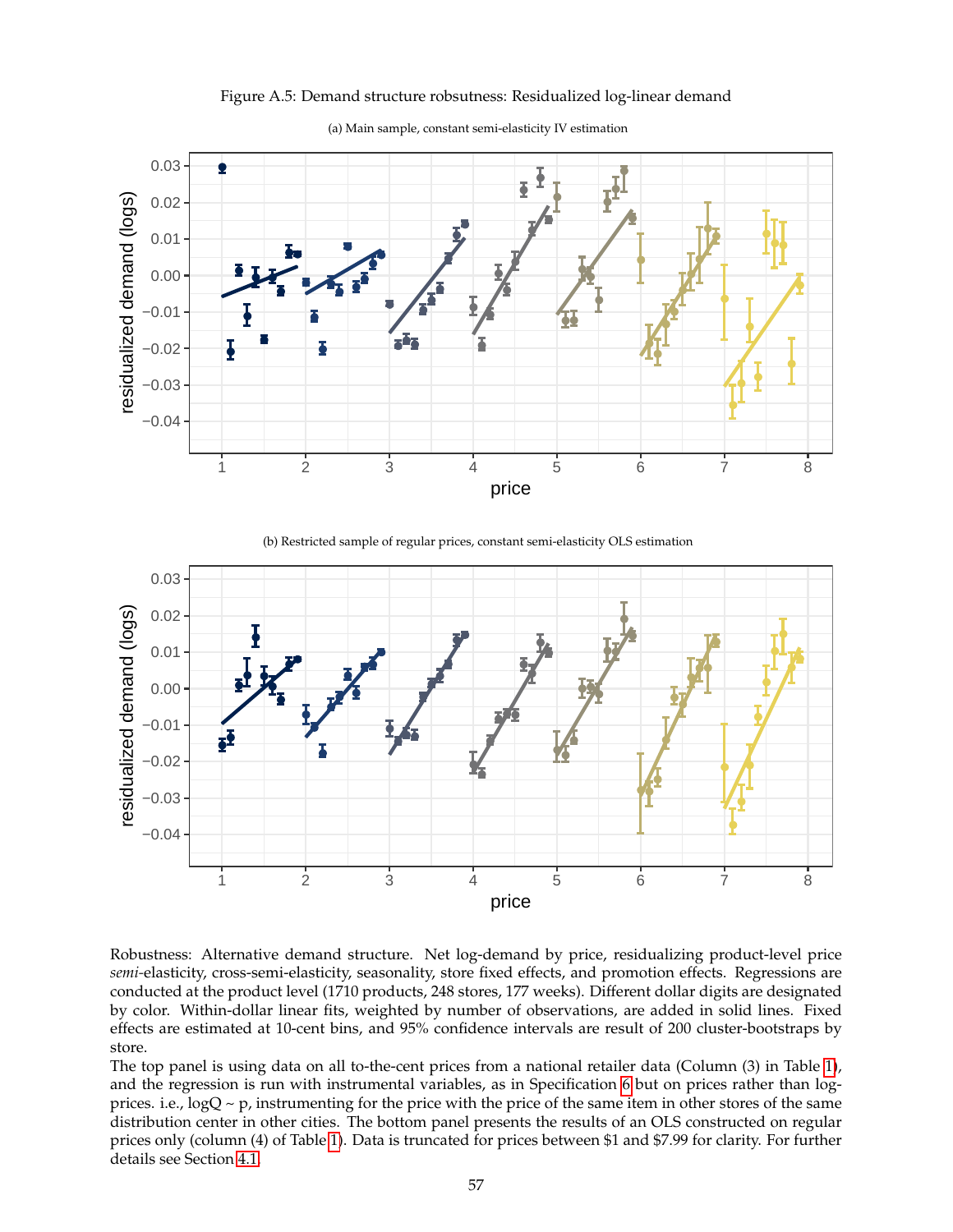<span id="page-56-0"></span>![](_page_56_Figure_0.jpeg)

Figure A.5: Demand structure robsutness: Residualized log-linear demand

(a) Main sample, constant semi-elasticity IV estimation

(b) Restricted sample of regular prices, constant semi-elasticity OLS estimation

![](_page_56_Figure_4.jpeg)

Robustness: Alternative demand structure. Net log-demand by price, residualizing product-level price *semi-*elasticity, cross-semi-elasticity, seasonality, store fixed effects, and promotion effects. Regressions are conducted at the product level (1710 products, 248 stores, 177 weeks). Different dollar digits are designated by color. Within-dollar linear fits, weighted by number of observations, are added in solid lines. Fixed effects are estimated at 10-cent bins, and 95% confidence intervals are result of 200 cluster-bootstraps by store.

The top panel is using data on all to-the-cent prices from a national retailer data (Column (3) in Table [1\)](#page-34-0), and the regression is run with instrumental variables, as in Specification [6](#page-15-2) but on prices rather than logprices. i.e.,  $logQ \sim p$ , instrumenting for the price with the price of the same item in other stores of the same distribution center in other cities. The bottom panel presents the results of an OLS constructed on regular prices only (column (4) of Table [1\)](#page-34-0). Data is truncated for prices between \$1 and \$7.99 for clarity. For further details see Section [4.1.](#page-13-2)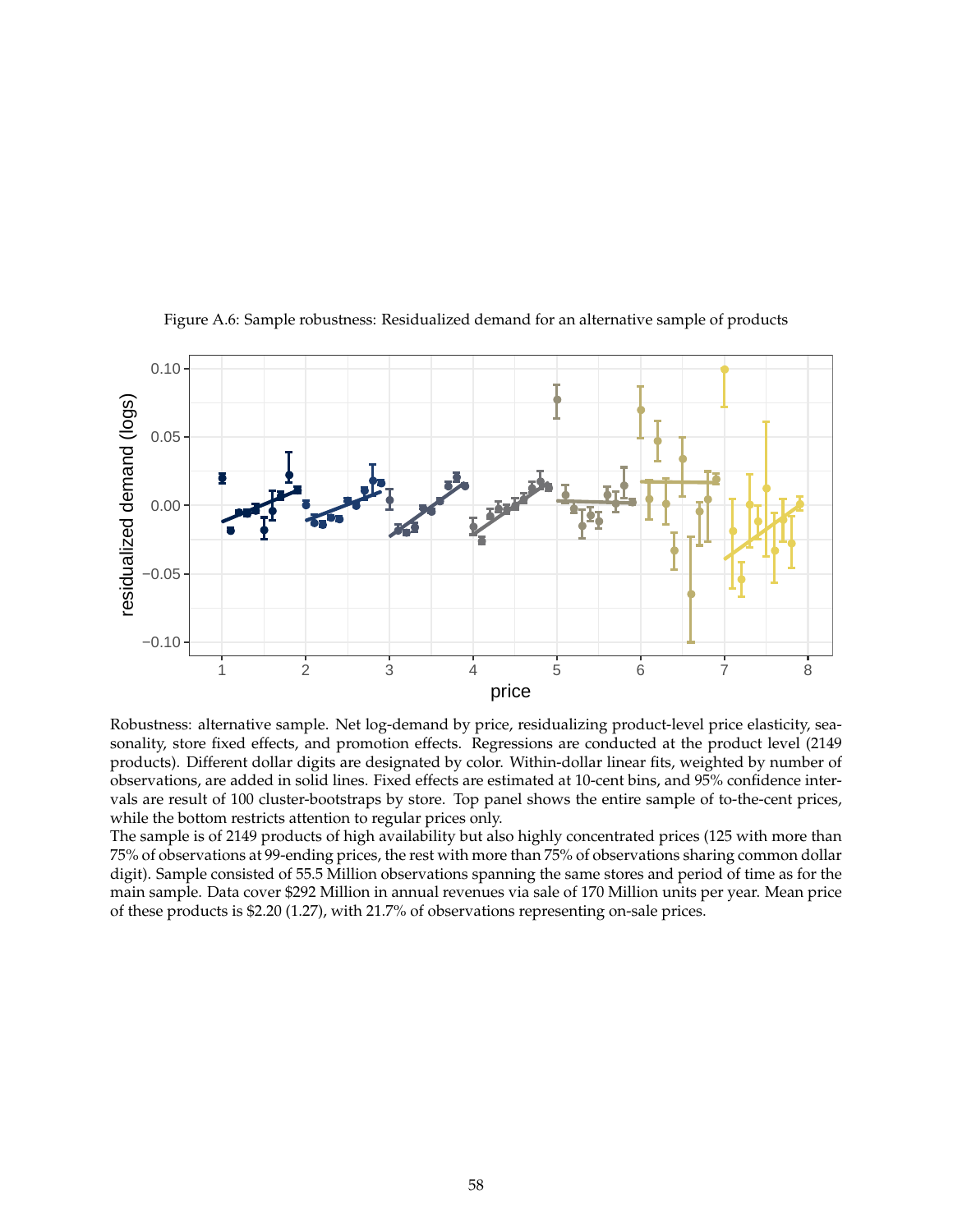<span id="page-57-0"></span>![](_page_57_Figure_0.jpeg)

Figure A.6: Sample robustness: Residualized demand for an alternative sample of products

Robustness: alternative sample. Net log-demand by price, residualizing product-level price elasticity, seasonality, store fixed effects, and promotion effects. Regressions are conducted at the product level (2149 products). Different dollar digits are designated by color. Within-dollar linear fits, weighted by number of observations, are added in solid lines. Fixed effects are estimated at 10-cent bins, and 95% confidence intervals are result of 100 cluster-bootstraps by store. Top panel shows the entire sample of to-the-cent prices, while the bottom restricts attention to regular prices only.

The sample is of 2149 products of high availability but also highly concentrated prices (125 with more than 75% of observations at 99-ending prices, the rest with more than 75% of observations sharing common dollar digit). Sample consisted of 55.5 Million observations spanning the same stores and period of time as for the main sample. Data cover \$292 Million in annual revenues via sale of 170 Million units per year. Mean price of these products is \$2.20 (1.27), with 21.7% of observations representing on-sale prices.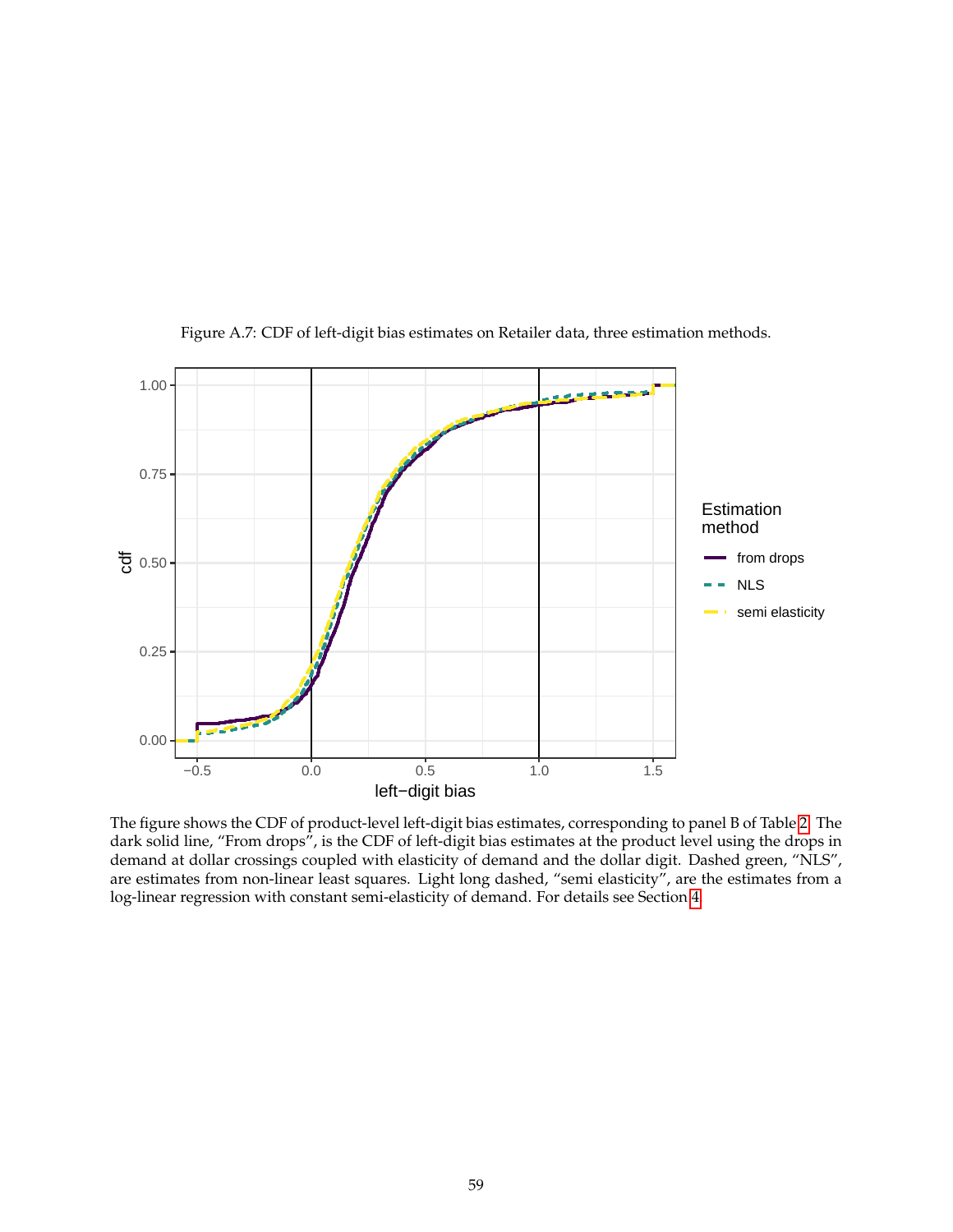<span id="page-58-0"></span>![](_page_58_Figure_0.jpeg)

Figure A.7: CDF of left-digit bias estimates on Retailer data, three estimation methods.

The figure shows the CDF of product-level left-digit bias estimates, corresponding to panel B of Table [2.](#page-35-0) The dark solid line, "From drops", is the CDF of left-digit bias estimates at the product level using the drops in demand at dollar crossings coupled with elasticity of demand and the dollar digit. Dashed green, "NLS", are estimates from non-linear least squares. Light long dashed, "semi elasticity", are the estimates from a log-linear regression with constant semi-elasticity of demand. For details see Section [4.](#page-13-0)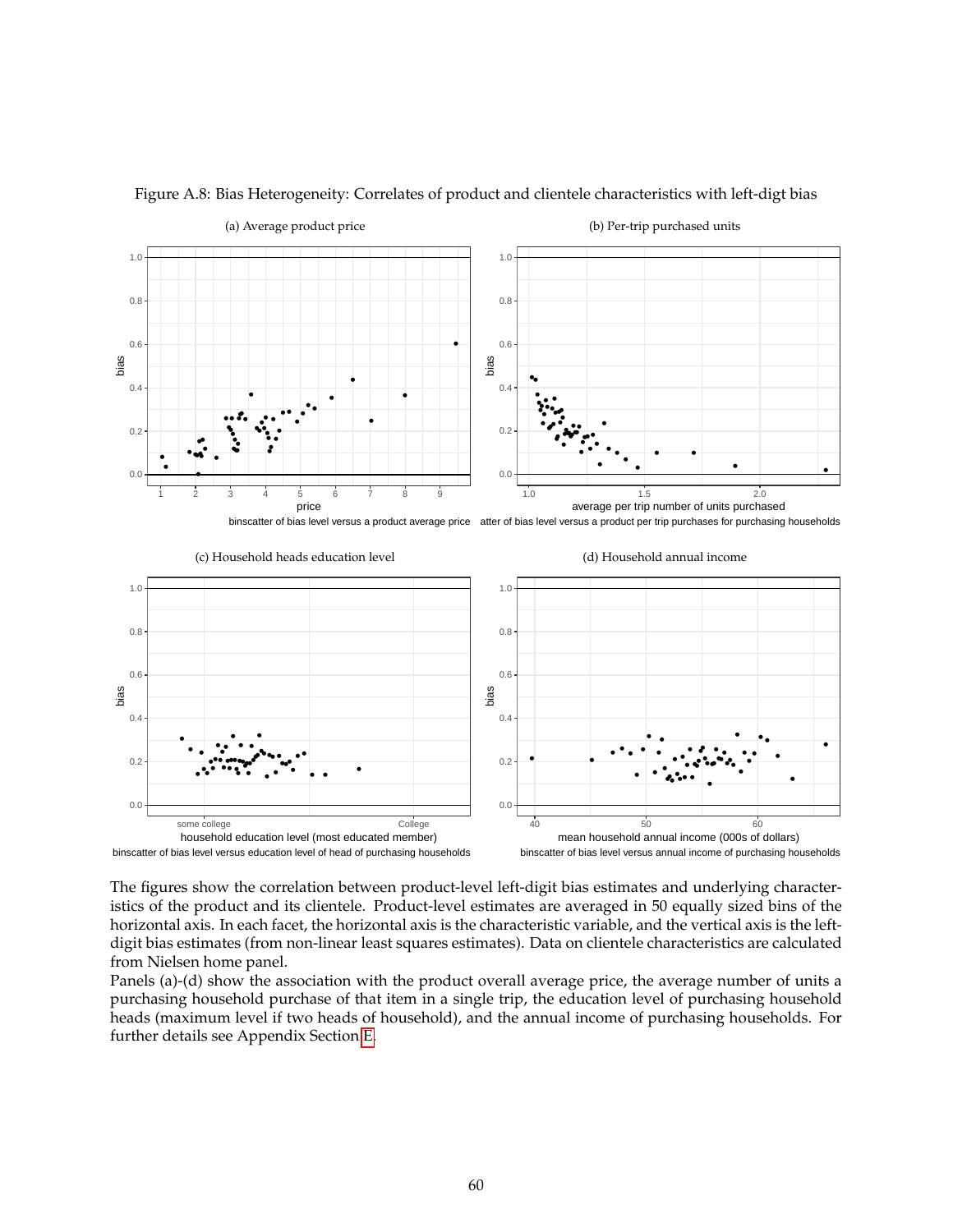![](_page_59_Figure_0.jpeg)

#### <span id="page-59-0"></span>Figure A.8: Bias Heterogeneity: Correlates of product and clientele characteristics with left-digt bias

The figures show the correlation between product-level left-digit bias estimates and underlying characteristics of the product and its clientele. Product-level estimates are averaged in 50 equally sized bins of the horizontal axis. In each facet, the horizontal axis is the characteristic variable, and the vertical axis is the leftdigit bias estimates (from non-linear least squares estimates). Data on clientele characteristics are calculated from Nielsen home panel.

binscatter of bias level versus annual income of purchasing households

binscatter of bias level versus education level of head of purchasing households

Panels (a)-(d) show the association with the product overall average price, the average number of units a purchasing household purchase of that item in a single trip, the education level of purchasing household heads (maximum level if two heads of household), and the annual income of purchasing households. For further details see Appendix Section [E.](#page-46-0)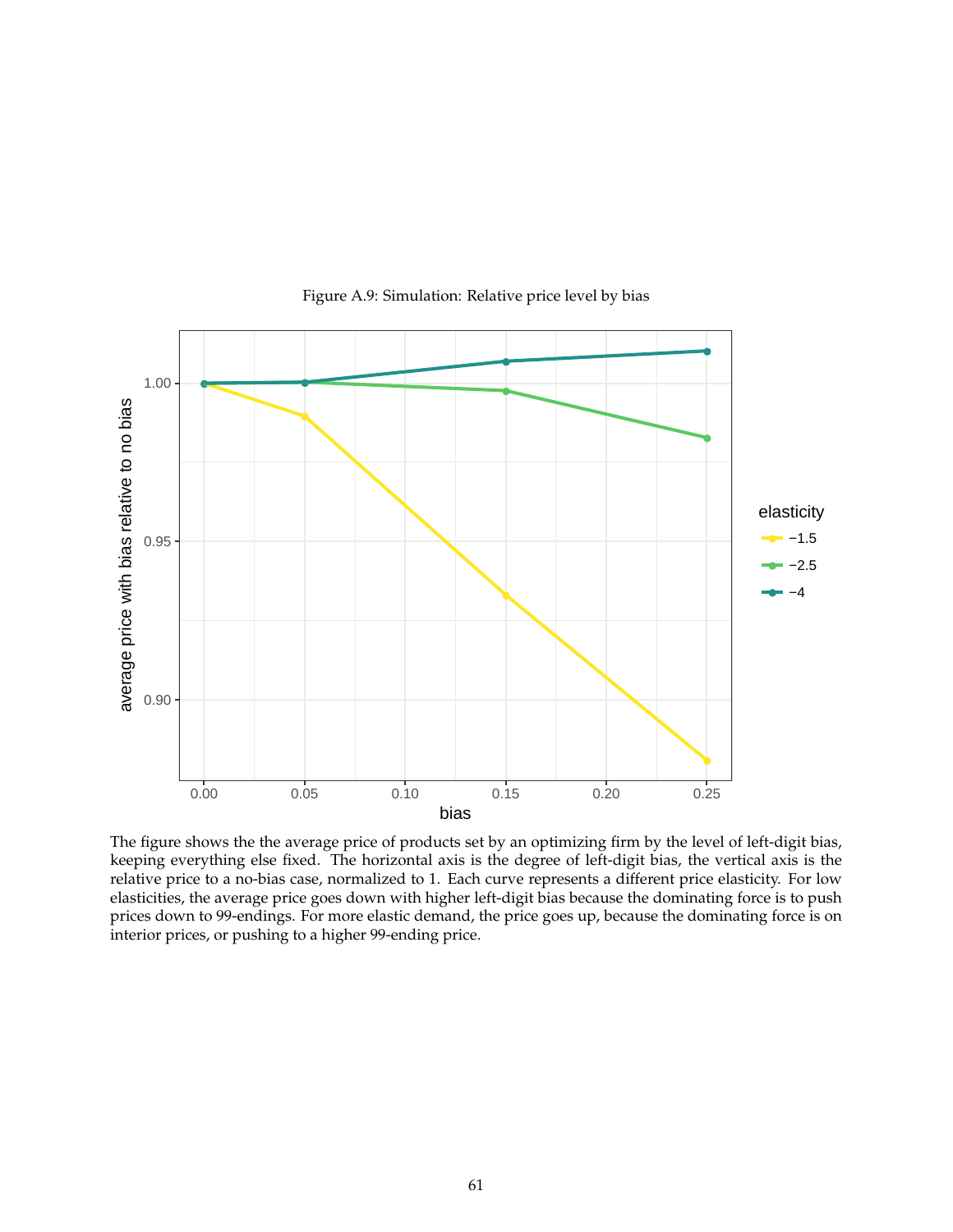<span id="page-60-0"></span>![](_page_60_Figure_0.jpeg)

Figure A.9: Simulation: Relative price level by bias

The figure shows the the average price of products set by an optimizing firm by the level of left-digit bias, keeping everything else fixed. The horizontal axis is the degree of left-digit bias, the vertical axis is the relative price to a no-bias case, normalized to 1. Each curve represents a different price elasticity. For low elasticities, the average price goes down with higher left-digit bias because the dominating force is to push prices down to 99-endings. For more elastic demand, the price goes up, because the dominating force is on interior prices, or pushing to a higher 99-ending price.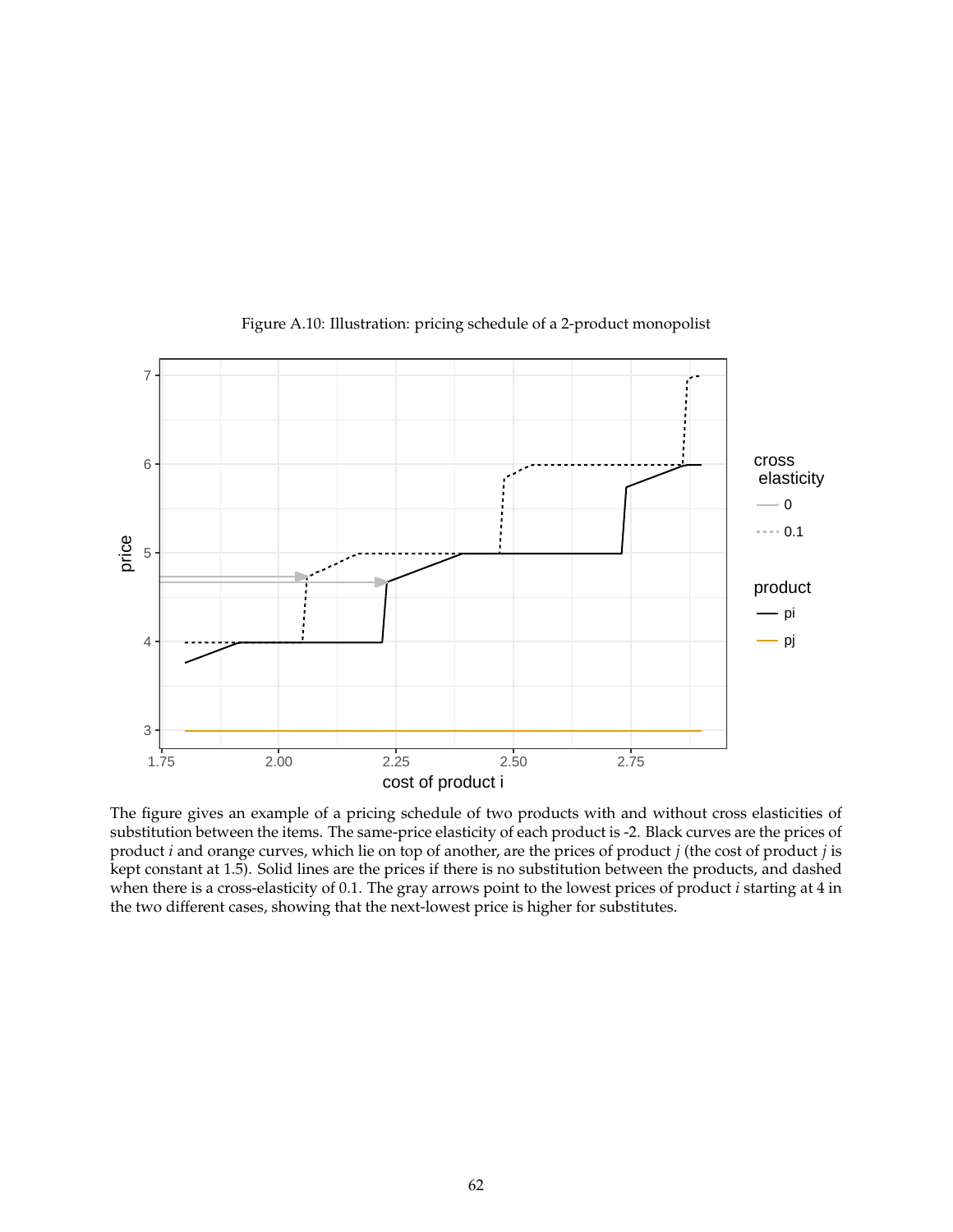<span id="page-61-0"></span>![](_page_61_Figure_0.jpeg)

Figure A.10: Illustration: pricing schedule of a 2-product monopolist

The figure gives an example of a pricing schedule of two products with and without cross elasticities of substitution between the items. The same-price elasticity of each product is -2. Black curves are the prices of product *i* and orange curves, which lie on top of another, are the prices of product *j* (the cost of product *j* is kept constant at 1.5). Solid lines are the prices if there is no substitution between the products, and dashed when there is a cross-elasticity of 0.1. The gray arrows point to the lowest prices of product *i* starting at 4 in the two different cases, showing that the next-lowest price is higher for substitutes.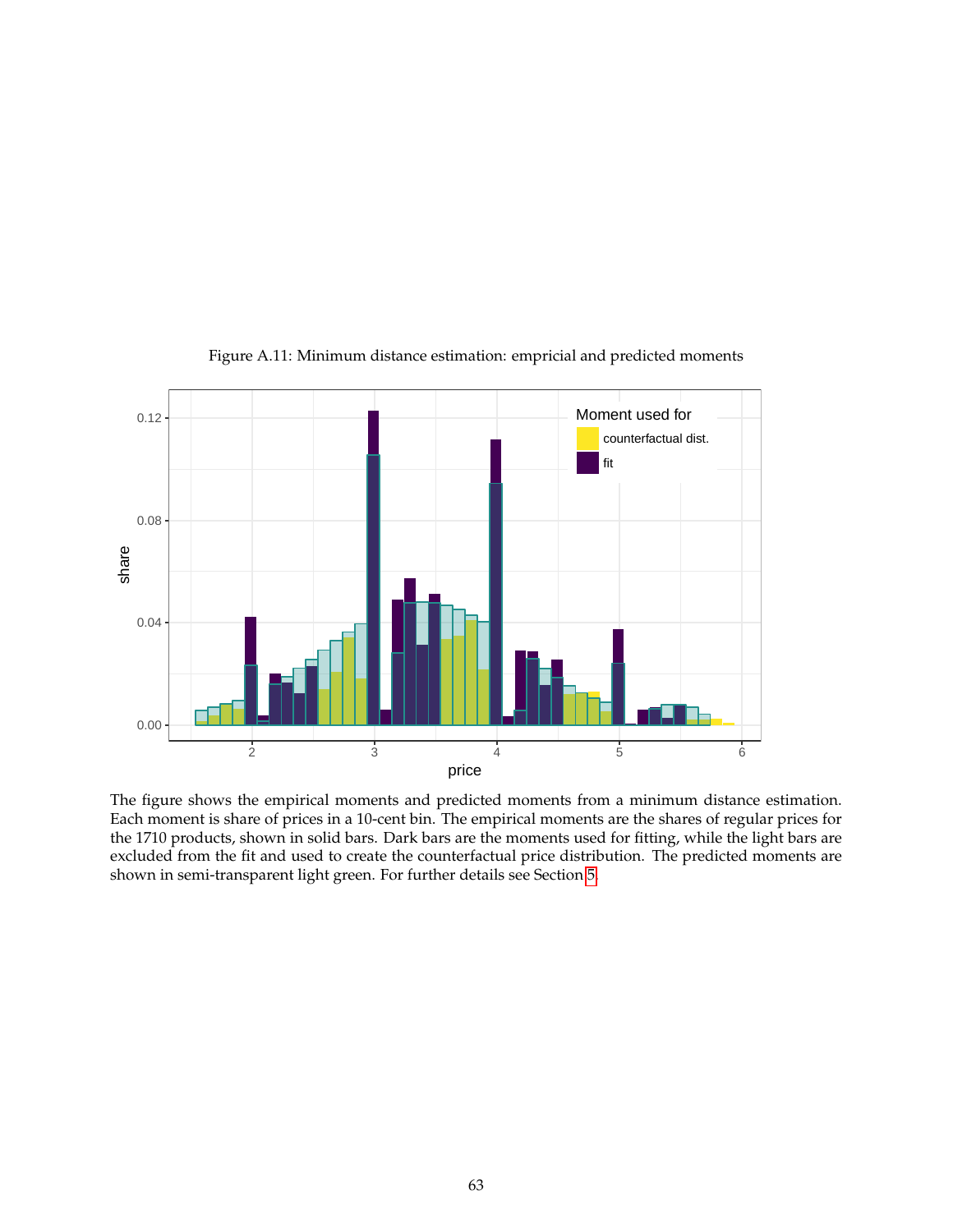<span id="page-62-0"></span>![](_page_62_Figure_0.jpeg)

Figure A.11: Minimum distance estimation: empricial and predicted moments

The figure shows the empirical moments and predicted moments from a minimum distance estimation. Each moment is share of prices in a 10-cent bin. The empirical moments are the shares of regular prices for the 1710 products, shown in solid bars. Dark bars are the moments used for fitting, while the light bars are excluded from the fit and used to create the counterfactual price distribution. The predicted moments are shown in semi-transparent light green. For further details see Section [5.](#page-20-0)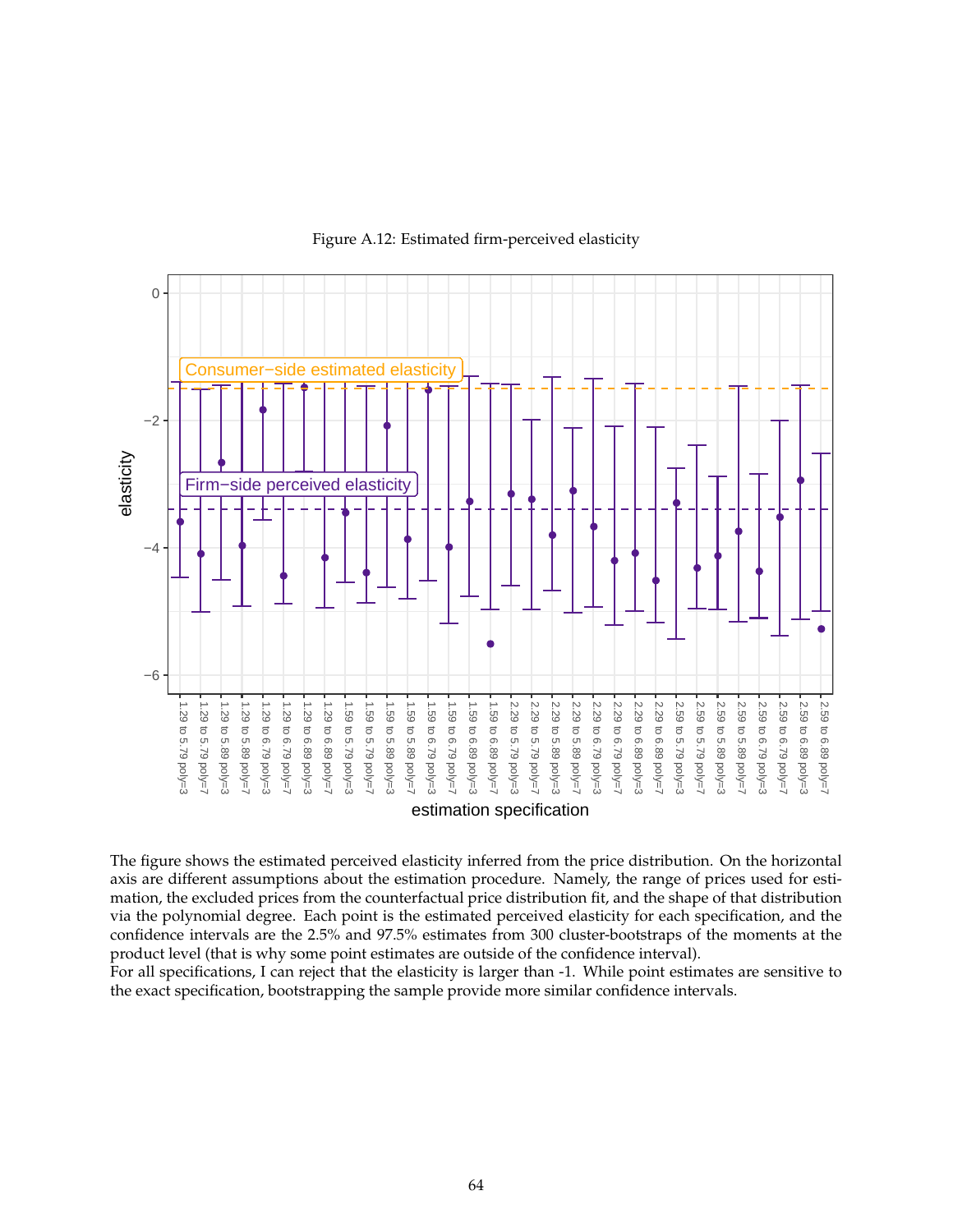![](_page_63_Figure_0.jpeg)

Figure A.12: Estimated firm-perceived elasticity

The figure shows the estimated perceived elasticity inferred from the price distribution. On the horizontal axis are different assumptions about the estimation procedure. Namely, the range of prices used for estimation, the excluded prices from the counterfactual price distribution fit, and the shape of that distribution via the polynomial degree. Each point is the estimated perceived elasticity for each specification, and the confidence intervals are the 2.5% and 97.5% estimates from 300 cluster-bootstraps of the moments at the product level (that is why some point estimates are outside of the confidence interval).

For all specifications, I can reject that the elasticity is larger than -1. While point estimates are sensitive to the exact specification, bootstrapping the sample provide more similar confidence intervals.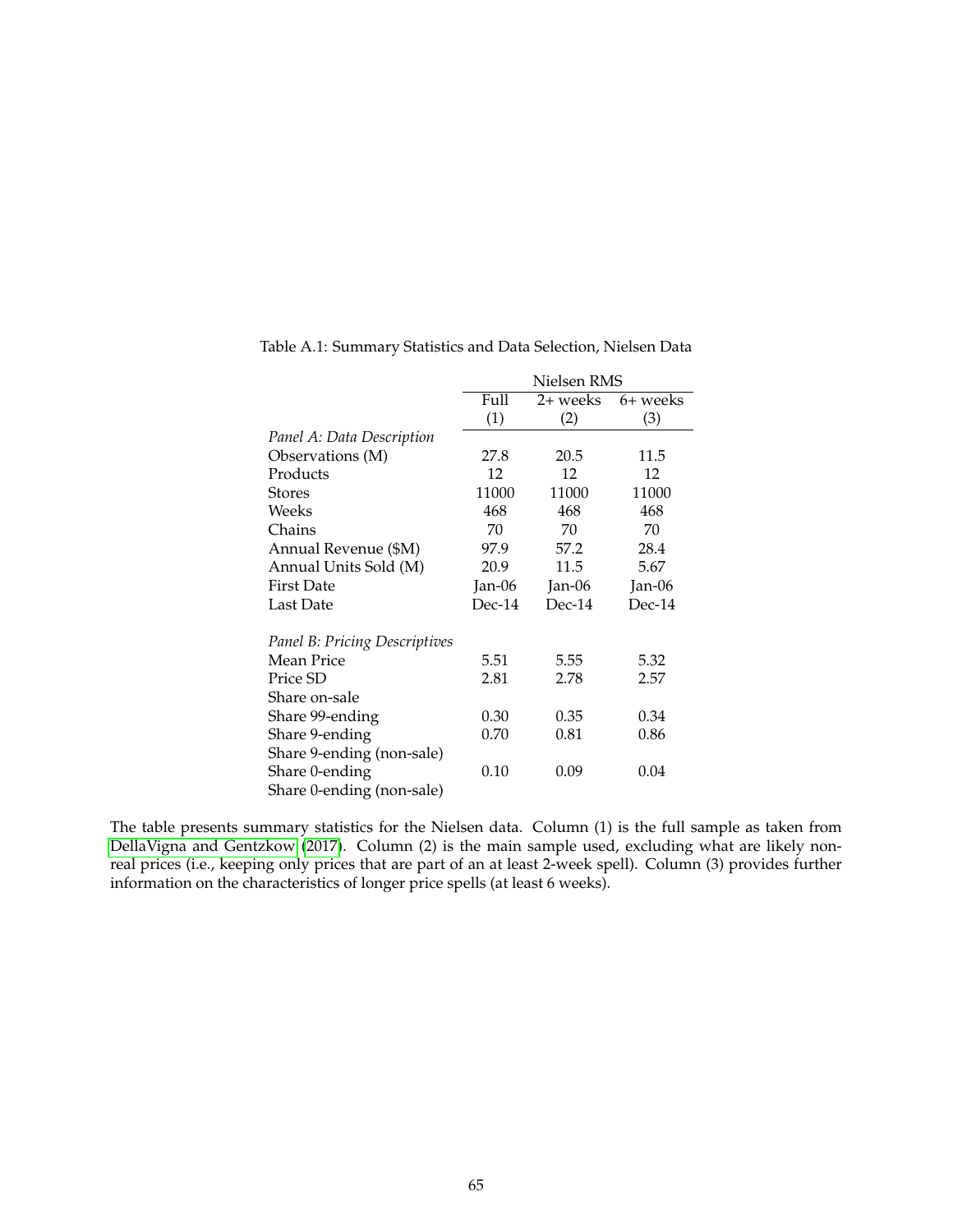|                               | Nielsen RMS |            |          |  |
|-------------------------------|-------------|------------|----------|--|
|                               | Full        | $2+$ weeks | 6+ weeks |  |
|                               | (1)         | (2)        | (3)      |  |
| Panel A: Data Description     |             |            |          |  |
| Observations (M)              | 27.8        | 20.5       | 11.5     |  |
| Products                      | 12          | 12         | 12       |  |
| <b>Stores</b>                 | 11000       | 11000      | 11000    |  |
| Weeks                         | 468         | 468        | 468      |  |
| Chains                        | 70          | 70         | 70       |  |
| Annual Revenue (\$M)          | 97.9        | 57.2       | 28.4     |  |
| Annual Units Sold (M)         | 20.9        | 11.5       | 5.67     |  |
| <b>First Date</b>             | Jan-06      | Jan-06     | Jan-06   |  |
| Last Date                     | Dec-14      | Dec-14     | $Dec-14$ |  |
| Panel B: Pricing Descriptives |             |            |          |  |
| Mean Price                    | 5.51        | 5.55       | 5.32     |  |
| Price SD                      | 2.81        | 2.78       | 2.57     |  |
| Share on-sale                 |             |            |          |  |
| Share 99-ending               | 0.30        | 0.35       | 0.34     |  |
| Share 9-ending                | 0.70        | 0.81       | 0.86     |  |
| Share 9-ending (non-sale)     |             |            |          |  |
| Share 0-ending                | 0.10        | 0.09       | 0.04     |  |
| Share 0-ending (non-sale)     |             |            |          |  |

<span id="page-64-0"></span>Table A.1: Summary Statistics and Data Selection, Nielsen Data

The table presents summary statistics for the Nielsen data. Column (1) is the full sample as taken from [DellaVigna and Gentzkow](#page-49-13) [\(2017\)](#page-49-13). Column (2) is the main sample used, excluding what are likely nonreal prices (i.e., keeping only prices that are part of an at least 2-week spell). Column (3) provides further information on the characteristics of longer price spells (at least 6 weeks).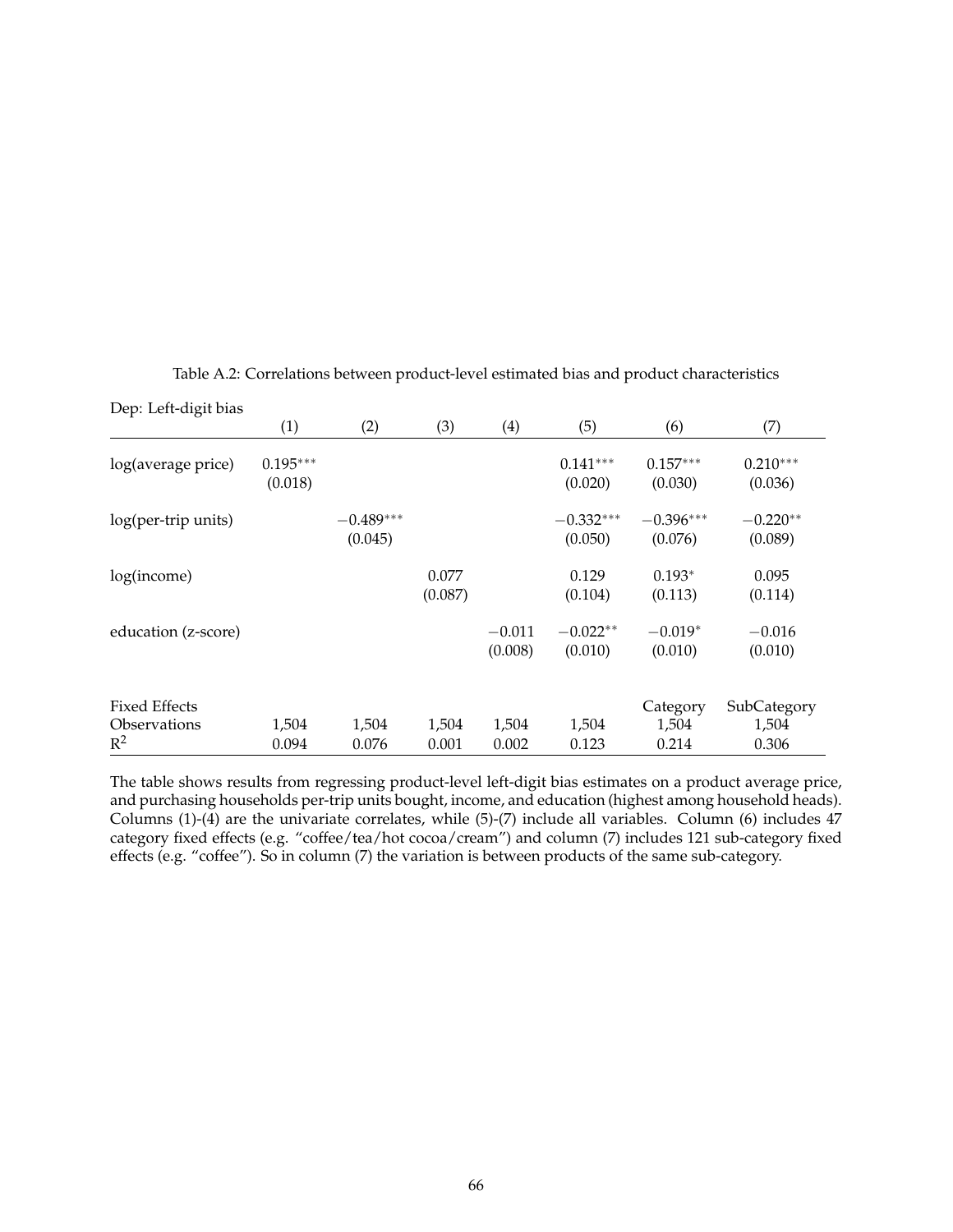<span id="page-65-0"></span>

| Dep: Left-digit bias  |                       |                        |                  |                     |                        |                        |                       |
|-----------------------|-----------------------|------------------------|------------------|---------------------|------------------------|------------------------|-----------------------|
|                       | (1)                   | (2)                    | (3)              | (4)                 | (5)                    | (6)                    | (7)                   |
| log(average price)    | $0.195***$<br>(0.018) |                        |                  |                     | $0.141***$<br>(0.020)  | $0.157***$<br>(0.030)  | $0.210***$<br>(0.036) |
| log(per-trip units)   |                       | $-0.489***$<br>(0.045) |                  |                     | $-0.332***$<br>(0.050) | $-0.396***$<br>(0.076) | $-0.220**$<br>(0.089) |
| log(income)           |                       |                        | 0.077<br>(0.087) |                     | 0.129<br>(0.104)       | $0.193*$<br>(0.113)    | 0.095<br>(0.114)      |
| education (z-score)   |                       |                        |                  | $-0.011$<br>(0.008) | $-0.022**$<br>(0.010)  | $-0.019*$<br>(0.010)   | $-0.016$<br>(0.010)   |
| <b>Fixed Effects</b>  |                       |                        |                  |                     |                        | Category               | SubCategory           |
| Observations<br>$R^2$ | 1,504<br>0.094        | 1,504<br>0.076         | 1,504<br>0.001   | 1,504<br>0.002      | 1,504<br>0.123         | 1,504<br>0.214         | 1,504<br>0.306        |

Table A.2: Correlations between product-level estimated bias and product characteristics

The table shows results from regressing product-level left-digit bias estimates on a product average price, and purchasing households per-trip units bought, income, and education (highest among household heads). Columns (1)-(4) are the univariate correlates, while (5)-(7) include all variables. Column (6) includes 47 category fixed effects (e.g. "coffee/tea/hot cocoa/cream") and column (7) includes 121 sub-category fixed effects (e.g. "coffee"). So in column (7) the variation is between products of the same sub-category.